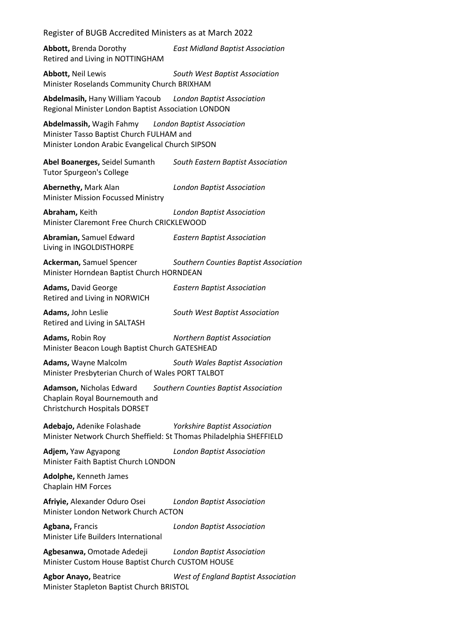**Abbott,** Brenda Dorothy *East Midland Baptist Association* Retired and Living in NOTTINGHAM

**Abbott,** Neil Lewis *South West Baptist Association* Minister Roselands Community Church BRIXHAM

**Abdelmasih,** Hany William Yacoub *London Baptist Association* Regional Minister London Baptist Association LONDON

**Abdelmassih,** Wagih Fahmy *London Baptist Association* Minister Tasso Baptist Church FULHAM and Minister London Arabic Evangelical Church SIPSON

**Abel Boanerges,** Seidel Sumanth *South Eastern Baptist Association* Tutor Spurgeon's College

**Abernethy,** Mark Alan *London Baptist Association* Minister Mission Focussed Ministry

**Abraham,** Keith *London Baptist Association* Minister Claremont Free Church CRICKLEWOOD

**Abramian,** Samuel Edward *Eastern Baptist Association* Living in INGOLDISTHORPE

**Ackerman,** Samuel Spencer *Southern Counties Baptist Association* Minister Horndean Baptist Church HORNDEAN

**Adams,** David George *Eastern Baptist Association* Retired and Living in NORWICH

**Adams,** John Leslie *South West Baptist Association* Retired and Living in SALTASH

**Adams,** Robin Roy *Northern Baptist Association* Minister Beacon Lough Baptist Church GATESHEAD

**Adams,** Wayne Malcolm *South Wales Baptist Association* Minister Presbyterian Church of Wales PORT TALBOT

**Adamson,** Nicholas Edward *Southern Counties Baptist Association* Chaplain Royal Bournemouth and Christchurch Hospitals DORSET

**Adebajo,** Adenike Folashade *Yorkshire Baptist Association* Minister Network Church Sheffield: St Thomas Philadelphia SHEFFIELD

**Adjem,** Yaw Agyapong *London Baptist Association* Minister Faith Baptist Church LONDON

**Adolphe,** Kenneth James Chaplain HM Forces

**Afriyie,** Alexander Oduro Osei *London Baptist Association* Minister London Network Church ACTON

**Agbana,** Francis *London Baptist Association* Minister Life Builders International

**Agbesanwa,** Omotade Adedeji *London Baptist Association* Minister Custom House Baptist Church CUSTOM HOUSE

**Agbor Anayo,** Beatrice *West of England Baptist Association* Minister Stapleton Baptist Church BRISTOL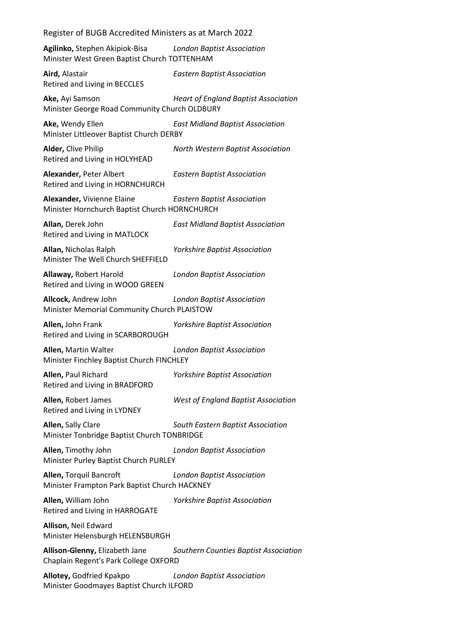**Agilinko,** Stephen Akipiok-Bisa *London Baptist Association* Minister West Green Baptist Church TOTTENHAM

**Aird,** Alastair *Eastern Baptist Association* Retired and Living in BECCLES

**Ake,** Ayi Samson *Heart of England Baptist Association* Minister George Road Community Church OLDBURY

**Ake,** Wendy Ellen *East Midland Baptist Association* Minister Littleover Baptist Church DERBY

**Alder,** Clive Philip *North Western Baptist Association* Retired and Living in HOLYHEAD

**Alexander,** Peter Albert *Eastern Baptist Association* Retired and Living in HORNCHURCH

**Alexander,** Vivienne Elaine *Eastern Baptist Association* Minister Hornchurch Baptist Church HORNCHURCH

**Allan,** Derek John *East Midland Baptist Association* Retired and Living in MATLOCK

**Allan,** Nicholas Ralph *Yorkshire Baptist Association* Minister The Well Church SHEFFIELD

**Allaway,** Robert Harold *London Baptist Association* Retired and Living in WOOD GREEN

**Allcock,** Andrew John *London Baptist Association* Minister Memorial Community Church PLAISTOW

**Allen,** John Frank *Yorkshire Baptist Association* Retired and Living in SCARBOROUGH

**Allen,** Martin Walter *London Baptist Association* Minister Finchley Baptist Church FINCHLEY

**Allen,** Paul Richard *Yorkshire Baptist Association* Retired and Living in BRADFORD

**Allen,** Robert James *West of England Baptist Association* Retired and Living in LYDNEY

**Allen,** Sally Clare *South Eastern Baptist Association* Minister Tonbridge Baptist Church TONBRIDGE

**Allen,** Timothy John *London Baptist Association* Minister Purley Baptist Church PURLEY

**Allen,** Torquil Bancroft *London Baptist Association* Minister Frampton Park Baptist Church HACKNEY

**Allen,** William John *Yorkshire Baptist Association* Retired and Living in HARROGATE

**Allison,** Neil Edward Minister Helensburgh HELENSBURGH

**Allison-Glenny,** Elizabeth Jane *Southern Counties Baptist Association* Chaplain Regent's Park College OXFORD

**Allotey,** Godfried Kpakpo *London Baptist Association* Minister Goodmayes Baptist Church ILFORD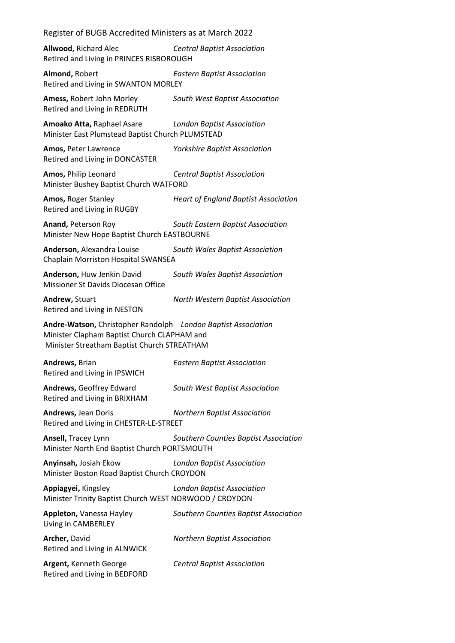**Allwood,** Richard Alec *Central Baptist Association* Retired and Living in PRINCES RISBOROUGH

**Almond,** Robert *Eastern Baptist Association* Retired and Living in SWANTON MORLEY

**Amess,** Robert John Morley *South West Baptist Association* Retired and Living in REDRUTH

**Amoako Atta,** Raphael Asare *London Baptist Association* Minister East Plumstead Baptist Church PLUMSTEAD

**Amos,** Peter Lawrence *Yorkshire Baptist Association* Retired and Living in DONCASTER

**Amos,** Philip Leonard *Central Baptist Association* Minister Bushey Baptist Church WATFORD

**Amos,** Roger Stanley *Heart of England Baptist Association* Retired and Living in RUGBY

**Anand,** Peterson Roy *South Eastern Baptist Association* Minister New Hope Baptist Church EASTBOURNE

**Anderson,** Alexandra Louise *South Wales Baptist Association* Chaplain Morriston Hospital SWANSEA

**Anderson,** Huw Jenkin David *South Wales Baptist Association* Missioner St Davids Diocesan Office

Retired and Living in NESTON

**Andrew,** Stuart *North Western Baptist Association*

**Andre-Watson,** Christopher Randolph *London Baptist Association* Minister Clapham Baptist Church CLAPHAM and Minister Streatham Baptist Church STREATHAM

**Andrews,** Brian *Eastern Baptist Association* Retired and Living in IPSWICH

**Andrews,** Geoffrey Edward *South West Baptist Association* Retired and Living in BRIXHAM

**Andrews,** Jean Doris *Northern Baptist Association* Retired and Living in CHESTER-LE-STREET

**Ansell,** Tracey Lynn *Southern Counties Baptist Association* Minister North End Baptist Church PORTSMOUTH

**Anyinsah,** Josiah Ekow *London Baptist Association* Minister Boston Road Baptist Church CROYDON

**Appiagyei,** Kingsley *London Baptist Association* Minister Trinity Baptist Church WEST NORWOOD / CROYDON

**Appleton,** Vanessa Hayley *Southern Counties Baptist Association* Living in CAMBERLEY **Archer,** David *Northern Baptist Association* Retired and Living in ALNWICK **Argent,** Kenneth George *Central Baptist Association* Retired and Living in BEDFORD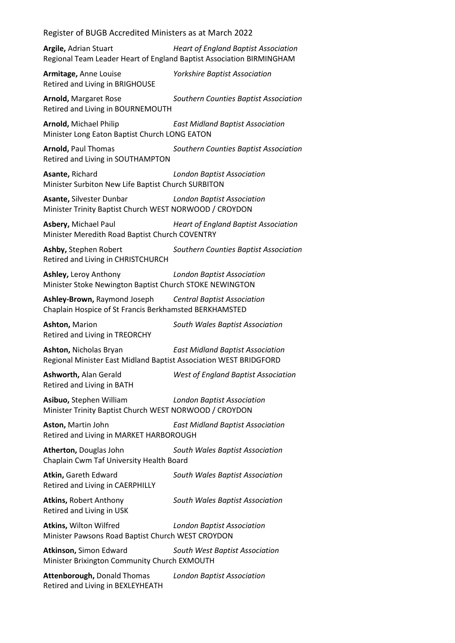**Argile,** Adrian Stuart *Heart of England Baptist Association* Regional Team Leader Heart of England Baptist Association BIRMINGHAM

**Armitage,** Anne Louise *Yorkshire Baptist Association* Retired and Living in BRIGHOUSE

**Arnold,** Margaret Rose *Southern Counties Baptist Association* Retired and Living in BOURNEMOUTH

**Arnold,** Michael Philip *East Midland Baptist Association* Minister Long Eaton Baptist Church LONG EATON

**Arnold,** Paul Thomas *Southern Counties Baptist Association* Retired and Living in SOUTHAMPTON

**Asante,** Richard *London Baptist Association* Minister Surbiton New Life Baptist Church SURBITON

**Asante,** Silvester Dunbar *London Baptist Association* Minister Trinity Baptist Church WEST NORWOOD / CROYDON

**Asbery,** Michael Paul *Heart of England Baptist Association* Minister Meredith Road Baptist Church COVENTRY

**Ashby,** Stephen Robert *Southern Counties Baptist Association* Retired and Living in CHRISTCHURCH

**Ashley,** Leroy Anthony *London Baptist Association* Minister Stoke Newington Baptist Church STOKE NEWINGTON

**Ashley-Brown,** Raymond Joseph *Central Baptist Association* Chaplain Hospice of St Francis Berkhamsted BERKHAMSTED

**Ashton,** Marion *South Wales Baptist Association* Retired and Living in TREORCHY

**Ashton,** Nicholas Bryan *East Midland Baptist Association* Regional Minister East Midland Baptist Association WEST BRIDGFORD

**Ashworth,** Alan Gerald *West of England Baptist Association* Retired and Living in BATH

**Asibuo,** Stephen William *London Baptist Association* Minister Trinity Baptist Church WEST NORWOOD / CROYDON

**Aston,** Martin John *East Midland Baptist Association* Retired and Living in MARKET HARBOROUGH

**Atherton,** Douglas John *South Wales Baptist Association* Chaplain Cwm Taf University Health Board

**Atkin,** Gareth Edward *South Wales Baptist Association* Retired and Living in CAERPHILLY

**Atkins,** Robert Anthony *South Wales Baptist Association* Retired and Living in USK

**Atkins,** Wilton Wilfred *London Baptist Association* Minister Pawsons Road Baptist Church WEST CROYDON

**Atkinson,** Simon Edward *South West Baptist Association* Minister Brixington Community Church EXMOUTH

**Attenborough,** Donald Thomas *London Baptist Association* Retired and Living in BEXLEYHEATH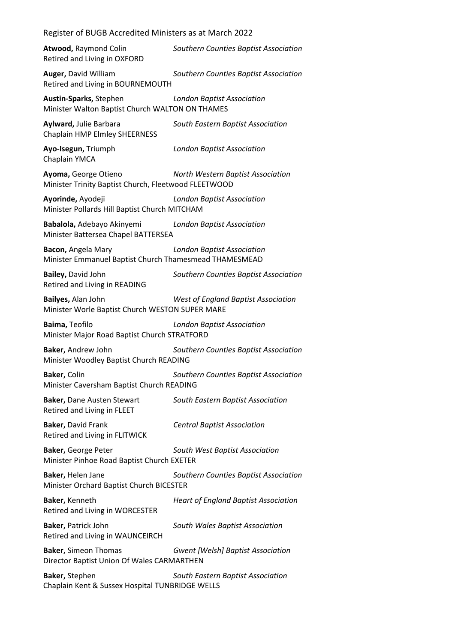| Register of BUGB Accredited Ministers as at March 2022                       |                                             |  |
|------------------------------------------------------------------------------|---------------------------------------------|--|
| <b>Atwood, Raymond Colin</b><br>Retired and Living in OXFORD                 | Southern Counties Baptist Association       |  |
| Auger, David William<br>Retired and Living in BOURNEMOUTH                    | Southern Counties Baptist Association       |  |
| Austin-Sparks, Stephen<br>Minister Walton Baptist Church WALTON ON THAMES    | <b>London Baptist Association</b>           |  |
| Aylward, Julie Barbara<br>Chaplain HMP Elmley SHEERNESS                      | South Eastern Baptist Association           |  |
| Ayo-Isegun, Triumph<br>Chaplain YMCA                                         | <b>London Baptist Association</b>           |  |
| Ayoma, George Otieno<br>Minister Trinity Baptist Church, Fleetwood FLEETWOOD | North Western Baptist Association           |  |
| Ayorinde, Ayodeji<br>Minister Pollards Hill Baptist Church MITCHAM           | <b>London Baptist Association</b>           |  |
| <b>Babalola, Adebayo Akinyemi</b><br>Minister Battersea Chapel BATTERSEA     | <b>London Baptist Association</b>           |  |
| Bacon, Angela Mary<br>Minister Emmanuel Baptist Church Thamesmead THAMESMEAD | <b>London Baptist Association</b>           |  |
| Bailey, David John<br>Retired and Living in READING                          | Southern Counties Baptist Association       |  |
| Bailyes, Alan John<br>Minister Worle Baptist Church WESTON SUPER MARE        | West of England Baptist Association         |  |
| Baima, Teofilo<br>Minister Major Road Baptist Church STRATFORD               | <b>London Baptist Association</b>           |  |
| Baker, Andrew John<br>Minister Woodley Baptist Church READING                | Southern Counties Baptist Association       |  |
| Baker, Colin<br>Minister Caversham Baptist Church READING                    | Southern Counties Baptist Association       |  |
| <b>Baker, Dane Austen Stewart</b><br>Retired and Living in FLEET             | South Eastern Baptist Association           |  |
| Baker, David Frank<br>Retired and Living in FLITWICK                         | <b>Central Baptist Association</b>          |  |
| Baker, George Peter<br>Minister Pinhoe Road Baptist Church EXETER            | South West Baptist Association              |  |
| Baker, Helen Jane<br>Minister Orchard Baptist Church BICESTER                | Southern Counties Baptist Association       |  |
| Baker, Kenneth<br>Retired and Living in WORCESTER                            | <b>Heart of England Baptist Association</b> |  |
| Baker, Patrick John<br>Retired and Living in WAUNCEIRCH                      | South Wales Baptist Association             |  |
| <b>Baker, Simeon Thomas</b><br>Director Baptist Union Of Wales CARMARTHEN    | <b>Gwent [Welsh] Baptist Association</b>    |  |
| Baker, Stephen<br>Chaplain Kent & Sussex Hospital TUNBRIDGE WELLS            | South Eastern Baptist Association           |  |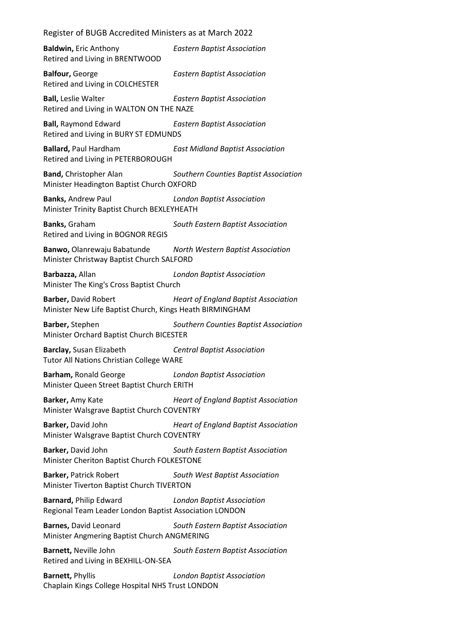**Baldwin,** Eric Anthony *Eastern Baptist Association* Retired and Living in BRENTWOOD

**Balfour,** George *Eastern Baptist Association* Retired and Living in COLCHESTER

**Ball,** Leslie Walter *Eastern Baptist Association* Retired and Living in WALTON ON THE NAZE

**Ball,** Raymond Edward *Eastern Baptist Association* Retired and Living in BURY ST EDMUNDS

**Ballard,** Paul Hardham *East Midland Baptist Association* Retired and Living in PETERBOROUGH

**Band,** Christopher Alan *Southern Counties Baptist Association* Minister Headington Baptist Church OXFORD

**Banks,** Andrew Paul *London Baptist Association* Minister Trinity Baptist Church BEXLEYHEATH

**Banks,** Graham *South Eastern Baptist Association* Retired and Living in BOGNOR REGIS

**Banwo,** Olanrewaju Babatunde *North Western Baptist Association* Minister Christway Baptist Church SALFORD

**Barbazza,** Allan *London Baptist Association* Minister The King's Cross Baptist Church

**Barber,** David Robert *Heart of England Baptist Association* Minister New Life Baptist Church, Kings Heath BIRMINGHAM

**Barber,** Stephen *Southern Counties Baptist Association* Minister Orchard Baptist Church BICESTER

**Barclay,** Susan Elizabeth *Central Baptist Association* Tutor All Nations Christian College WARE

**Barham,** Ronald George *London Baptist Association* Minister Queen Street Baptist Church ERITH

**Barker,** Amy Kate *Heart of England Baptist Association* Minister Walsgrave Baptist Church COVENTRY

**Barker,** David John *Heart of England Baptist Association* Minister Walsgrave Baptist Church COVENTRY

**Barker,** David John *South Eastern Baptist Association* Minister Cheriton Baptist Church FOLKESTONE

**Barker,** Patrick Robert *South West Baptist Association* Minister Tiverton Baptist Church TIVERTON

**Barnard,** Philip Edward *London Baptist Association* Regional Team Leader London Baptist Association LONDON

**Barnes,** David Leonard *South Eastern Baptist Association* Minister Angmering Baptist Church ANGMERING

**Barnett,** Neville John *South Eastern Baptist Association* Retired and Living in BEXHILL-ON-SEA

**Barnett,** Phyllis *London Baptist Association* Chaplain Kings College Hospital NHS Trust LONDON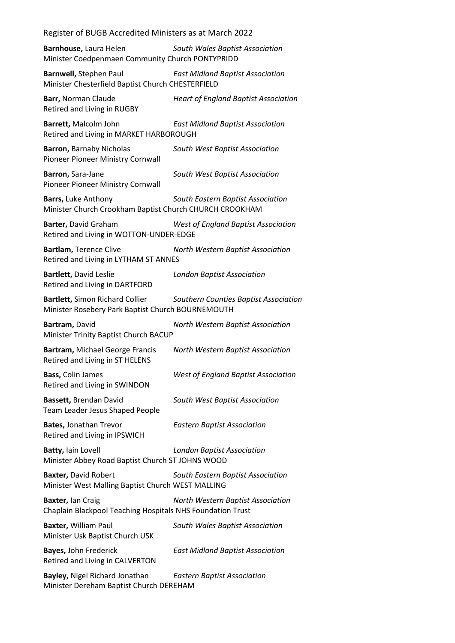**Barnhouse,** Laura Helen *South Wales Baptist Association* Minister Coedpenmaen Community Church PONTYPRIDD

**Barnwell,** Stephen Paul *East Midland Baptist Association* Minister Chesterfield Baptist Church CHESTERFIELD

**Barr,** Norman Claude *Heart of England Baptist Association* Retired and Living in RUGBY

**Barrett,** Malcolm John *East Midland Baptist Association* Retired and Living in MARKET HARBOROUGH

**Barron,** Barnaby Nicholas *South West Baptist Association* Pioneer Pioneer Ministry Cornwall

**Barron,** Sara-Jane *South West Baptist Association* Pioneer Pioneer Ministry Cornwall

**Barrs,** Luke Anthony *South Eastern Baptist Association* Minister Church Crookham Baptist Church CHURCH CROOKHAM

**Barter,** David Graham *West of England Baptist Association* Retired and Living in WOTTON-UNDER-EDGE

**Bartlam,** Terence Clive *North Western Baptist Association* Retired and Living in LYTHAM ST ANNES

**Bartlett,** David Leslie *London Baptist Association* Retired and Living in DARTFORD

**Bartlett,** Simon Richard Collier *Southern Counties Baptist Association* Minister Rosebery Park Baptist Church BOURNEMOUTH

**Bartram,** David *North Western Baptist Association* Minister Trinity Baptist Church BACUP

**Bartram,** Michael George Francis *North Western Baptist Association* Retired and Living in ST HELENS

**Bass,** Colin James *West of England Baptist Association* Retired and Living in SWINDON

**Bassett,** Brendan David *South West Baptist Association* Team Leader Jesus Shaped People

**Bates,** Jonathan Trevor *Eastern Baptist Association* Retired and Living in IPSWICH

**Batty,** Iain Lovell *London Baptist Association* Minister Abbey Road Baptist Church ST JOHNS WOOD

**Baxter,** David Robert *South Eastern Baptist Association* Minister West Malling Baptist Church WEST MALLING

**Baxter,** Ian Craig *North Western Baptist Association* Chaplain Blackpool Teaching Hospitals NHS Foundation Trust

**Baxter,** William Paul *South Wales Baptist Association* Minister Usk Baptist Church USK

**Bayes,** John Frederick *East Midland Baptist Association* Retired and Living in CALVERTON

**Bayley,** Nigel Richard Jonathan *Eastern Baptist Association* Minister Dereham Baptist Church DEREHAM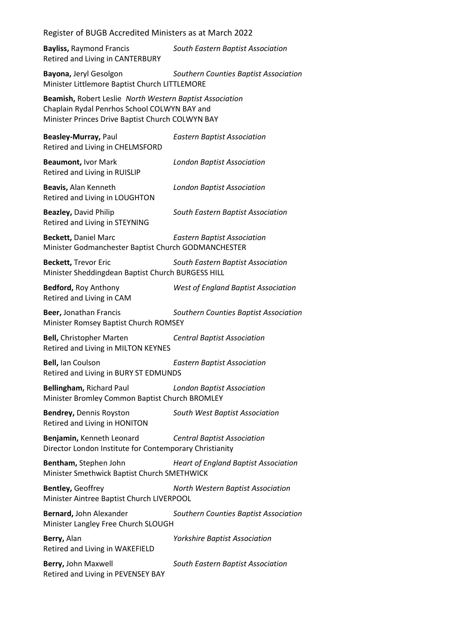Register of BUGB Accredited Ministers as at March 2022 **Bayliss,** Raymond Francis *South Eastern Baptist Association* Retired and Living in CANTERBURY **Bayona,** Jeryl Gesolgon *Southern Counties Baptist Association*

Minister Littlemore Baptist Church LITTLEMORE

**Beamish,** Robert Leslie *North Western Baptist Association* Chaplain Rydal Penrhos School COLWYN BAY and Minister Princes Drive Baptist Church COLWYN BAY

**Beasley-Murray,** Paul *Eastern Baptist Association* Retired and Living in CHELMSFORD **Beaumont,** Ivor Mark *London Baptist Association* Retired and Living in RUISLIP **Beavis,** Alan Kenneth *London Baptist Association* Retired and Living in LOUGHTON **Beazley,** David Philip *South Eastern Baptist Association* Retired and Living in STEYNING **Beckett,** Daniel Marc *Eastern Baptist Association* Minister Godmanchester Baptist Church GODMANCHESTER **Beckett,** Trevor Eric *South Eastern Baptist Association* Minister Sheddingdean Baptist Church BURGESS HILL **Bedford,** Roy Anthony *West of England Baptist Association* Retired and Living in CAM **Beer,** Jonathan Francis *Southern Counties Baptist Association* Minister Romsey Baptist Church ROMSEY **Bell,** Christopher Marten *Central Baptist Association* Retired and Living in MILTON KEYNES **Bell,** Ian Coulson *Eastern Baptist Association* Retired and Living in BURY ST EDMUNDS **Bellingham,** Richard Paul *London Baptist Association* Minister Bromley Common Baptist Church BROMLEY **Bendrey,** Dennis Royston *South West Baptist Association* Retired and Living in HONITON **Benjamin,** Kenneth Leonard *Central Baptist Association* Director London Institute for Contemporary Christianity **Bentham,** Stephen John *Heart of England Baptist Association* Minister Smethwick Baptist Church SMETHWICK **Bentley,** Geoffrey *North Western Baptist Association* Minister Aintree Baptist Church LIVERPOOL **Bernard,** John Alexander *Southern Counties Baptist Association* Minister Langley Free Church SLOUGH **Berry,** Alan *Yorkshire Baptist Association* Retired and Living in WAKEFIELD **Berry,** John Maxwell *South Eastern Baptist Association* Retired and Living in PEVENSEY BAY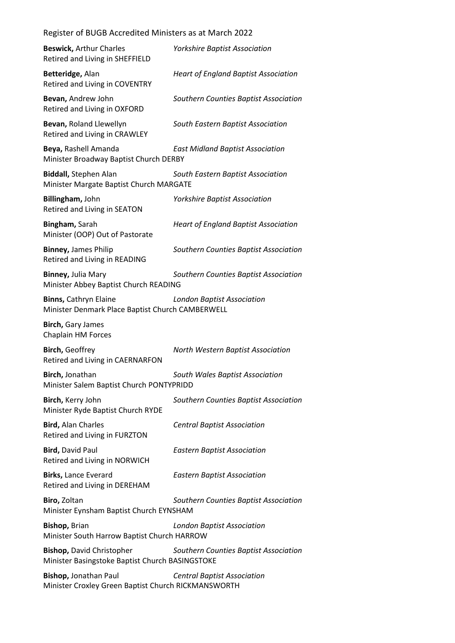| <b>Beswick, Arthur Charles</b><br>Retired and Living in SHEFFIELD                   | <b>Yorkshire Baptist Association</b>        |
|-------------------------------------------------------------------------------------|---------------------------------------------|
| Betteridge, Alan<br>Retired and Living in COVENTRY                                  | <b>Heart of England Baptist Association</b> |
| Bevan, Andrew John<br>Retired and Living in OXFORD                                  | Southern Counties Baptist Association       |
| Bevan, Roland Llewellyn<br>Retired and Living in CRAWLEY                            | South Eastern Baptist Association           |
| Beya, Rashell Amanda<br>Minister Broadway Baptist Church DERBY                      | <b>East Midland Baptist Association</b>     |
| <b>Biddall, Stephen Alan</b><br>Minister Margate Baptist Church MARGATE             | South Eastern Baptist Association           |
| Billingham, John<br>Retired and Living in SEATON                                    | <b>Yorkshire Baptist Association</b>        |
| Bingham, Sarah<br>Minister (OOP) Out of Pastorate                                   | <b>Heart of England Baptist Association</b> |
| <b>Binney, James Philip</b><br>Retired and Living in READING                        | Southern Counties Baptist Association       |
| Binney, Julia Mary<br>Minister Abbey Baptist Church READING                         | Southern Counties Baptist Association       |
| <b>Binns, Cathryn Elaine</b><br>Minister Denmark Place Baptist Church CAMBERWELL    | <b>London Baptist Association</b>           |
| <b>Birch, Gary James</b><br>Chaplain HM Forces                                      |                                             |
| <b>Birch, Geoffrey</b><br>Retired and Living in CAERNARFON                          | North Western Baptist Association           |
| Birch, Jonathan<br>Minister Salem Baptist Church PONTYPRIDD                         | South Wales Baptist Association             |
| Birch, Kerry John<br>Minister Ryde Baptist Church RYDE                              | Southern Counties Baptist Association       |
| <b>Bird, Alan Charles</b><br>Retired and Living in FURZTON                          | <b>Central Baptist Association</b>          |
| <b>Bird, David Paul</b><br>Retired and Living in NORWICH                            | <b>Eastern Baptist Association</b>          |
| Birks, Lance Everard<br>Retired and Living in DEREHAM                               | <b>Eastern Baptist Association</b>          |
| Biro, Zoltan<br>Minister Eynsham Baptist Church EYNSHAM                             | Southern Counties Baptist Association       |
| Bishop, Brian<br>Minister South Harrow Baptist Church HARROW                        | <b>London Baptist Association</b>           |
|                                                                                     |                                             |
| <b>Bishop, David Christopher</b><br>Minister Basingstoke Baptist Church BASINGSTOKE | Southern Counties Baptist Association       |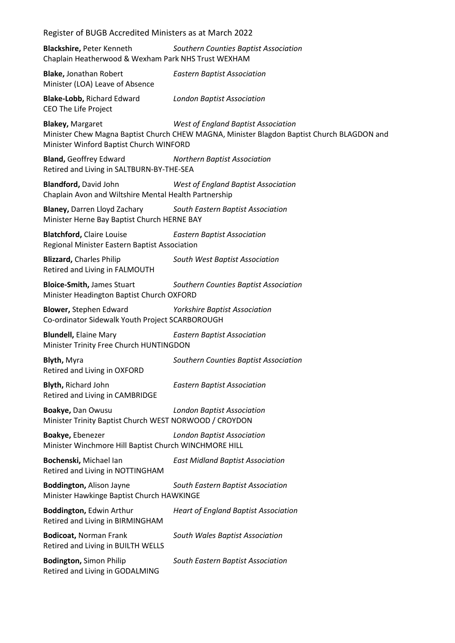| Register of BUGB Accredited Ministers as at March 2022                                |                                                                                                                                   |
|---------------------------------------------------------------------------------------|-----------------------------------------------------------------------------------------------------------------------------------|
| Blackshire, Peter Kenneth<br>Chaplain Heatherwood & Wexham Park NHS Trust WEXHAM      | Southern Counties Baptist Association                                                                                             |
| <b>Blake, Jonathan Robert</b><br>Minister (LOA) Leave of Absence                      | <b>Eastern Baptist Association</b>                                                                                                |
| <b>Blake-Lobb, Richard Edward</b><br><b>CEO The Life Project</b>                      | <b>London Baptist Association</b>                                                                                                 |
| <b>Blakey, Margaret</b><br>Minister Winford Baptist Church WINFORD                    | West of England Baptist Association<br>Minister Chew Magna Baptist Church CHEW MAGNA, Minister Blagdon Baptist Church BLAGDON and |
| <b>Bland, Geoffrey Edward</b><br>Retired and Living in SALTBURN-BY-THE-SEA            | <b>Northern Baptist Association</b>                                                                                               |
| <b>Blandford, David John</b><br>Chaplain Avon and Wiltshire Mental Health Partnership | <b>West of England Baptist Association</b>                                                                                        |
| <b>Blaney, Darren Lloyd Zachary</b><br>Minister Herne Bay Baptist Church HERNE BAY    | South Eastern Baptist Association                                                                                                 |
| <b>Blatchford, Claire Louise</b><br>Regional Minister Eastern Baptist Association     | <b>Eastern Baptist Association</b>                                                                                                |
| <b>Blizzard, Charles Philip</b><br>Retired and Living in FALMOUTH                     | South West Baptist Association                                                                                                    |
| <b>Bloice-Smith, James Stuart</b><br>Minister Headington Baptist Church OXFORD        | Southern Counties Baptist Association                                                                                             |
| <b>Blower, Stephen Edward</b><br>Co-ordinator Sidewalk Youth Project SCARBOROUGH      | <b>Yorkshire Baptist Association</b>                                                                                              |
| <b>Blundell, Elaine Mary</b><br>Minister Trinity Free Church HUNTINGDON               | <b>Eastern Baptist Association</b>                                                                                                |
| <b>Blyth, Myra</b><br>Retired and Living in OXFORD                                    | Southern Counties Baptist Association                                                                                             |
| <b>Blyth, Richard John</b><br>Retired and Living in CAMBRIDGE                         | <b>Eastern Baptist Association</b>                                                                                                |
| Boakye, Dan Owusu<br>Minister Trinity Baptist Church WEST NORWOOD / CROYDON           | <b>London Baptist Association</b>                                                                                                 |
| Boakye, Ebenezer<br>Minister Winchmore Hill Baptist Church WINCHMORE HILL             | <b>London Baptist Association</b>                                                                                                 |
| Bochenski, Michael Ian<br>Retired and Living in NOTTINGHAM                            | <b>East Midland Baptist Association</b>                                                                                           |
| <b>Boddington, Alison Jayne</b><br>Minister Hawkinge Baptist Church HAWKINGE          | South Eastern Baptist Association                                                                                                 |
| Boddington, Edwin Arthur<br>Retired and Living in BIRMINGHAM                          | <b>Heart of England Baptist Association</b>                                                                                       |
| <b>Bodicoat, Norman Frank</b><br>Retired and Living in BUILTH WELLS                   | South Wales Baptist Association                                                                                                   |
| <b>Bodington, Simon Philip</b><br>Retired and Living in GODALMING                     | South Eastern Baptist Association                                                                                                 |
|                                                                                       |                                                                                                                                   |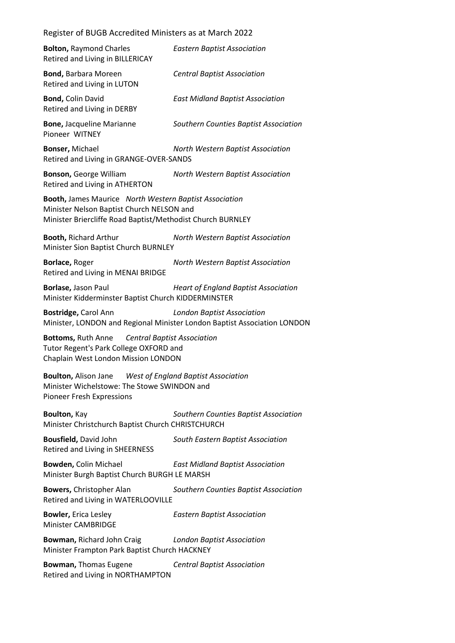| <b>Bolton, Raymond Charles</b><br>Retired and Living in BILLERICAY                                                                                                | <b>Eastern Baptist Association</b>                                                                            |
|-------------------------------------------------------------------------------------------------------------------------------------------------------------------|---------------------------------------------------------------------------------------------------------------|
| <b>Bond, Barbara Moreen</b><br>Retired and Living in LUTON                                                                                                        | <b>Central Baptist Association</b>                                                                            |
| <b>Bond, Colin David</b><br>Retired and Living in DERBY                                                                                                           | <b>East Midland Baptist Association</b>                                                                       |
| <b>Bone, Jacqueline Marianne</b><br>Pioneer WITNEY                                                                                                                | Southern Counties Baptist Association                                                                         |
| Bonser, Michael<br>Retired and Living in GRANGE-OVER-SANDS                                                                                                        | North Western Baptist Association                                                                             |
| <b>Bonson, George William</b><br>Retired and Living in ATHERTON                                                                                                   | North Western Baptist Association                                                                             |
| Booth, James Maurice North Western Baptist Association<br>Minister Nelson Baptist Church NELSON and<br>Minister Briercliffe Road Baptist/Methodist Church BURNLEY |                                                                                                               |
| <b>Booth, Richard Arthur</b><br>Minister Sion Baptist Church BURNLEY                                                                                              | North Western Baptist Association                                                                             |
| Borlace, Roger<br>Retired and Living in MENAI BRIDGE                                                                                                              | North Western Baptist Association                                                                             |
| Borlase, Jason Paul<br>Minister Kidderminster Baptist Church KIDDERMINSTER                                                                                        | <b>Heart of England Baptist Association</b>                                                                   |
| Bostridge, Carol Ann                                                                                                                                              | <b>London Baptist Association</b><br>Minister, LONDON and Regional Minister London Baptist Association LONDON |
| Central Baptist Association<br><b>Bottoms, Ruth Anne</b><br>Tutor Regent's Park College OXFORD and<br>Chaplain West London Mission LONDON                         |                                                                                                               |
| <b>Boulton, Alison Jane</b><br>Minister Wichelstowe: The Stowe SWINDON and<br>Pioneer Fresh Expressions                                                           | <b>West of England Baptist Association</b>                                                                    |
| Boulton, Kay<br>Minister Christchurch Baptist Church CHRISTCHURCH                                                                                                 | Southern Counties Baptist Association                                                                         |
| Bousfield, David John<br>Retired and Living in SHEERNESS                                                                                                          | South Eastern Baptist Association                                                                             |
| <b>Bowden, Colin Michael</b><br>Minister Burgh Baptist Church BURGH LE MARSH                                                                                      | <b>East Midland Baptist Association</b>                                                                       |
| <b>Bowers, Christopher Alan</b><br>Retired and Living in WATERLOOVILLE                                                                                            | Southern Counties Baptist Association                                                                         |
| <b>Bowler, Erica Lesley</b><br><b>Minister CAMBRIDGE</b>                                                                                                          | <b>Eastern Baptist Association</b>                                                                            |
| Bowman, Richard John Craig<br>Minister Frampton Park Baptist Church HACKNEY                                                                                       | <b>London Baptist Association</b>                                                                             |

**Bowman,** Thomas Eugene *Central Baptist Association* Retired and Living in NORTHAMPTON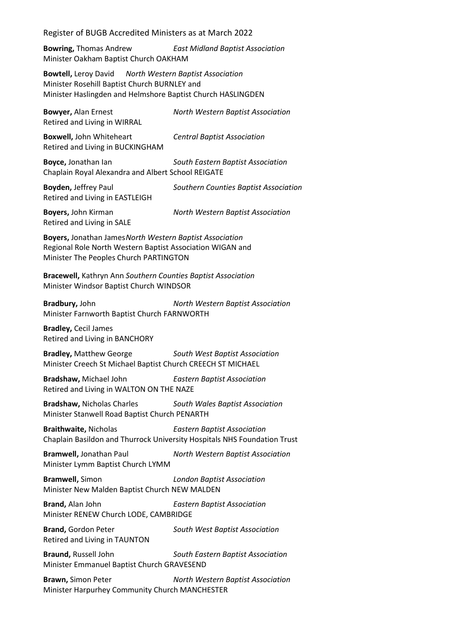**Bowring,** Thomas Andrew *East Midland Baptist Association* Minister Oakham Baptist Church OAKHAM

**Bowtell,** Leroy David *North Western Baptist Association* Minister Rosehill Baptist Church BURNLEY and Minister Haslingden and Helmshore Baptist Church HASLINGDEN

**Bowyer,** Alan Ernest *North Western Baptist Association* Retired and Living in WIRRAL **Boxwell,** John Whiteheart *Central Baptist Association* Retired and Living in BUCKINGHAM **Boyce,** Jonathan Ian *South Eastern Baptist Association*

Chaplain Royal Alexandra and Albert School REIGATE

**Boyden,** Jeffrey Paul *Southern Counties Baptist Association* Retired and Living in EASTLEIGH **Boyers,** John Kirman *North Western Baptist Association*

Retired and Living in SALE

**Boyers,** Jonathan James*North Western Baptist Association* Regional Role North Western Baptist Association WIGAN and Minister The Peoples Church PARTINGTON

**Bracewell,** Kathryn Ann *Southern Counties Baptist Association* Minister Windsor Baptist Church WINDSOR

**Bradbury,** John *North Western Baptist Association* Minister Farnworth Baptist Church FARNWORTH

**Bradley,** Cecil James Retired and Living in BANCHORY

**Bradley,** Matthew George *South West Baptist Association* Minister Creech St Michael Baptist Church CREECH ST MICHAEL

**Bradshaw,** Michael John *Eastern Baptist Association* Retired and Living in WALTON ON THE NAZE

**Bradshaw,** Nicholas Charles *South Wales Baptist Association* Minister Stanwell Road Baptist Church PENARTH

**Braithwaite,** Nicholas *Eastern Baptist Association* Chaplain Basildon and Thurrock University Hospitals NHS Foundation Trust

**Bramwell,** Jonathan Paul *North Western Baptist Association* Minister Lymm Baptist Church LYMM

**Bramwell,** Simon *London Baptist Association* Minister New Malden Baptist Church NEW MALDEN

**Brand,** Alan John *Eastern Baptist Association* Minister RENEW Church LODE, CAMBRIDGE

**Brand,** Gordon Peter *South West Baptist Association* Retired and Living in TAUNTON

**Braund,** Russell John *South Eastern Baptist Association* Minister Emmanuel Baptist Church GRAVESEND

**Brawn,** Simon Peter *North Western Baptist Association* Minister Harpurhey Community Church MANCHESTER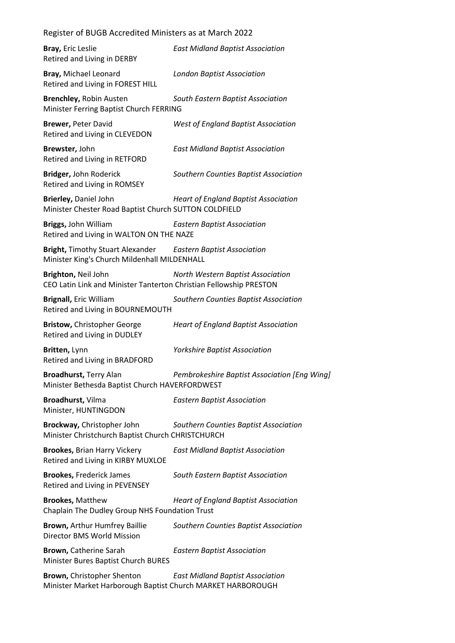| Register of BUGB Accredited Ministers as at March 2022                                                              |                                              |
|---------------------------------------------------------------------------------------------------------------------|----------------------------------------------|
| Bray, Eric Leslie<br>Retired and Living in DERBY                                                                    | <b>East Midland Baptist Association</b>      |
| Bray, Michael Leonard<br>Retired and Living in FOREST HILL                                                          | <b>London Baptist Association</b>            |
| <b>Brenchley, Robin Austen</b><br>Minister Ferring Baptist Church FERRING                                           | South Eastern Baptist Association            |
| <b>Brewer, Peter David</b><br>Retired and Living in CLEVEDON                                                        | <b>West of England Baptist Association</b>   |
| Brewster, John<br>Retired and Living in RETFORD                                                                     | <b>East Midland Baptist Association</b>      |
| Bridger, John Roderick<br>Retired and Living in ROMSEY                                                              | Southern Counties Baptist Association        |
| Brierley, Daniel John<br>Minister Chester Road Baptist Church SUTTON COLDFIELD                                      | <b>Heart of England Baptist Association</b>  |
| Briggs, John William<br>Retired and Living in WALTON ON THE NAZE                                                    | <b>Eastern Baptist Association</b>           |
| <b>Bright, Timothy Stuart Alexander Eastern Baptist Association</b><br>Minister King's Church Mildenhall MILDENHALL |                                              |
| Brighton, Neil John<br>CEO Latin Link and Minister Tanterton Christian Fellowship PRESTON                           | North Western Baptist Association            |
| <b>Brignall, Eric William</b><br>Retired and Living in BOURNEMOUTH                                                  | Southern Counties Baptist Association        |
| Bristow, Christopher George<br>Retired and Living in DUDLEY                                                         | <b>Heart of England Baptist Association</b>  |
| Britten, Lynn<br>Retired and Living in BRADFORD                                                                     | <b>Yorkshire Baptist Association</b>         |
| <b>Broadhurst, Terry Alan</b><br>Minister Bethesda Baptist Church HAVERFORDWEST                                     | Pembrokeshire Baptist Association [Eng Wing] |
| Broadhurst, Vilma<br>Minister, HUNTINGDON                                                                           | <b>Eastern Baptist Association</b>           |
| Brockway, Christopher John<br>Minister Christchurch Baptist Church CHRISTCHURCH                                     | Southern Counties Baptist Association        |
| <b>Brookes, Brian Harry Vickery</b><br>Retired and Living in KIRBY MUXLOE                                           | <b>East Midland Baptist Association</b>      |
| <b>Brookes, Frederick James</b><br>Retired and Living in PEVENSEY                                                   | South Eastern Baptist Association            |
| <b>Brookes, Matthew</b><br>Chaplain The Dudley Group NHS Foundation Trust                                           | <b>Heart of England Baptist Association</b>  |
| Brown, Arthur Humfrey Baillie<br>Director BMS World Mission                                                         | Southern Counties Baptist Association        |
| Brown, Catherine Sarah<br>Minister Bures Baptist Church BURES                                                       | <b>Eastern Baptist Association</b>           |
| Brown, Christopher Shenton<br>Minister Market Harborough Baptist Church MARKET HARBOROUGH                           | <b>East Midland Baptist Association</b>      |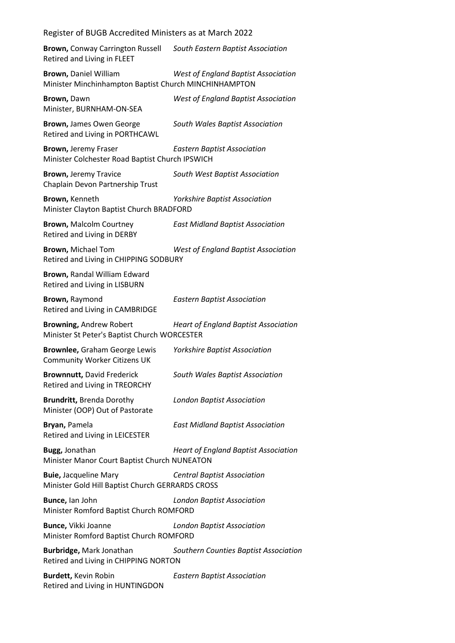**Brown,** Conway Carrington Russell *South Eastern Baptist Association* Retired and Living in FLEET

**Brown,** Daniel William *West of England Baptist Association* Minister Minchinhampton Baptist Church MINCHINHAMPTON

**Brown,** Dawn *West of England Baptist Association* Minister, BURNHAM-ON-SEA **Brown,** James Owen George *South Wales Baptist Association* Retired and Living in PORTHCAWL

**Brown,** Jeremy Fraser *Eastern Baptist Association* Minister Colchester Road Baptist Church IPSWICH

**Brown,** Jeremy Travice *South West Baptist Association* Chaplain Devon Partnership Trust

**Brown,** Kenneth *Yorkshire Baptist Association* Minister Clayton Baptist Church BRADFORD

**Brown,** Malcolm Courtney *East Midland Baptist Association* Retired and Living in DERBY

**Brown,** Michael Tom *West of England Baptist Association* Retired and Living in CHIPPING SODBURY

**Brown,** Randal William Edward Retired and Living in LISBURN

**Brown,** Raymond *Eastern Baptist Association* Retired and Living in CAMBRIDGE

**Browning,** Andrew Robert *Heart of England Baptist Association* Minister St Peter's Baptist Church WORCESTER

**Brownlee,** Graham George Lewis *Yorkshire Baptist Association* Community Worker Citizens UK

**Brownnutt,** David Frederick *South Wales Baptist Association* Retired and Living in TREORCHY

**Brundritt,** Brenda Dorothy *London Baptist Association* Minister (OOP) Out of Pastorate

**Bryan,** Pamela *East Midland Baptist Association* Retired and Living in LEICESTER

**Bugg,** Jonathan *Heart of England Baptist Association* Minister Manor Court Baptist Church NUNEATON

**Buie,** Jacqueline Mary *Central Baptist Association* Minister Gold Hill Baptist Church GERRARDS CROSS

**Bunce,** Ian John *London Baptist Association* Minister Romford Baptist Church ROMFORD

**Bunce,** Vikki Joanne *London Baptist Association* Minister Romford Baptist Church ROMFORD

**Burbridge,** Mark Jonathan *Southern Counties Baptist Association* Retired and Living in CHIPPING NORTON

**Burdett,** Kevin Robin *Eastern Baptist Association* Retired and Living in HUNTINGDON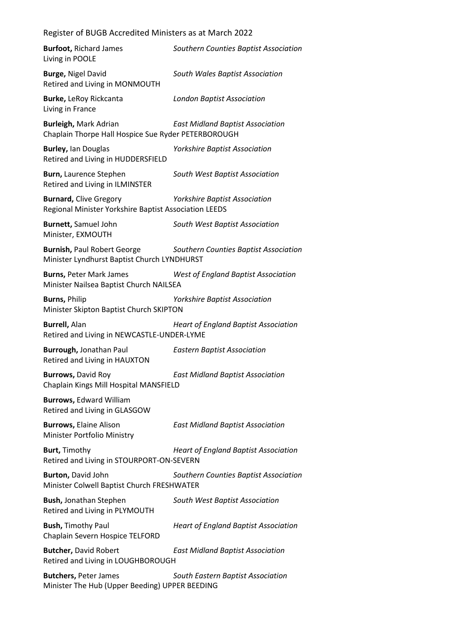| <b>Burfoot, Richard James</b><br>Living in POOLE                                       | Southern Counties Baptist Association       |
|----------------------------------------------------------------------------------------|---------------------------------------------|
| <b>Burge, Nigel David</b><br>Retired and Living in MONMOUTH                            | South Wales Baptist Association             |
| Burke, LeRoy Rickcanta<br>Living in France                                             | <b>London Baptist Association</b>           |
| <b>Burleigh, Mark Adrian</b><br>Chaplain Thorpe Hall Hospice Sue Ryder PETERBOROUGH    | <b>East Midland Baptist Association</b>     |
| <b>Burley, lan Douglas</b><br>Retired and Living in HUDDERSFIELD                       | <b>Yorkshire Baptist Association</b>        |
| Burn, Laurence Stephen<br>Retired and Living in ILMINSTER                              | South West Baptist Association              |
| <b>Burnard, Clive Gregory</b><br>Regional Minister Yorkshire Baptist Association LEEDS | <b>Yorkshire Baptist Association</b>        |
| <b>Burnett, Samuel John</b><br>Minister, EXMOUTH                                       | South West Baptist Association              |
| <b>Burnish, Paul Robert George</b><br>Minister Lyndhurst Baptist Church LYNDHURST      | Southern Counties Baptist Association       |
| <b>Burns, Peter Mark James</b><br>Minister Nailsea Baptist Church NAILSEA              | West of England Baptist Association         |
| <b>Burns, Philip</b><br>Minister Skipton Baptist Church SKIPTON                        | <b>Yorkshire Baptist Association</b>        |
|                                                                                        |                                             |
| <b>Burrell, Alan</b><br>Retired and Living in NEWCASTLE-UNDER-LYME                     | <b>Heart of England Baptist Association</b> |
| Burrough, Jonathan Paul<br>Retired and Living in HAUXTON                               | <b>Eastern Baptist Association</b>          |
| <b>Burrows, David Roy</b><br>Chaplain Kings Mill Hospital MANSFIELD                    | <b>East Midland Baptist Association</b>     |
| <b>Burrows, Edward William</b><br>Retired and Living in GLASGOW                        |                                             |
| <b>Burrows, Elaine Alison</b><br>Minister Portfolio Ministry                           | <b>East Midland Baptist Association</b>     |
| <b>Burt, Timothy</b><br>Retired and Living in STOURPORT-ON-SEVERN                      | <b>Heart of England Baptist Association</b> |
| Burton, David John<br>Minister Colwell Baptist Church FRESHWATER                       | Southern Counties Baptist Association       |
| <b>Bush, Jonathan Stephen</b><br>Retired and Living in PLYMOUTH                        | South West Baptist Association              |
| <b>Bush, Timothy Paul</b><br>Chaplain Severn Hospice TELFORD                           | <b>Heart of England Baptist Association</b> |
| <b>Butcher, David Robert</b><br>Retired and Living in LOUGHBOROUGH                     | <b>East Midland Baptist Association</b>     |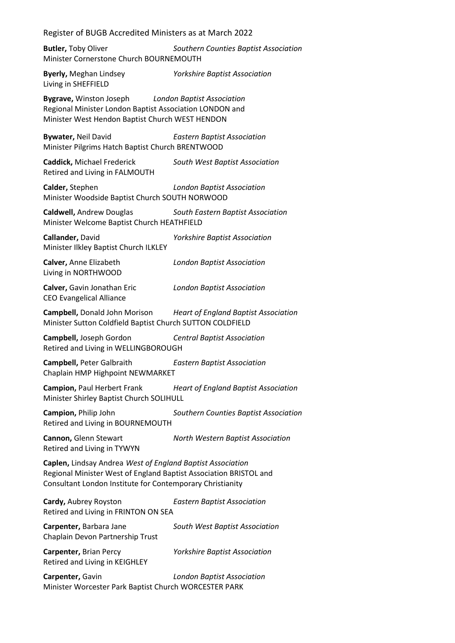Register of BUGB Accredited Ministers as at March 2022 **Butler,** Toby Oliver *Southern Counties Baptist Association* Minister Cornerstone Church BOURNEMOUTH **Byerly,** Meghan Lindsey *Yorkshire Baptist Association* Living in SHEFFIELD **Bygrave,** Winston Joseph *London Baptist Association* Regional Minister London Baptist Association LONDON and Minister West Hendon Baptist Church WEST HENDON **Bywater,** Neil David *Eastern Baptist Association* Minister Pilgrims Hatch Baptist Church BRENTWOOD **Caddick,** Michael Frederick *South West Baptist Association* Retired and Living in FALMOUTH **Calder,** Stephen *London Baptist Association* Minister Woodside Baptist Church SOUTH NORWOOD **Caldwell,** Andrew Douglas *South Eastern Baptist Association* Minister Welcome Baptist Church HEATHFIELD **Callander,** David *Yorkshire Baptist Association* Minister Ilkley Baptist Church ILKLEY **Calver,** Anne Elizabeth *London Baptist Association* Living in NORTHWOOD **Calver,** Gavin Jonathan Eric *London Baptist Association* CEO Evangelical Alliance **Campbell,** Donald John Morison *Heart of England Baptist Association* Minister Sutton Coldfield Baptist Church SUTTON COLDFIELD **Campbell,** Joseph Gordon *Central Baptist Association* Retired and Living in WELLINGBOROUGH **Campbell,** Peter Galbraith *Eastern Baptist Association* Chaplain HMP Highpoint NEWMARKET **Campion,** Paul Herbert Frank *Heart of England Baptist Association* Minister Shirley Baptist Church SOLIHULL **Campion,** Philip John *Southern Counties Baptist Association* Retired and Living in BOURNEMOUTH **Cannon,** Glenn Stewart *North Western Baptist Association* Retired and Living in TYWYN **Caplen,** Lindsay Andrea *West of England Baptist Association* Regional Minister West of England Baptist Association BRISTOL and Consultant London Institute for Contemporary Christianity **Cardy,** Aubrey Royston *Eastern Baptist Association* Retired and Living in FRINTON ON SEA **Carpenter,** Barbara Jane *South West Baptist Association* Chaplain Devon Partnership Trust **Carpenter,** Brian Percy *Yorkshire Baptist Association* Retired and Living in KEIGHLEY **Carpenter,** Gavin *London Baptist Association* Minister Worcester Park Baptist Church WORCESTER PARK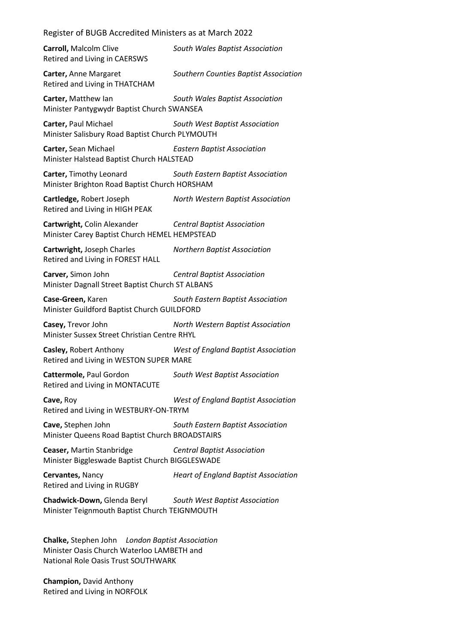**Carroll,** Malcolm Clive *South Wales Baptist Association* Retired and Living in CAERSWS **Carter,** Anne Margaret *Southern Counties Baptist Association* Retired and Living in THATCHAM **Carter,** Matthew Ian *South Wales Baptist Association* Minister Pantygwydr Baptist Church SWANSEA **Carter,** Paul Michael *South West Baptist Association* Minister Salisbury Road Baptist Church PLYMOUTH **Carter,** Sean Michael *Eastern Baptist Association* Minister Halstead Baptist Church HALSTEAD **Carter,** Timothy Leonard *South Eastern Baptist Association* Minister Brighton Road Baptist Church HORSHAM **Cartledge,** Robert Joseph *North Western Baptist Association* Retired and Living in HIGH PEAK **Cartwright,** Colin Alexander *Central Baptist Association* Minister Carey Baptist Church HEMEL HEMPSTEAD **Cartwright,** Joseph Charles *Northern Baptist Association* Retired and Living in FOREST HALL **Carver,** Simon John *Central Baptist Association* Minister Dagnall Street Baptist Church ST ALBANS **Case-Green,** Karen *South Eastern Baptist Association* Minister Guildford Baptist Church GUILDFORD **Casey,** Trevor John *North Western Baptist Association* Minister Sussex Street Christian Centre RHYL **Casley,** Robert Anthony *West of England Baptist Association* Retired and Living in WESTON SUPER MARE **Cattermole,** Paul Gordon *South West Baptist Association* Retired and Living in MONTACUTE **Cave,** Roy *West of England Baptist Association* Retired and Living in WESTBURY-ON-TRYM **Cave,** Stephen John *South Eastern Baptist Association* Minister Queens Road Baptist Church BROADSTAIRS **Ceaser,** Martin Stanbridge *Central Baptist Association* Minister Biggleswade Baptist Church BIGGLESWADE **Cervantes,** Nancy *Heart of England Baptist Association* Retired and Living in RUGBY **Chadwick-Down,** Glenda Beryl *South West Baptist Association* Minister Teignmouth Baptist Church TEIGNMOUTH

**Chalke,** Stephen John *London Baptist Association* Minister Oasis Church Waterloo LAMBETH and National Role Oasis Trust SOUTHWARK

**Champion,** David Anthony Retired and Living in NORFOLK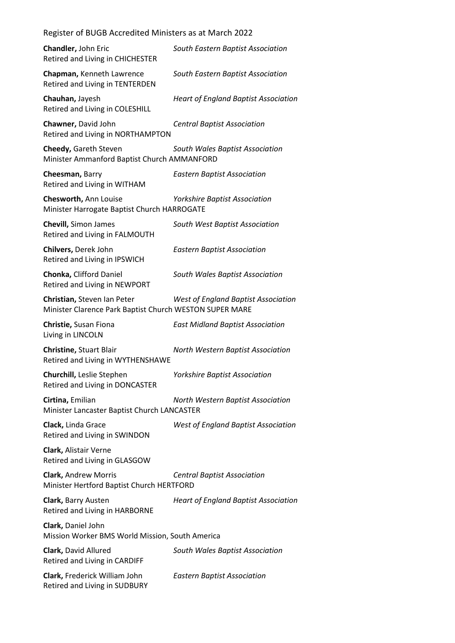| Register of BUGB Accredited Ministers as at March 2022                                 |                                             |
|----------------------------------------------------------------------------------------|---------------------------------------------|
| Chandler, John Eric<br>Retired and Living in CHICHESTER                                | South Eastern Baptist Association           |
| Chapman, Kenneth Lawrence<br>Retired and Living in TENTERDEN                           | South Eastern Baptist Association           |
| Chauhan, Jayesh<br>Retired and Living in COLESHILL                                     | <b>Heart of England Baptist Association</b> |
| Chawner, David John<br>Retired and Living in NORTHAMPTON                               | <b>Central Baptist Association</b>          |
| Cheedy, Gareth Steven<br>Minister Ammanford Baptist Church AMMANFORD                   | South Wales Baptist Association             |
| Cheesman, Barry<br>Retired and Living in WITHAM                                        | <b>Eastern Baptist Association</b>          |
| Chesworth, Ann Louise<br>Minister Harrogate Baptist Church HARROGATE                   | <b>Yorkshire Baptist Association</b>        |
| <b>Chevill, Simon James</b><br>Retired and Living in FALMOUTH                          | South West Baptist Association              |
| Chilvers, Derek John<br>Retired and Living in IPSWICH                                  | <b>Eastern Baptist Association</b>          |
| Chonka, Clifford Daniel<br>Retired and Living in NEWPORT                               | South Wales Baptist Association             |
| Christian, Steven Ian Peter<br>Minister Clarence Park Baptist Church WESTON SUPER MARE | <b>West of England Baptist Association</b>  |
| Christie, Susan Fiona<br>Living in LINCOLN                                             | <b>East Midland Baptist Association</b>     |
| Christine, Stuart Blair<br>Retired and Living in WYTHENSHAWE                           | North Western Baptist Association           |
| Churchill, Leslie Stephen<br>Retired and Living in DONCASTER                           | <b>Yorkshire Baptist Association</b>        |
| Cirtina, Emilian<br>Minister Lancaster Baptist Church LANCASTER                        | North Western Baptist Association           |
| Clack, Linda Grace<br>Retired and Living in SWINDON                                    | <b>West of England Baptist Association</b>  |
| Clark, Alistair Verne<br>Retired and Living in GLASGOW                                 |                                             |
| Clark, Andrew Morris<br>Minister Hertford Baptist Church HERTFORD                      | <b>Central Baptist Association</b>          |
| Clark, Barry Austen<br>Retired and Living in HARBORNE                                  | <b>Heart of England Baptist Association</b> |
| Clark, Daniel John<br>Mission Worker BMS World Mission, South America                  |                                             |
| Clark, David Allured<br>Retired and Living in CARDIFF                                  | South Wales Baptist Association             |
| Clark, Frederick William John<br>Retired and Living in SUDBURY                         | <b>Eastern Baptist Association</b>          |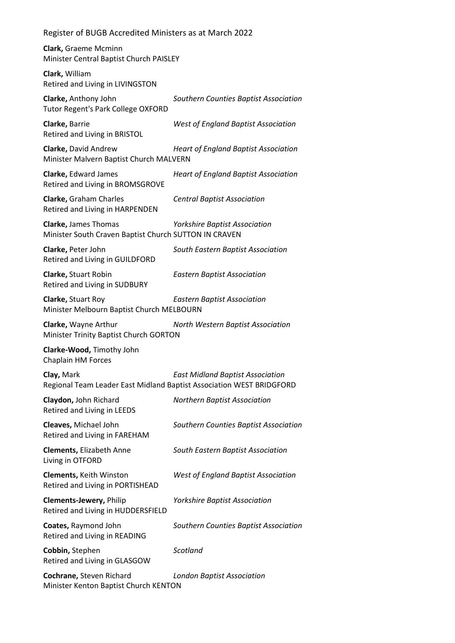**Clark,** Graeme Mcminn Minister Central Baptist Church PAISLEY

**Clark,** William Retired and Living in LIVINGSTON

**Clarke,** Anthony John *Southern Counties Baptist Association* Tutor Regent's Park College OXFORD

**Clarke,** Barrie *West of England Baptist Association* Retired and Living in BRISTOL

**Clarke,** David Andrew *Heart of England Baptist Association* Minister Malvern Baptist Church MALVERN

**Clarke,** Edward James *Heart of England Baptist Association* Retired and Living in BROMSGROVE

**Clarke,** Graham Charles *Central Baptist Association* Retired and Living in HARPENDEN

**Clarke,** James Thomas *Yorkshire Baptist Association* Minister South Craven Baptist Church SUTTON IN CRAVEN

**Clarke,** Peter John *South Eastern Baptist Association* Retired and Living in GUILDFORD

**Clarke,** Stuart Robin *Eastern Baptist Association* Retired and Living in SUDBURY

**Clarke,** Stuart Roy *Eastern Baptist Association* Minister Melbourn Baptist Church MELBOURN

**Clarke,** Wayne Arthur *North Western Baptist Association* Minister Trinity Baptist Church GORTON

**Clarke-Wood,** Timothy John Chaplain HM Forces

**Clay,** Mark *East Midland Baptist Association* Regional Team Leader East Midland Baptist Association WEST BRIDGFORD

**Claydon,** John Richard *Northern Baptist Association* Retired and Living in LEEDS

**Cleaves,** Michael John *Southern Counties Baptist Association* Retired and Living in FAREHAM

**Clements,** Elizabeth Anne *South Eastern Baptist Association* Living in OTFORD

**Clements,** Keith Winston *West of England Baptist Association* Retired and Living in PORTISHEAD

**Clements-Jewery,** Philip *Yorkshire Baptist Association* Retired and Living in HUDDERSFIELD

**Coates,** Raymond John *Southern Counties Baptist Association* Retired and Living in READING

**Cobbin,** Stephen *Scotland* Retired and Living in GLASGOW

**Cochrane,** Steven Richard *London Baptist Association* Minister Kenton Baptist Church KENTON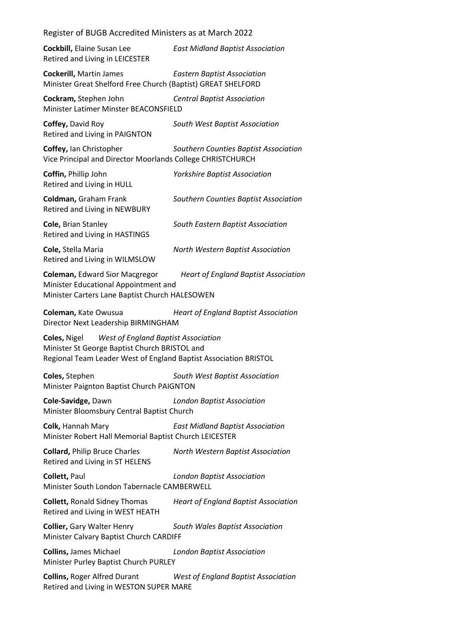| Register of BUGB Accredited Ministers as at March 2022                                                                                                                          |                                             |  |
|---------------------------------------------------------------------------------------------------------------------------------------------------------------------------------|---------------------------------------------|--|
| Cockbill, Elaine Susan Lee<br>Retired and Living in LEICESTER                                                                                                                   | <b>East Midland Baptist Association</b>     |  |
| <b>Cockerill, Martin James</b><br>Minister Great Shelford Free Church (Baptist) GREAT SHELFORD                                                                                  | <b>Eastern Baptist Association</b>          |  |
| Cockram, Stephen John<br>Minister Latimer Minster BEACONSFIELD                                                                                                                  | <b>Central Baptist Association</b>          |  |
| Coffey, David Roy<br>Retired and Living in PAIGNTON                                                                                                                             | South West Baptist Association              |  |
| Coffey, Ian Christopher<br>Vice Principal and Director Moorlands College CHRISTCHURCH                                                                                           | Southern Counties Baptist Association       |  |
| Coffin, Phillip John<br>Retired and Living in HULL                                                                                                                              | <b>Yorkshire Baptist Association</b>        |  |
| Coldman, Graham Frank<br>Retired and Living in NEWBURY                                                                                                                          | Southern Counties Baptist Association       |  |
| Cole, Brian Stanley<br>Retired and Living in HASTINGS                                                                                                                           | South Eastern Baptist Association           |  |
| Cole, Stella Maria<br>Retired and Living in WILMSLOW                                                                                                                            | North Western Baptist Association           |  |
| <b>Coleman, Edward Sior Macgregor</b><br>Minister Educational Appointment and<br>Minister Carters Lane Baptist Church HALESOWEN                                                 | <b>Heart of England Baptist Association</b> |  |
| Coleman, Kate Owusua<br>Director Next Leadership BIRMINGHAM                                                                                                                     | <b>Heart of England Baptist Association</b> |  |
| <b>West of England Baptist Association</b><br>Coles, Nigel<br>Minister St George Baptist Church BRISTOL and<br>Regional Team Leader West of England Baptist Association BRISTOL |                                             |  |
| Coles, Stephen<br>Minister Paignton Baptist Church PAIGNTON                                                                                                                     | South West Baptist Association              |  |
| Cole-Savidge, Dawn<br>Minister Bloomsbury Central Baptist Church                                                                                                                | <b>London Baptist Association</b>           |  |
| Colk, Hannah Mary<br>Minister Robert Hall Memorial Baptist Church LEICESTER                                                                                                     | <b>East Midland Baptist Association</b>     |  |
| <b>Collard, Philip Bruce Charles</b><br>Retired and Living in ST HELENS                                                                                                         | North Western Baptist Association           |  |
| Collett, Paul<br>Minister South London Tabernacle CAMBERWELL                                                                                                                    | <b>London Baptist Association</b>           |  |
| <b>Collett, Ronald Sidney Thomas</b><br>Retired and Living in WEST HEATH                                                                                                        | <b>Heart of England Baptist Association</b> |  |
|                                                                                                                                                                                 |                                             |  |
| <b>Collier, Gary Walter Henry</b><br>Minister Calvary Baptist Church CARDIFF                                                                                                    | South Wales Baptist Association             |  |
| <b>Collins, James Michael</b><br>Minister Purley Baptist Church PURLEY                                                                                                          | <b>London Baptist Association</b>           |  |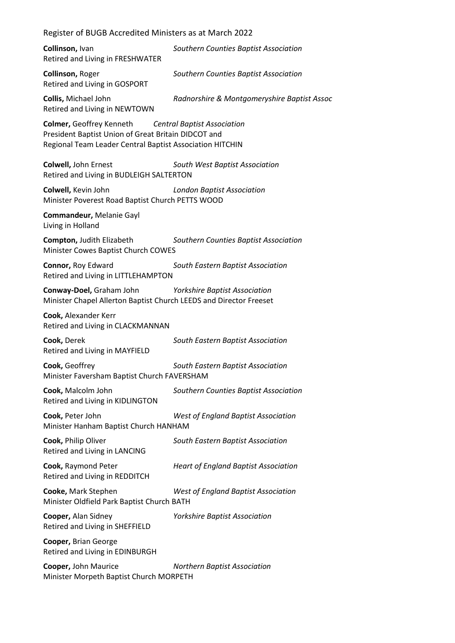**Collinson,** Ivan *Southern Counties Baptist Association* Retired and Living in FRESHWATER

**Collinson,** Roger *Southern Counties Baptist Association* Retired and Living in GOSPORT

**Collis,** Michael John *Radnorshire & Montgomeryshire Baptist Assoc*

Retired and Living in NEWTOWN

**Colmer,** Geoffrey Kenneth *Central Baptist Association* President Baptist Union of Great Britain DIDCOT and Regional Team Leader Central Baptist Association HITCHIN

**Colwell,** John Ernest *South West Baptist Association* Retired and Living in BUDLEIGH SALTERTON

**Colwell,** Kevin John *London Baptist Association* Minister Poverest Road Baptist Church PETTS WOOD

**Commandeur,** Melanie Gayl Living in Holland

**Compton,** Judith Elizabeth *Southern Counties Baptist Association* Minister Cowes Baptist Church COWES

**Connor,** Roy Edward *South Eastern Baptist Association* Retired and Living in LITTLEHAMPTON

**Conway-Doel,** Graham John *Yorkshire Baptist Association* Minister Chapel Allerton Baptist Church LEEDS and Director Freeset

**Cook,** Alexander Kerr Retired and Living in CLACKMANNAN

**Cook,** Derek *South Eastern Baptist Association* Retired and Living in MAYFIELD

**Cook,** Geoffrey *South Eastern Baptist Association* Minister Faversham Baptist Church FAVERSHAM

**Cook,** Malcolm John *Southern Counties Baptist Association* Retired and Living in KIDLINGTON

**Cook,** Peter John *West of England Baptist Association* Minister Hanham Baptist Church HANHAM

**Cook,** Philip Oliver *South Eastern Baptist Association* Retired and Living in LANCING

**Cook,** Raymond Peter *Heart of England Baptist Association* Retired and Living in REDDITCH

**Cooke,** Mark Stephen *West of England Baptist Association* Minister Oldfield Park Baptist Church BATH

**Cooper,** Alan Sidney *Yorkshire Baptist Association* Retired and Living in SHEFFIELD

**Cooper,** Brian George Retired and Living in EDINBURGH

**Cooper,** John Maurice *Northern Baptist Association* Minister Morpeth Baptist Church MORPETH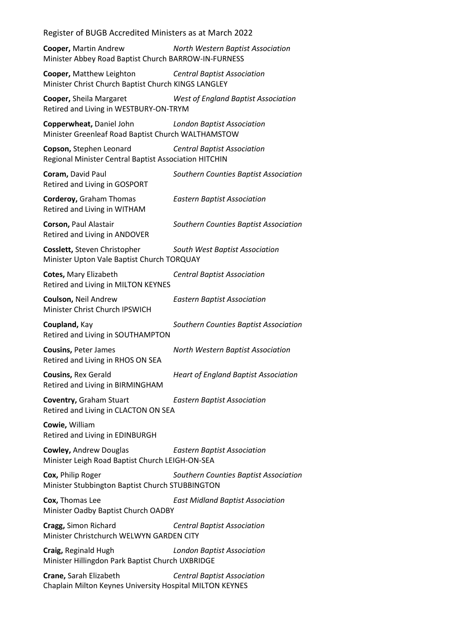**Cooper,** Martin Andrew *North Western Baptist Association* Minister Abbey Road Baptist Church BARROW-IN-FURNESS

**Cooper,** Matthew Leighton *Central Baptist Association* Minister Christ Church Baptist Church KINGS LANGLEY

**Cooper,** Sheila Margaret *West of England Baptist Association* Retired and Living in WESTBURY-ON-TRYM

**Copperwheat,** Daniel John *London Baptist Association* Minister Greenleaf Road Baptist Church WALTHAMSTOW

**Copson,** Stephen Leonard *Central Baptist Association* Regional Minister Central Baptist Association HITCHIN

**Coram,** David Paul *Southern Counties Baptist Association* Retired and Living in GOSPORT

**Corderoy,** Graham Thomas *Eastern Baptist Association* Retired and Living in WITHAM

**Corson,** Paul Alastair *Southern Counties Baptist Association* Retired and Living in ANDOVER

**Cosslett,** Steven Christopher *South West Baptist Association* Minister Upton Vale Baptist Church TORQUAY

**Cotes,** Mary Elizabeth *Central Baptist Association* Retired and Living in MILTON KEYNES

**Coulson,** Neil Andrew *Eastern Baptist Association* Minister Christ Church IPSWICH

**Coupland,** Kay *Southern Counties Baptist Association* Retired and Living in SOUTHAMPTON

**Cousins,** Peter James *North Western Baptist Association* Retired and Living in RHOS ON SEA

**Cousins,** Rex Gerald *Heart of England Baptist Association* Retired and Living in BIRMINGHAM

**Coventry,** Graham Stuart *Eastern Baptist Association* Retired and Living in CLACTON ON SEA

**Cowie,** William Retired and Living in EDINBURGH

**Cowley,** Andrew Douglas *Eastern Baptist Association* Minister Leigh Road Baptist Church LEIGH-ON-SEA

**Cox,** Philip Roger *Southern Counties Baptist Association* Minister Stubbington Baptist Church STUBBINGTON

**Cox,** Thomas Lee *East Midland Baptist Association* Minister Oadby Baptist Church OADBY

**Cragg,** Simon Richard *Central Baptist Association* Minister Christchurch WELWYN GARDEN CITY

**Craig,** Reginald Hugh *London Baptist Association* Minister Hillingdon Park Baptist Church UXBRIDGE

**Crane,** Sarah Elizabeth *Central Baptist Association* Chaplain Milton Keynes University Hospital MILTON KEYNES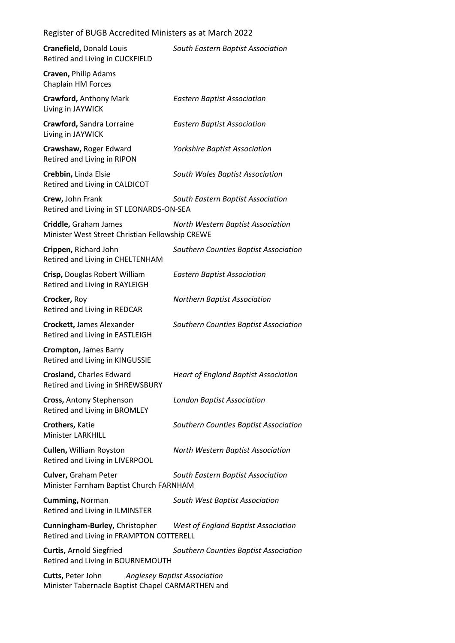| Register of BUGB Accredited Ministers as at March 2022 |  |
|--------------------------------------------------------|--|
|--------------------------------------------------------|--|

| Cranefield, Donald Louis<br>Retired and Living in CUCKFIELD                | South Eastern Baptist Association           |
|----------------------------------------------------------------------------|---------------------------------------------|
| Craven, Philip Adams<br>Chaplain HM Forces                                 |                                             |
| <b>Crawford, Anthony Mark</b><br>Living in JAYWICK                         | <b>Eastern Baptist Association</b>          |
| Crawford, Sandra Lorraine<br>Living in JAYWICK                             | <b>Eastern Baptist Association</b>          |
| Crawshaw, Roger Edward<br>Retired and Living in RIPON                      | <b>Yorkshire Baptist Association</b>        |
| Crebbin, Linda Elsie<br>Retired and Living in CALDICOT                     | South Wales Baptist Association             |
| Crew, John Frank<br>Retired and Living in ST LEONARDS-ON-SEA               | South Eastern Baptist Association           |
| Criddle, Graham James<br>Minister West Street Christian Fellowship CREWE   | North Western Baptist Association           |
| Crippen, Richard John<br>Retired and Living in CHELTENHAM                  | Southern Counties Baptist Association       |
| Crisp, Douglas Robert William<br>Retired and Living in RAYLEIGH            | <b>Eastern Baptist Association</b>          |
| Crocker, Roy<br>Retired and Living in REDCAR                               | <b>Northern Baptist Association</b>         |
| <b>Crockett, James Alexander</b><br>Retired and Living in EASTLEIGH        | Southern Counties Baptist Association       |
| Crompton, James Barry<br>Retired and Living in KINGUSSIE                   |                                             |
| <b>Crosland, Charles Edward</b><br><b>Retired and Living in SHREWSBURY</b> | <b>Heart of England Baptist Association</b> |
| Cross, Antony Stephenson<br>Retired and Living in BROMLEY                  | <b>London Baptist Association</b>           |
| Crothers, Katie<br><b>Minister LARKHILL</b>                                | Southern Counties Baptist Association       |
| <b>Cullen, William Royston</b><br>Retired and Living in LIVERPOOL          | North Western Baptist Association           |
| <b>Culver, Graham Peter</b><br>Minister Farnham Baptist Church FARNHAM     | South Eastern Baptist Association           |
| <b>Cumming, Norman</b><br>Retired and Living in ILMINSTER                  | South West Baptist Association              |
| Cunningham-Burley, Christopher<br>Retired and Living in FRAMPTON COTTERELL | <b>West of England Baptist Association</b>  |
| <b>Curtis, Arnold Siegfried</b><br>Retired and Living in BOURNEMOUTH       | Southern Counties Baptist Association       |
| Cutts, Peter John<br>Minister Tabernacle Baptist Chapel CARMARTHEN and     | <b>Anglesey Baptist Association</b>         |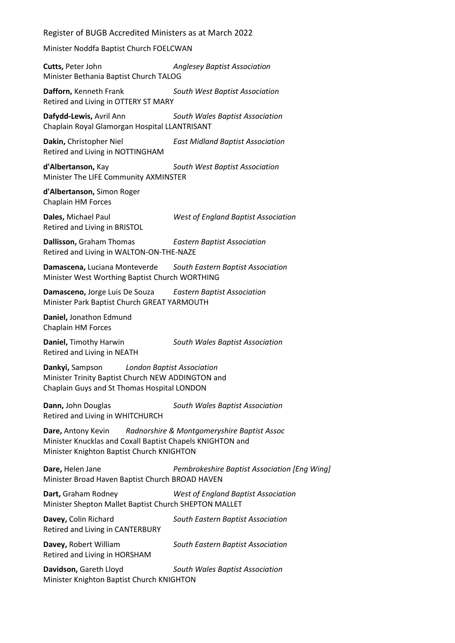Minister Noddfa Baptist Church FOELCWAN

**Cutts,** Peter John *Anglesey Baptist Association* Minister Bethania Baptist Church TALOG

**Dafforn,** Kenneth Frank *South West Baptist Association* Retired and Living in OTTERY ST MARY

**Dafydd-Lewis,** Avril Ann *South Wales Baptist Association* Chaplain Royal Glamorgan Hospital LLANTRISANT

**Dakin,** Christopher Niel *East Midland Baptist Association* Retired and Living in NOTTINGHAM

**d'Albertanson,** Kay *South West Baptist Association* Minister The LIFE Community AXMINSTER

**d'Albertanson,** Simon Roger Chaplain HM Forces

**Dales,** Michael Paul *West of England Baptist Association* Retired and Living in BRISTOL

**Dallisson,** Graham Thomas *Eastern Baptist Association* Retired and Living in WALTON-ON-THE-NAZE

**Damascena,** Luciana Monteverde *South Eastern Baptist Association* Minister West Worthing Baptist Church WORTHING

**Damasceno,** Jorge Luis De Souza *Eastern Baptist Association* Minister Park Baptist Church GREAT YARMOUTH

**Daniel,** Jonathon Edmund Chaplain HM Forces

Retired and Living in NEATH

**Daniel,** Timothy Harwin *South Wales Baptist Association*

**Dankyi,** Sampson *London Baptist Association* Minister Trinity Baptist Church NEW ADDINGTON and Chaplain Guys and St Thomas Hospital LONDON

**Dann,** John Douglas *South Wales Baptist Association* Retired and Living in WHITCHURCH

**Dare,** Antony Kevin *Radnorshire & Montgomeryshire Baptist Assoc* Minister Knucklas and Coxall Baptist Chapels KNIGHTON and Minister Knighton Baptist Church KNIGHTON

**Dare,** Helen Jane *Pembrokeshire Baptist Association [Eng Wing]* Minister Broad Haven Baptist Church BROAD HAVEN

**Dart,** Graham Rodney *West of England Baptist Association* Minister Shepton Mallet Baptist Church SHEPTON MALLET

**Davey,** Colin Richard *South Eastern Baptist Association* Retired and Living in CANTERBURY

**Davey,** Robert William *South Eastern Baptist Association* Retired and Living in HORSHAM

**Davidson,** Gareth Lloyd *South Wales Baptist Association* Minister Knighton Baptist Church KNIGHTON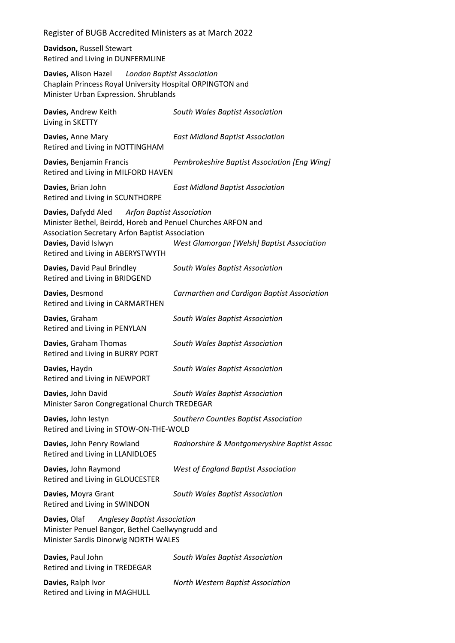**Davidson,** Russell Stewart Retired and Living in DUNFERMLINE

**Davies,** Alison Hazel *London Baptist Association* Chaplain Princess Royal University Hospital ORPINGTON and Minister Urban Expression. Shrublands

| Davies, Andrew Keith<br>Living in SKETTY                                                                                                                                                                                      | South Wales Baptist Association              |
|-------------------------------------------------------------------------------------------------------------------------------------------------------------------------------------------------------------------------------|----------------------------------------------|
| Davies, Anne Mary<br>Retired and Living in NOTTINGHAM                                                                                                                                                                         | <b>East Midland Baptist Association</b>      |
| Davies, Benjamin Francis<br>Retired and Living in MILFORD HAVEN                                                                                                                                                               | Pembrokeshire Baptist Association [Eng Wing] |
| Davies, Brian John<br>Retired and Living in SCUNTHORPE                                                                                                                                                                        | <b>East Midland Baptist Association</b>      |
| Davies, Dafydd Aled Arfon Baptist Association<br>Minister Bethel, Beirdd, Horeb and Penuel Churches ARFON and<br>Association Secretary Arfon Baptist Association<br>Davies, David Islwyn<br>Retired and Living in ABERYSTWYTH | West Glamorgan [Welsh] Baptist Association   |
| Davies, David Paul Brindley<br>Retired and Living in BRIDGEND                                                                                                                                                                 | South Wales Baptist Association              |
| Davies, Desmond<br>Retired and Living in CARMARTHEN                                                                                                                                                                           | Carmarthen and Cardigan Baptist Association  |
| Davies, Graham<br>Retired and Living in PENYLAN                                                                                                                                                                               | South Wales Baptist Association              |
| Davies, Graham Thomas<br>Retired and Living in BURRY PORT                                                                                                                                                                     | South Wales Baptist Association              |
| Davies, Haydn<br>Retired and Living in NEWPORT                                                                                                                                                                                | South Wales Baptist Association              |
| Davies, John David<br>Minister Saron Congregational Church TREDEGAR                                                                                                                                                           | South Wales Baptist Association              |
| Davies, John lestyn<br>Retired and Living in STOW-ON-THE-WOLD                                                                                                                                                                 | Southern Counties Baptist Association        |
| Davies, John Penry Rowland<br>Retired and Living in LLANIDLOES                                                                                                                                                                | Radnorshire & Montgomeryshire Baptist Assoc  |
| Davies, John Raymond<br>Retired and Living in GLOUCESTER                                                                                                                                                                      | <b>West of England Baptist Association</b>   |
| Davies, Moyra Grant<br>Retired and Living in SWINDON                                                                                                                                                                          | South Wales Baptist Association              |
| Anglesey Baptist Association<br>Davies, Olaf<br>Minister Penuel Bangor, Bethel Caellwyngrudd and<br>Minister Sardis Dinorwig NORTH WALES                                                                                      |                                              |
| Davies, Paul John<br>Retired and Living in TREDEGAR                                                                                                                                                                           | South Wales Baptist Association              |
| Davies, Ralph Ivor<br>Retired and Living in MAGHULL                                                                                                                                                                           | North Western Baptist Association            |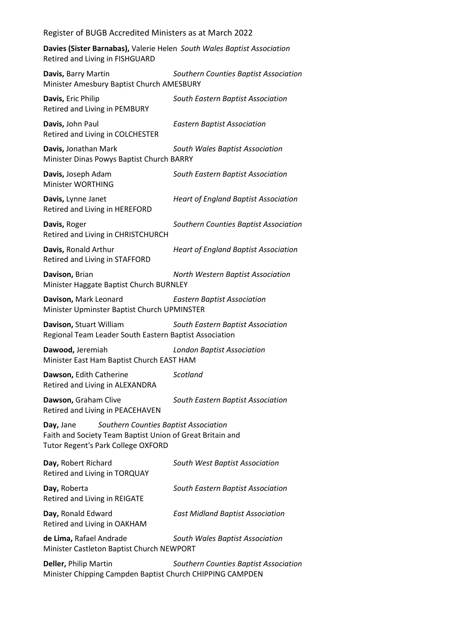**Davies (Sister Barnabas),** Valerie Helen *South Wales Baptist Association* Retired and Living in FISHGUARD

| Davis, Barry Martin<br>Minister Amesbury Baptist Church AMESBURY                                                                                             | Southern Counties Baptist Association       |
|--------------------------------------------------------------------------------------------------------------------------------------------------------------|---------------------------------------------|
| Davis, Eric Philip<br>Retired and Living in PEMBURY                                                                                                          | South Eastern Baptist Association           |
| Davis, John Paul<br>Retired and Living in COLCHESTER                                                                                                         | <b>Eastern Baptist Association</b>          |
| Davis, Jonathan Mark<br>Minister Dinas Powys Baptist Church BARRY                                                                                            | South Wales Baptist Association             |
| Davis, Joseph Adam<br>Minister WORTHING                                                                                                                      | South Eastern Baptist Association           |
| Davis, Lynne Janet<br>Retired and Living in HEREFORD                                                                                                         | <b>Heart of England Baptist Association</b> |
| Davis, Roger<br>Retired and Living in CHRISTCHURCH                                                                                                           | Southern Counties Baptist Association       |
| Davis, Ronald Arthur<br>Retired and Living in STAFFORD                                                                                                       | <b>Heart of England Baptist Association</b> |
| Davison, Brian<br>Minister Haggate Baptist Church BURNLEY                                                                                                    | North Western Baptist Association           |
| Davison, Mark Leonard<br>Minister Upminster Baptist Church UPMINSTER                                                                                         | <b>Eastern Baptist Association</b>          |
| Davison, Stuart William<br>Regional Team Leader South Eastern Baptist Association                                                                            | South Eastern Baptist Association           |
| Dawood, Jeremiah<br>Minister East Ham Baptist Church EAST HAM                                                                                                | <b>London Baptist Association</b>           |
| Dawson, Edith Catherine<br>Retired and Living in ALEXANDRA                                                                                                   | Scotland                                    |
| Dawson, Graham Clive<br>Retired and Living in PEACEHAVEN                                                                                                     | South Eastern Baptist Association           |
| Southern Counties Baptist Association<br>Day, Jane<br>Faith and Society Team Baptist Union of Great Britain and<br><b>Tutor Regent's Park College OXFORD</b> |                                             |
| Day, Robert Richard<br>Retired and Living in TORQUAY                                                                                                         | South West Baptist Association              |
| Day, Roberta<br>Retired and Living in REIGATE                                                                                                                | South Eastern Baptist Association           |
| Day, Ronald Edward<br>Retired and Living in OAKHAM                                                                                                           | <b>East Midland Baptist Association</b>     |
| de Lima, Rafael Andrade<br>Minister Castleton Baptist Church NEWPORT                                                                                         | South Wales Baptist Association             |
| Deller, Philip Martin<br>Minister Chipping Campden Baptist Church CHIPPING CAMPDEN                                                                           | Southern Counties Baptist Association       |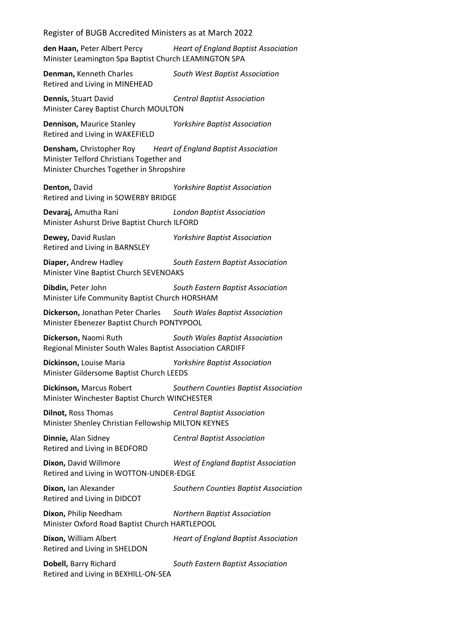**den Haan,** Peter Albert Percy *Heart of England Baptist Association* Minister Leamington Spa Baptist Church LEAMINGTON SPA

**Denman,** Kenneth Charles *South West Baptist Association* Retired and Living in MINEHEAD

**Dennis,** Stuart David *Central Baptist Association* Minister Carey Baptist Church MOULTON

**Dennison,** Maurice Stanley *Yorkshire Baptist Association* Retired and Living in WAKEFIELD

**Densham,** Christopher Roy *Heart of England Baptist Association* Minister Telford Christians Together and Minister Churches Together in Shropshire

**Denton,** David *Yorkshire Baptist Association* Retired and Living in SOWERBY BRIDGE

**Devaraj,** Amutha Rani *London Baptist Association* Minister Ashurst Drive Baptist Church ILFORD

**Dewey,** David Ruslan *Yorkshire Baptist Association* Retired and Living in BARNSLEY

**Diaper,** Andrew Hadley *South Eastern Baptist Association* Minister Vine Baptist Church SEVENOAKS

**Dibdin,** Peter John *South Eastern Baptist Association* Minister Life Community Baptist Church HORSHAM

**Dickerson,** Jonathan Peter Charles *South Wales Baptist Association* Minister Ebenezer Baptist Church PONTYPOOL

**Dickerson,** Naomi Ruth *South Wales Baptist Association* Regional Minister South Wales Baptist Association CARDIFF

**Dickinson,** Louise Maria *Yorkshire Baptist Association* Minister Gildersome Baptist Church LEEDS

**Dickinson,** Marcus Robert *Southern Counties Baptist Association* Minister Winchester Baptist Church WINCHESTER

**Dilnot,** Ross Thomas *Central Baptist Association* Minister Shenley Christian Fellowship MILTON KEYNES

**Dinnie,** Alan Sidney *Central Baptist Association* Retired and Living in BEDFORD

**Dixon,** David Willmore *West of England Baptist Association* Retired and Living in WOTTON-UNDER-EDGE

**Dixon,** Ian Alexander *Southern Counties Baptist Association* Retired and Living in DIDCOT

**Dixon,** Philip Needham *Northern Baptist Association* Minister Oxford Road Baptist Church HARTLEPOOL

**Dixon,** William Albert *Heart of England Baptist Association* Retired and Living in SHELDON

**Dobell,** Barry Richard *South Eastern Baptist Association* Retired and Living in BEXHILL-ON-SEA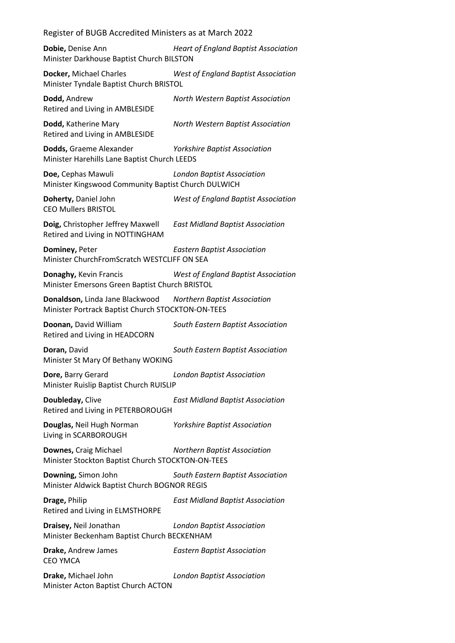**Dobie,** Denise Ann *Heart of England Baptist Association* Minister Darkhouse Baptist Church BILSTON

**Docker,** Michael Charles *West of England Baptist Association* Minister Tyndale Baptist Church BRISTOL

**Dodd,** Andrew *North Western Baptist Association* Retired and Living in AMBLESIDE

**Dodd,** Katherine Mary *North Western Baptist Association* Retired and Living in AMBLESIDE

**Dodds,** Graeme Alexander *Yorkshire Baptist Association* Minister Harehills Lane Baptist Church LEEDS

**Doe,** Cephas Mawuli *London Baptist Association* Minister Kingswood Community Baptist Church DULWICH

**Doherty,** Daniel John *West of England Baptist Association* CEO Mullers BRISTOL

**Doig,** Christopher Jeffrey Maxwell *East Midland Baptist Association* Retired and Living in NOTTINGHAM

**Dominey,** Peter *Eastern Baptist Association* Minister ChurchFromScratch WESTCLIFF ON SEA

**Donaghy,** Kevin Francis *West of England Baptist Association* Minister Emersons Green Baptist Church BRISTOL

**Donaldson,** Linda Jane Blackwood *Northern Baptist Association* Minister Portrack Baptist Church STOCKTON-ON-TEES

**Doonan,** David William *South Eastern Baptist Association* Retired and Living in HEADCORN

**Doran,** David *South Eastern Baptist Association* Minister St Mary Of Bethany WOKING

**Dore,** Barry Gerard *London Baptist Association* Minister Ruislip Baptist Church RUISLIP

**Doubleday,** Clive *East Midland Baptist Association* Retired and Living in PETERBOROUGH

**Douglas,** Neil Hugh Norman *Yorkshire Baptist Association* Living in SCARBOROUGH

**Downes,** Craig Michael *Northern Baptist Association* Minister Stockton Baptist Church STOCKTON-ON-TEES

**Downing,** Simon John *South Eastern Baptist Association* Minister Aldwick Baptist Church BOGNOR REGIS

**Drage,** Philip *East Midland Baptist Association* Retired and Living in ELMSTHORPE

**Draisey,** Neil Jonathan *London Baptist Association* Minister Beckenham Baptist Church BECKENHAM

**Drake,** Andrew James *Eastern Baptist Association* CEO YMCA

**Drake,** Michael John *London Baptist Association* Minister Acton Baptist Church ACTON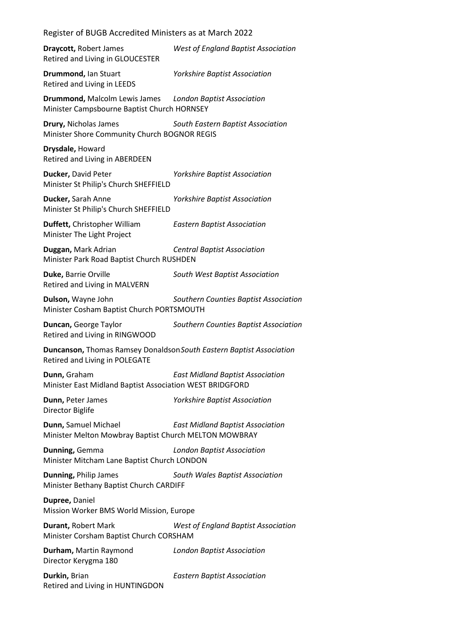**Draycott,** Robert James *West of England Baptist Association* Retired and Living in GLOUCESTER **Drummond,** Ian Stuart *Yorkshire Baptist Association* Retired and Living in LEEDS **Drummond,** Malcolm Lewis James *London Baptist Association* Minister Campsbourne Baptist Church HORNSEY **Drury,** Nicholas James *South Eastern Baptist Association* Minister Shore Community Church BOGNOR REGIS **Drysdale,** Howard Retired and Living in ABERDEEN **Ducker,** David Peter *Yorkshire Baptist Association* Minister St Philip's Church SHEFFIELD **Ducker,** Sarah Anne *Yorkshire Baptist Association* Minister St Philip's Church SHEFFIELD **Duffett,** Christopher William *Eastern Baptist Association* Minister The Light Project **Duggan,** Mark Adrian *Central Baptist Association* Minister Park Road Baptist Church RUSHDEN **Duke,** Barrie Orville *South West Baptist Association* Retired and Living in MALVERN **Dulson,** Wayne John *Southern Counties Baptist Association* Minister Cosham Baptist Church PORTSMOUTH **Duncan,** George Taylor *Southern Counties Baptist Association* Retired and Living in RINGWOOD **Duncanson,** Thomas Ramsey Donaldson*South Eastern Baptist Association* Retired and Living in POLEGATE **Dunn,** Graham *East Midland Baptist Association* Minister East Midland Baptist Association WEST BRIDGFORD **Dunn,** Peter James *Yorkshire Baptist Association* Director Biglife **Dunn,** Samuel Michael *East Midland Baptist Association* Minister Melton Mowbray Baptist Church MELTON MOWBRAY **Dunning,** Gemma *London Baptist Association* Minister Mitcham Lane Baptist Church LONDON **Dunning,** Philip James *South Wales Baptist Association* Minister Bethany Baptist Church CARDIFF **Dupree,** Daniel Mission Worker BMS World Mission, Europe **Durant,** Robert Mark *West of England Baptist Association* Minister Corsham Baptist Church CORSHAM **Durham,** Martin Raymond *London Baptist Association* Director Kerygma 180 **Durkin,** Brian *Eastern Baptist Association* Retired and Living in HUNTINGDON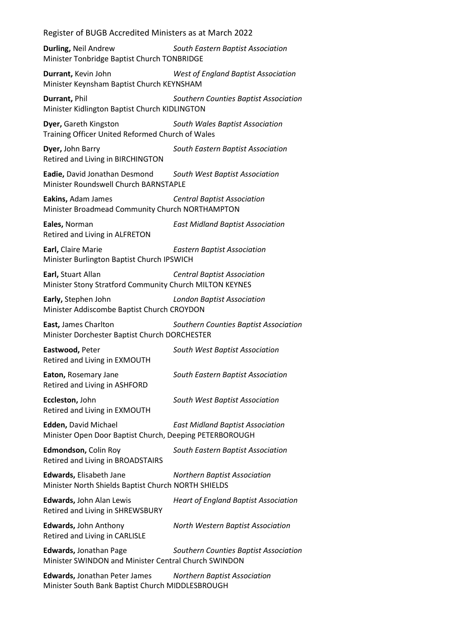**Durling,** Neil Andrew *South Eastern Baptist Association* Minister Tonbridge Baptist Church TONBRIDGE

**Durrant,** Kevin John *West of England Baptist Association* Minister Keynsham Baptist Church KEYNSHAM

**Durrant,** Phil *Southern Counties Baptist Association* Minister Kidlington Baptist Church KIDLINGTON

**Dyer,** Gareth Kingston *South Wales Baptist Association* Training Officer United Reformed Church of Wales

**Dyer,** John Barry *South Eastern Baptist Association* Retired and Living in BIRCHINGTON

**Eadie,** David Jonathan Desmond *South West Baptist Association* Minister Roundswell Church BARNSTAPLE

**Eakins,** Adam James *Central Baptist Association* Minister Broadmead Community Church NORTHAMPTON

**Eales,** Norman *East Midland Baptist Association* Retired and Living in ALFRETON

**Earl,** Claire Marie *Eastern Baptist Association* Minister Burlington Baptist Church IPSWICH

**Earl,** Stuart Allan *Central Baptist Association* Minister Stony Stratford Community Church MILTON KEYNES

**Early,** Stephen John *London Baptist Association* Minister Addiscombe Baptist Church CROYDON

**East,** James Charlton *Southern Counties Baptist Association* Minister Dorchester Baptist Church DORCHESTER

**Eastwood,** Peter *South West Baptist Association* Retired and Living in EXMOUTH

**Eaton,** Rosemary Jane *South Eastern Baptist Association* Retired and Living in ASHFORD

**Eccleston,** John *South West Baptist Association* Retired and Living in EXMOUTH

**Edden,** David Michael *East Midland Baptist Association* Minister Open Door Baptist Church, Deeping PETERBOROUGH

**Edmondson,** Colin Roy *South Eastern Baptist Association* Retired and Living in BROADSTAIRS

**Edwards,** Elisabeth Jane *Northern Baptist Association* Minister North Shields Baptist Church NORTH SHIELDS

**Edwards,** John Alan Lewis *Heart of England Baptist Association* Retired and Living in SHREWSBURY

**Edwards,** John Anthony *North Western Baptist Association*

Retired and Living in CARLISLE

**Edwards,** Jonathan Page *Southern Counties Baptist Association* Minister SWINDON and Minister Central Church SWINDON

**Edwards,** Jonathan Peter James *Northern Baptist Association* Minister South Bank Baptist Church MIDDLESBROUGH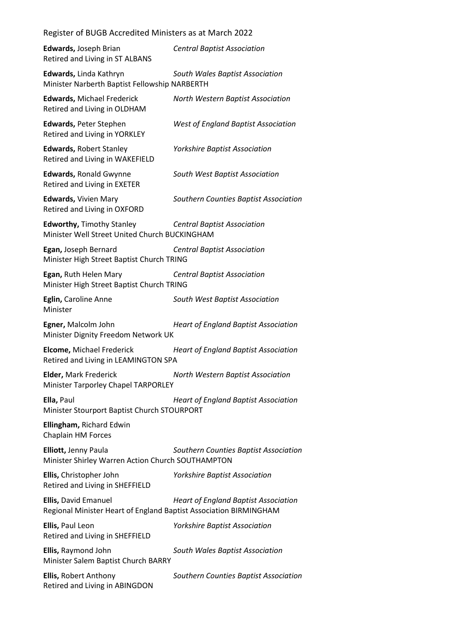| Register of BUGB Accredited Ministers as at March 2022                                    |                                             |
|-------------------------------------------------------------------------------------------|---------------------------------------------|
| Edwards, Joseph Brian<br>Retired and Living in ST ALBANS                                  | <b>Central Baptist Association</b>          |
| Edwards, Linda Kathryn<br>Minister Narberth Baptist Fellowship NARBERTH                   | South Wales Baptist Association             |
| <b>Edwards, Michael Frederick</b><br>Retired and Living in OLDHAM                         | North Western Baptist Association           |
| Edwards, Peter Stephen<br>Retired and Living in YORKLEY                                   | West of England Baptist Association         |
| <b>Edwards, Robert Stanley</b><br>Retired and Living in WAKEFIELD                         | <b>Yorkshire Baptist Association</b>        |
| <b>Edwards, Ronald Gwynne</b><br>Retired and Living in EXETER                             | South West Baptist Association              |
| <b>Edwards, Vivien Mary</b><br>Retired and Living in OXFORD                               | Southern Counties Baptist Association       |
| <b>Edworthy, Timothy Stanley</b><br>Minister Well Street United Church BUCKINGHAM         | <b>Central Baptist Association</b>          |
| Egan, Joseph Bernard<br>Minister High Street Baptist Church TRING                         | <b>Central Baptist Association</b>          |
| Egan, Ruth Helen Mary<br>Minister High Street Baptist Church TRING                        | <b>Central Baptist Association</b>          |
| Eglin, Caroline Anne<br>Minister                                                          | South West Baptist Association              |
| Egner, Malcolm John<br>Minister Dignity Freedom Network UK                                | <b>Heart of England Baptist Association</b> |
| <b>Elcome, Michael Frederick</b><br>Retired and Living in LEAMINGTON SPA                  | <b>Heart of England Baptist Association</b> |
| Elder, Mark Frederick<br>Minister Tarporley Chapel TARPORLEY                              | North Western Baptist Association           |
| Ella, Paul<br>Minister Stourport Baptist Church STOURPORT                                 | <b>Heart of England Baptist Association</b> |
| Ellingham, Richard Edwin<br>Chaplain HM Forces                                            |                                             |
| Elliott, Jenny Paula<br>Minister Shirley Warren Action Church SOUTHAMPTON                 | Southern Counties Baptist Association       |
| Ellis, Christopher John<br>Retired and Living in SHEFFIELD                                | <b>Yorkshire Baptist Association</b>        |
| Ellis, David Emanuel<br>Regional Minister Heart of England Baptist Association BIRMINGHAM | <b>Heart of England Baptist Association</b> |
| Ellis, Paul Leon<br>Retired and Living in SHEFFIELD                                       | <b>Yorkshire Baptist Association</b>        |
| Ellis, Raymond John<br>Minister Salem Baptist Church BARRY                                | South Wales Baptist Association             |
| Ellis, Robert Anthony<br>Retired and Living in ABINGDON                                   | Southern Counties Baptist Association       |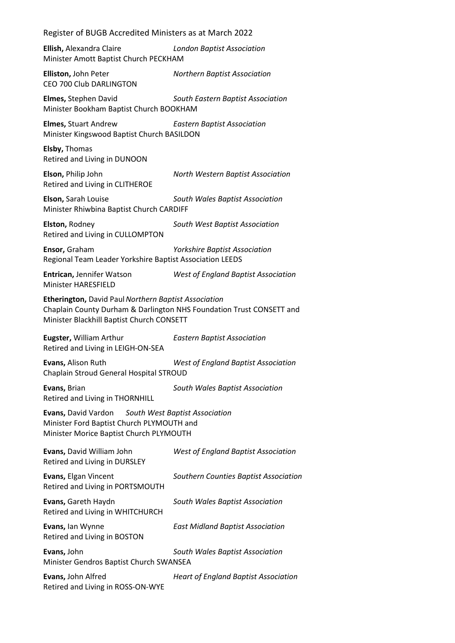| Register of BUGB Accredited Ministers as at March 2022                                                                                                                    |                                             |  |
|---------------------------------------------------------------------------------------------------------------------------------------------------------------------------|---------------------------------------------|--|
| Ellish, Alexandra Claire<br><b>London Baptist Association</b><br>Minister Amott Baptist Church PECKHAM                                                                    |                                             |  |
| Elliston, John Peter<br>CEO 700 Club DARLINGTON                                                                                                                           | <b>Northern Baptist Association</b>         |  |
| Elmes, Stephen David<br>Minister Bookham Baptist Church BOOKHAM                                                                                                           | South Eastern Baptist Association           |  |
| <b>Elmes, Stuart Andrew</b><br>Minister Kingswood Baptist Church BASILDON                                                                                                 | <b>Eastern Baptist Association</b>          |  |
| Elsby, Thomas<br>Retired and Living in DUNOON                                                                                                                             |                                             |  |
| Elson, Philip John<br>Retired and Living in CLITHEROE                                                                                                                     | North Western Baptist Association           |  |
| Elson, Sarah Louise<br>South Wales Baptist Association<br>Minister Rhiwbina Baptist Church CARDIFF                                                                        |                                             |  |
| Elston, Rodney<br>Retired and Living in CULLOMPTON                                                                                                                        | South West Baptist Association              |  |
| Ensor, Graham<br><b>Yorkshire Baptist Association</b><br>Regional Team Leader Yorkshire Baptist Association LEEDS                                                         |                                             |  |
| <b>Entrican, Jennifer Watson</b><br><b>Minister HARESFIELD</b>                                                                                                            | West of England Baptist Association         |  |
| Etherington, David Paul Northern Baptist Association<br>Chaplain County Durham & Darlington NHS Foundation Trust CONSETT and<br>Minister Blackhill Baptist Church CONSETT |                                             |  |
| Eugster, William Arthur<br>Retired and Living in LEIGH-ON-SEA                                                                                                             | <b>Eastern Baptist Association</b>          |  |
| Evans, Alison Ruth<br>Chaplain Stroud General Hospital STROUD                                                                                                             | West of England Baptist Association         |  |
| Evans, Brian<br>Retired and Living in THORNHILL                                                                                                                           | South Wales Baptist Association             |  |
| Evans, David Vardon<br>South West Baptist Association<br>Minister Ford Baptist Church PLYMOUTH and<br>Minister Morice Baptist Church PLYMOUTH                             |                                             |  |
| Evans, David William John<br>Retired and Living in DURSLEY                                                                                                                | <b>West of England Baptist Association</b>  |  |
| Evans, Elgan Vincent<br>Retired and Living in PORTSMOUTH                                                                                                                  | Southern Counties Baptist Association       |  |
| Evans, Gareth Haydn<br>Retired and Living in WHITCHURCH                                                                                                                   | South Wales Baptist Association             |  |
| Evans, Ian Wynne<br>Retired and Living in BOSTON                                                                                                                          | <b>East Midland Baptist Association</b>     |  |
| Evans, John<br>Minister Gendros Baptist Church SWANSEA                                                                                                                    | South Wales Baptist Association             |  |
| Evans, John Alfred<br>Retired and Living in ROSS-ON-WYE                                                                                                                   | <b>Heart of England Baptist Association</b> |  |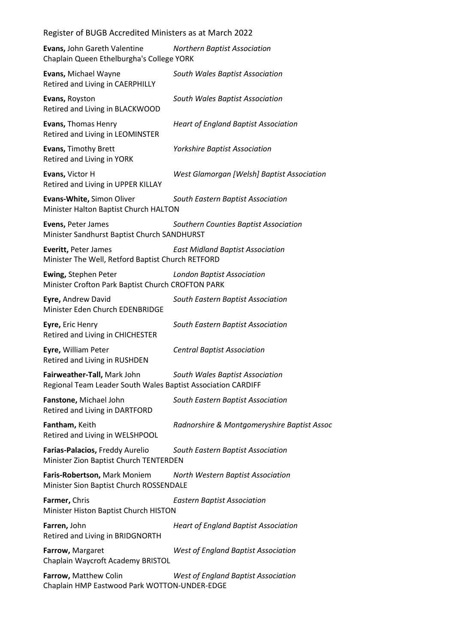| Evans, John Gareth Valentine<br>Chaplain Queen Ethelburgha's College YORK | <b>Northern Baptist Association</b>         |
|---------------------------------------------------------------------------|---------------------------------------------|
| <b>Evans, Michael Wayne</b><br>Retired and Living in CAERPHILLY           | South Wales Baptist Association             |
| Evans, Royston<br>Retired and Living in BLACKWOOD                         | South Wales Baptist Association             |
| <b>Evans, Thomas Henry</b>                                                | <b>Heart of England Baptist Association</b> |

Retired and Living in LEOMINSTER **Evans,** Timothy Brett *Yorkshire Baptist Association*

Retired and Living in YORK

**Evans,** Victor H *West Glamorgan [Welsh] Baptist Association* Retired and Living in UPPER KILLAY

**Evans-White,** Simon Oliver *South Eastern Baptist Association* Minister Halton Baptist Church HALTON

**Evens,** Peter James *Southern Counties Baptist Association* Minister Sandhurst Baptist Church SANDHURST

**Everitt,** Peter James *East Midland Baptist Association* Minister The Well, Retford Baptist Church RETFORD

**Ewing,** Stephen Peter *London Baptist Association* Minister Crofton Park Baptist Church CROFTON PARK

**Eyre,** Andrew David *South Eastern Baptist Association* Minister Eden Church EDENBRIDGE

**Eyre,** Eric Henry *South Eastern Baptist Association* Retired and Living in CHICHESTER

**Eyre,** William Peter *Central Baptist Association* Retired and Living in RUSHDEN

**Fairweather-Tall,** Mark John *South Wales Baptist Association* Regional Team Leader South Wales Baptist Association CARDIFF

**Fanstone,** Michael John *South Eastern Baptist Association* Retired and Living in DARTFORD

**Fantham,** Keith *Radnorshire & Montgomeryshire Baptist Assoc* Retired and Living in WELSHPOOL

**Farias-Palacios,** Freddy Aurelio *South Eastern Baptist Association* Minister Zion Baptist Church TENTERDEN

**Faris-Robertson,** Mark Moniem *North Western Baptist Association* Minister Sion Baptist Church ROSSENDALE

**Farmer,** Chris *Eastern Baptist Association* Minister Histon Baptist Church HISTON

**Farren,** John *Heart of England Baptist Association* Retired and Living in BRIDGNORTH

**Farrow,** Margaret *West of England Baptist Association* Chaplain Waycroft Academy BRISTOL

**Farrow,** Matthew Colin *West of England Baptist Association* Chaplain HMP Eastwood Park WOTTON-UNDER-EDGE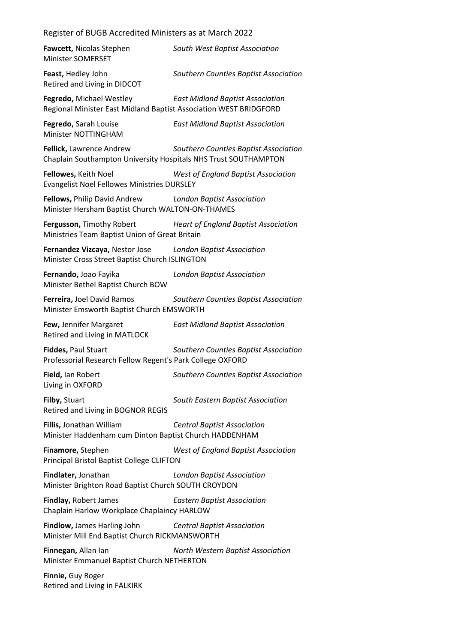| Fawcett, Nicolas Stephen<br><b>Minister SOMERSET</b>                                                        | South West Baptist Association                                        |
|-------------------------------------------------------------------------------------------------------------|-----------------------------------------------------------------------|
| Feast, Hedley John<br>Retired and Living in DIDCOT                                                          | Southern Counties Baptist Association                                 |
| Fegredo, Michael Westley<br>Regional Minister East Midland Baptist Association WEST BRIDGFORD               | <b>East Midland Baptist Association</b>                               |
| Fegredo, Sarah Louise<br>Minister NOTTINGHAM                                                                | <b>East Midland Baptist Association</b>                               |
| Fellick, Lawrence Andrew<br>Chaplain Southampton University Hospitals NHS Trust SOUTHAMPTON                 | Southern Counties Baptist Association                                 |
| Fellowes, Keith Noel<br>Evangelist Noel Fellowes Ministries DURSLEY                                         | <b>West of England Baptist Association</b>                            |
| Fellows, Philip David Andrew London Baptist Association<br>Minister Hersham Baptist Church WALTON-ON-THAMES |                                                                       |
| Ministries Team Baptist Union of Great Britain                                                              | <b>Fergusson, Timothy Robert Heart of England Baptist Association</b> |
| Fernandez Vizcaya, Nestor Jose London Baptist Association<br>Minister Cross Street Baptist Church ISLINGTON |                                                                       |
| Fernando, Joao Fayika<br>Minister Bethel Baptist Church BOW                                                 | <b>London Baptist Association</b>                                     |
| Ferreira, Joel David Ramos<br>Minister Emsworth Baptist Church EMSWORTH                                     | Southern Counties Baptist Association                                 |
| Few, Jennifer Margaret<br><b>Retired and Living in MATLOCK</b>                                              | <b>East Midland Baptist Association</b>                               |
| Fiddes, Paul Stuart<br>Professorial Research Fellow Regent's Park College OXFORD                            | Southern Counties Baptist Association                                 |
| Field, Ian Robert<br>Living in OXFORD                                                                       | Southern Counties Baptist Association                                 |
| Filby, Stuart<br>Retired and Living in BOGNOR REGIS                                                         | South Eastern Baptist Association                                     |
| Fillis, Jonathan William<br>Minister Haddenham cum Dinton Baptist Church HADDENHAM                          | <b>Central Baptist Association</b>                                    |
| Finamore, Stephen<br>Principal Bristol Baptist College CLIFTON                                              | <b>West of England Baptist Association</b>                            |
| Findlater, Jonathan<br>Minister Brighton Road Baptist Church SOUTH CROYDON                                  | <b>London Baptist Association</b>                                     |
| <b>Findlay, Robert James</b><br>Chaplain Harlow Workplace Chaplaincy HARLOW                                 | <b>Eastern Baptist Association</b>                                    |
| <b>Findlow,</b> James Harling John<br>Minister Mill End Baptist Church RICKMANSWORTH                        | <b>Central Baptist Association</b>                                    |
| Finnegan, Allan lan<br>Minister Emmanuel Baptist Church NETHERTON                                           | North Western Baptist Association                                     |
| Finnie, Guy Roger                                                                                           |                                                                       |

Retired and Living in FALKIRK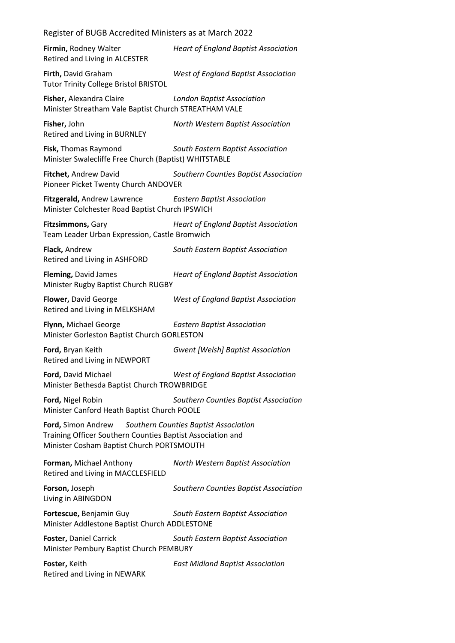| Register of BUGB Accredited Ministers as at March 2022                                                                                                                 |                                             |  |
|------------------------------------------------------------------------------------------------------------------------------------------------------------------------|---------------------------------------------|--|
| Firmin, Rodney Walter<br>Retired and Living in ALCESTER                                                                                                                | <b>Heart of England Baptist Association</b> |  |
| Firth, David Graham<br><b>Tutor Trinity College Bristol BRISTOL</b>                                                                                                    | West of England Baptist Association         |  |
| Fisher, Alexandra Claire<br>Minister Streatham Vale Baptist Church STREATHAM VALE                                                                                      | <b>London Baptist Association</b>           |  |
| Fisher, John<br>Retired and Living in BURNLEY                                                                                                                          | North Western Baptist Association           |  |
| Fisk, Thomas Raymond<br>Minister Swalecliffe Free Church (Baptist) WHITSTABLE                                                                                          | South Eastern Baptist Association           |  |
| Fitchet, Andrew David<br>Pioneer Picket Twenty Church ANDOVER                                                                                                          | Southern Counties Baptist Association       |  |
| Fitzgerald, Andrew Lawrence<br><b>Eastern Baptist Association</b><br>Minister Colchester Road Baptist Church IPSWICH                                                   |                                             |  |
| Fitzsimmons, Gary<br>Team Leader Urban Expression, Castle Bromwich                                                                                                     | <b>Heart of England Baptist Association</b> |  |
| Flack, Andrew<br>Retired and Living in ASHFORD                                                                                                                         | South Eastern Baptist Association           |  |
| Fleming, David James<br>Minister Rugby Baptist Church RUGBY                                                                                                            | <b>Heart of England Baptist Association</b> |  |
| Flower, David George<br>Retired and Living in MELKSHAM                                                                                                                 | West of England Baptist Association         |  |
| Flynn, Michael George<br>Minister Gorleston Baptist Church GORLESTON                                                                                                   | <b>Eastern Baptist Association</b>          |  |
| Ford, Bryan Keith<br>Retired and Living in NEWPORT                                                                                                                     | <b>Gwent [Welsh] Baptist Association</b>    |  |
| Ford, David Michael<br>Minister Bethesda Baptist Church TROWBRIDGE                                                                                                     | West of England Baptist Association         |  |
| Ford, Nigel Robin<br>Minister Canford Heath Baptist Church POOLE                                                                                                       | Southern Counties Baptist Association       |  |
| Ford, Simon Andrew<br>Southern Counties Baptist Association<br>Training Officer Southern Counties Baptist Association and<br>Minister Cosham Baptist Church PORTSMOUTH |                                             |  |
| Forman, Michael Anthony<br>Retired and Living in MACCLESFIELD                                                                                                          | North Western Baptist Association           |  |
| Forson, Joseph<br>Living in ABINGDON                                                                                                                                   | Southern Counties Baptist Association       |  |
| Fortescue, Benjamin Guy<br>Minister Addlestone Baptist Church ADDLESTONE                                                                                               | South Eastern Baptist Association           |  |
| Foster, Daniel Carrick<br>Minister Pembury Baptist Church PEMBURY                                                                                                      | South Eastern Baptist Association           |  |
| Foster, Keith<br>Retired and Living in NEWARK                                                                                                                          | <b>East Midland Baptist Association</b>     |  |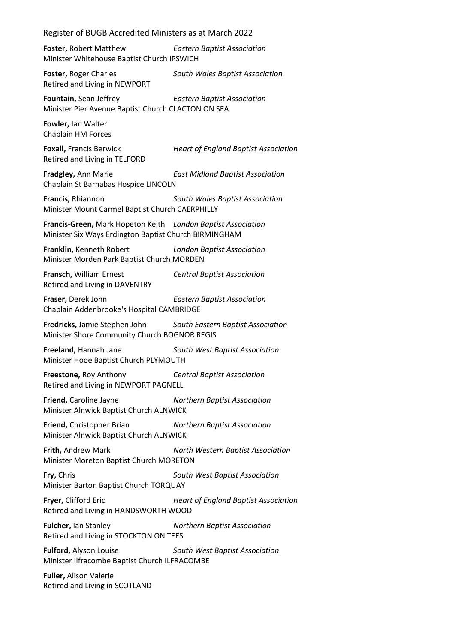**Foster,** Robert Matthew *Eastern Baptist Association* Minister Whitehouse Baptist Church IPSWICH

**Foster,** Roger Charles *South Wales Baptist Association* Retired and Living in NEWPORT

**Fountain,** Sean Jeffrey *Eastern Baptist Association* Minister Pier Avenue Baptist Church CLACTON ON SEA

**Fowler,** Ian Walter Chaplain HM Forces

Retired and Living in TELFORD

**Foxall,** Francis Berwick *Heart of England Baptist Association*

**Fradgley,** Ann Marie *East Midland Baptist Association* Chaplain St Barnabas Hospice LINCOLN

**Francis,** Rhiannon *South Wales Baptist Association* Minister Mount Carmel Baptist Church CAERPHILLY

**Francis-Green,** Mark Hopeton Keith *London Baptist Association* Minister Six Ways Erdington Baptist Church BIRMINGHAM

**Franklin,** Kenneth Robert *London Baptist Association* Minister Morden Park Baptist Church MORDEN

**Fransch,** William Ernest *Central Baptist Association* Retired and Living in DAVENTRY

**Fraser,** Derek John *Eastern Baptist Association* Chaplain Addenbrooke's Hospital CAMBRIDGE

**Fredricks,** Jamie Stephen John *South Eastern Baptist Association* Minister Shore Community Church BOGNOR REGIS

**Freeland,** Hannah Jane *South West Baptist Association* Minister Hooe Baptist Church PLYMOUTH

**Freestone,** Roy Anthony *Central Baptist Association* Retired and Living in NEWPORT PAGNELL

**Friend,** Caroline Jayne *Northern Baptist Association* Minister Alnwick Baptist Church ALNWICK

**Friend,** Christopher Brian *Northern Baptist Association* Minister Alnwick Baptist Church ALNWICK

**Frith,** Andrew Mark *North Western Baptist Association* Minister Moreton Baptist Church MORETON

**Fry,** Chris *South West Baptist Association* Minister Barton Baptist Church TORQUAY

**Fryer,** Clifford Eric *Heart of England Baptist Association* Retired and Living in HANDSWORTH WOOD

**Fulcher,** Ian Stanley *Northern Baptist Association* Retired and Living in STOCKTON ON TEES

**Fulford,** Alyson Louise *South West Baptist Association* Minister Ilfracombe Baptist Church ILFRACOMBE

**Fuller,** Alison Valerie Retired and Living in SCOTLAND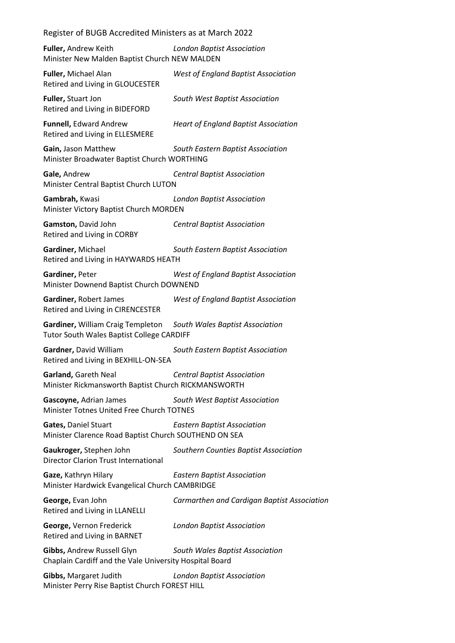**Fuller,** Andrew Keith *London Baptist Association* Minister New Malden Baptist Church NEW MALDEN

**Fuller,** Michael Alan *West of England Baptist Association* Retired and Living in GLOUCESTER **Fuller,** Stuart Jon *South West Baptist Association* Retired and Living in BIDEFORD

Retired and Living in ELLESMERE

**Funnell,** Edward Andrew *Heart of England Baptist Association*

**Gain,** Jason Matthew *South Eastern Baptist Association* Minister Broadwater Baptist Church WORTHING

**Gale,** Andrew *Central Baptist Association* Minister Central Baptist Church LUTON

**Gambrah,** Kwasi *London Baptist Association* Minister Victory Baptist Church MORDEN

**Gamston,** David John *Central Baptist Association* Retired and Living in CORBY

**Gardiner,** Michael *South Eastern Baptist Association* Retired and Living in HAYWARDS HEATH

**Gardiner,** Peter *West of England Baptist Association* Minister Downend Baptist Church DOWNEND

**Gardiner,** Robert James *West of England Baptist Association* Retired and Living in CIRENCESTER

**Gardiner,** William Craig Templeton *South Wales Baptist Association* Tutor South Wales Baptist College CARDIFF

**Gardner,** David William *South Eastern Baptist Association* Retired and Living in BEXHILL-ON-SEA

**Garland,** Gareth Neal *Central Baptist Association* Minister Rickmansworth Baptist Church RICKMANSWORTH

**Gascoyne,** Adrian James *South West Baptist Association* Minister Totnes United Free Church TOTNES

**Gates,** Daniel Stuart *Eastern Baptist Association* Minister Clarence Road Baptist Church SOUTHEND ON SEA

**Gaukroger,** Stephen John *Southern Counties Baptist Association* Director Clarion Trust International

**Gaze,** Kathryn Hilary *Eastern Baptist Association* Minister Hardwick Evangelical Church CAMBRIDGE

**George,** Evan John *Carmarthen and Cardigan Baptist Association* Retired and Living in LLANELLI **George,** Vernon Frederick *London Baptist Association*

Retired and Living in BARNET

**Gibbs,** Andrew Russell Glyn *South Wales Baptist Association* Chaplain Cardiff and the Vale University Hospital Board

**Gibbs,** Margaret Judith *London Baptist Association* Minister Perry Rise Baptist Church FOREST HILL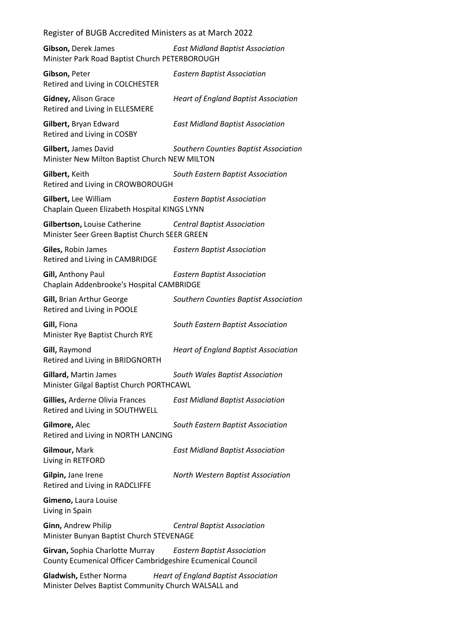**Gibson,** Derek James *East Midland Baptist Association* Minister Park Road Baptist Church PETERBOROUGH

**Gibson,** Peter *Eastern Baptist Association* Retired and Living in COLCHESTER **Gidney,** Alison Grace *Heart of England Baptist Association* Retired and Living in ELLESMERE **Gilbert,** Bryan Edward *East Midland Baptist Association* Retired and Living in COSBY **Gilbert,** James David *Southern Counties Baptist Association* Minister New Milton Baptist Church NEW MILTON **Gilbert,** Keith *South Eastern Baptist Association* Retired and Living in CROWBOROUGH **Gilbert,** Lee William *Eastern Baptist Association* Chaplain Queen Elizabeth Hospital KINGS LYNN **Gilbertson,** Louise Catherine *Central Baptist Association* Minister Seer Green Baptist Church SEER GREEN **Giles,** Robin James *Eastern Baptist Association* Retired and Living in CAMBRIDGE **Gill,** Anthony Paul *Eastern Baptist Association* Chaplain Addenbrooke's Hospital CAMBRIDGE **Gill,** Brian Arthur George *Southern Counties Baptist Association* Retired and Living in POOLE **Gill,** Fiona *South Eastern Baptist Association* Minister Rye Baptist Church RYE **Gill,** Raymond *Heart of England Baptist Association* Retired and Living in BRIDGNORTH **Gillard,** Martin James *South Wales Baptist Association* Minister Gilgal Baptist Church PORTHCAWL **Gillies,** Arderne Olivia Frances *East Midland Baptist Association* Retired and Living in SOUTHWELL **Gilmore,** Alec *South Eastern Baptist Association* Retired and Living in NORTH LANCING **Gilmour,** Mark *East Midland Baptist Association* Living in RETFORD **Gilpin,** Jane Irene *North Western Baptist Association* Retired and Living in RADCLIFFE **Gimeno,** Laura Louise Living in Spain **Ginn,** Andrew Philip *Central Baptist Association* Minister Bunyan Baptist Church STEVENAGE **Girvan,** Sophia Charlotte Murray *Eastern Baptist Association* County Ecumenical Officer Cambridgeshire Ecumenical Council

**Gladwish,** Esther Norma *Heart of England Baptist Association* Minister Delves Baptist Community Church WALSALL and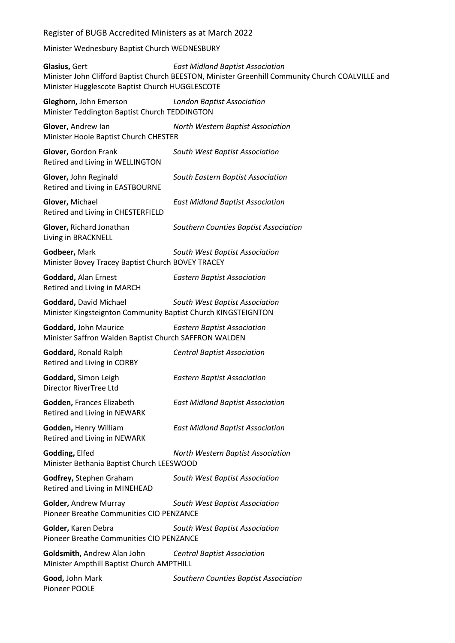Minister Wednesbury Baptist Church WEDNESBURY

**Glasius,** Gert *East Midland Baptist Association* Minister John Clifford Baptist Church BEESTON, Minister Greenhill Community Church COALVILLE and Minister Hugglescote Baptist Church HUGGLESCOTE

**Gleghorn,** John Emerson *London Baptist Association* Minister Teddington Baptist Church TEDDINGTON

**Glover,** Andrew Ian *North Western Baptist Association* Minister Hoole Baptist Church CHESTER

**Glover,** Gordon Frank *South West Baptist Association* Retired and Living in WELLINGTON

**Glover,** John Reginald *South Eastern Baptist Association* Retired and Living in EASTBOURNE

**Glover,** Michael *East Midland Baptist Association* Retired and Living in CHESTERFIELD

**Glover,** Richard Jonathan *Southern Counties Baptist Association* Living in BRACKNELL

**Godbeer,** Mark *South West Baptist Association* Minister Bovey Tracey Baptist Church BOVEY TRACEY

**Goddard,** Alan Ernest *Eastern Baptist Association* Retired and Living in MARCH

**Goddard,** David Michael *South West Baptist Association* Minister Kingsteignton Community Baptist Church KINGSTEIGNTON

**Goddard,** John Maurice *Eastern Baptist Association* Minister Saffron Walden Baptist Church SAFFRON WALDEN

**Goddard,** Ronald Ralph *Central Baptist Association* Retired and Living in CORBY

**Goddard,** Simon Leigh *Eastern Baptist Association* Director RiverTree Ltd

**Godden,** Frances Elizabeth *East Midland Baptist Association* Retired and Living in NEWARK

**Godden,** Henry William *East Midland Baptist Association*

Retired and Living in NEWARK

**Godding,** Elfed *North Western Baptist Association* Minister Bethania Baptist Church LEESWOOD

**Godfrey,** Stephen Graham *South West Baptist Association* Retired and Living in MINEHEAD

**Golder,** Andrew Murray *South West Baptist Association* Pioneer Breathe Communities CIO PENZANCE

**Golder,** Karen Debra *South West Baptist Association* Pioneer Breathe Communities CIO PENZANCE

**Goldsmith,** Andrew Alan John *Central Baptist Association* Minister Ampthill Baptist Church AMPTHILL

**Good,** John Mark *Southern Counties Baptist Association* Pioneer POOLE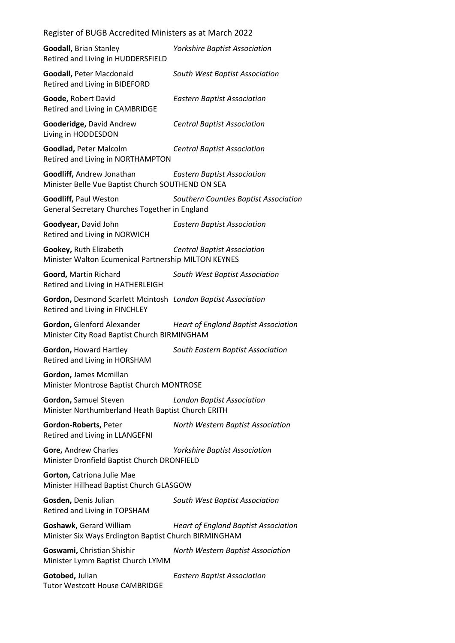| <b>Goodall, Brian Stanley</b><br>Retired and Living in HUDDERSFIELD                            | <b>Yorkshire Baptist Association</b>        |
|------------------------------------------------------------------------------------------------|---------------------------------------------|
| <b>Goodall, Peter Macdonald</b><br>Retired and Living in BIDEFORD                              | South West Baptist Association              |
| Goode, Robert David<br>Retired and Living in CAMBRIDGE                                         | <b>Eastern Baptist Association</b>          |
| Gooderidge, David Andrew<br>Living in HODDESDON                                                | <b>Central Baptist Association</b>          |
| Goodlad, Peter Malcolm<br>Retired and Living in NORTHAMPTON                                    | <b>Central Baptist Association</b>          |
| Goodliff, Andrew Jonathan<br>Minister Belle Vue Baptist Church SOUTHEND ON SEA                 | <b>Eastern Baptist Association</b>          |
| <b>Goodliff, Paul Weston</b><br>General Secretary Churches Together in England                 | Southern Counties Baptist Association       |
| Goodyear, David John<br>Retired and Living in NORWICH                                          | <b>Eastern Baptist Association</b>          |
| Gookey, Ruth Elizabeth<br>Minister Walton Ecumenical Partnership MILTON KEYNES                 | <b>Central Baptist Association</b>          |
| Goord, Martin Richard<br>Retired and Living in HATHERLEIGH                                     | South West Baptist Association              |
| Gordon, Desmond Scarlett Mcintosh London Baptist Association<br>Retired and Living in FINCHLEY |                                             |
| Gordon, Glenford Alexander<br>Minister City Road Baptist Church BIRMINGHAM                     | <b>Heart of England Baptist Association</b> |
| Gordon, Howard Hartley<br>Retired and Living in HORSHAM                                        | South Eastern Baptist Association           |
| Gordon, James Mcmillan<br>Minister Montrose Baptist Church MONTROSE                            |                                             |
| Gordon, Samuel Steven<br>Minister Northumberland Heath Baptist Church ERITH                    | <b>London Baptist Association</b>           |
| Gordon-Roberts, Peter<br>Retired and Living in LLANGEFNI                                       | North Western Baptist Association           |
| Gore, Andrew Charles<br>Minister Dronfield Baptist Church DRONFIELD                            | <b>Yorkshire Baptist Association</b>        |
| Gorton, Catriona Julie Mae<br>Minister Hillhead Baptist Church GLASGOW                         |                                             |
| Gosden, Denis Julian<br>Retired and Living in TOPSHAM                                          | South West Baptist Association              |
| Goshawk, Gerard William<br>Minister Six Ways Erdington Baptist Church BIRMINGHAM               | <b>Heart of England Baptist Association</b> |
| Goswami, Christian Shishir<br>Minister Lymm Baptist Church LYMM                                | North Western Baptist Association           |
| Gotobed, Julian                                                                                | <b>Eastern Baptist Association</b>          |

Tutor Westcott House CAMBRIDGE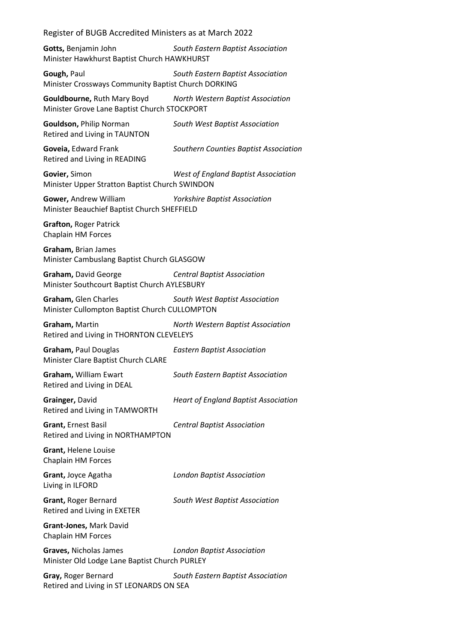**Gotts,** Benjamin John *South Eastern Baptist Association* Minister Hawkhurst Baptist Church HAWKHURST

**Gough,** Paul *South Eastern Baptist Association* Minister Crossways Community Baptist Church DORKING

**Gouldbourne,** Ruth Mary Boyd *North Western Baptist Association* Minister Grove Lane Baptist Church STOCKPORT

**Gouldson,** Philip Norman *South West Baptist Association* Retired and Living in TAUNTON

**Goveia,** Edward Frank *Southern Counties Baptist Association* Retired and Living in READING

**Govier,** Simon *West of England Baptist Association* Minister Upper Stratton Baptist Church SWINDON

**Gower,** Andrew William *Yorkshire Baptist Association* Minister Beauchief Baptist Church SHEFFIELD

**Grafton,** Roger Patrick Chaplain HM Forces

**Graham,** Brian James Minister Cambuslang Baptist Church GLASGOW

**Graham,** David George *Central Baptist Association* Minister Southcourt Baptist Church AYLESBURY

**Graham,** Glen Charles *South West Baptist Association* Minister Cullompton Baptist Church CULLOMPTON

**Graham,** Martin *North Western Baptist Association* Retired and Living in THORNTON CLEVELEYS

**Graham,** Paul Douglas *Eastern Baptist Association* Minister Clare Baptist Church CLARE

**Graham,** William Ewart *South Eastern Baptist Association* Retired and Living in DEAL

**Grainger,** David *Heart of England Baptist Association* Retired and Living in TAMWORTH

**Grant,** Ernest Basil *Central Baptist Association*

Retired and Living in NORTHAMPTON **Grant,** Helene Louise

Chaplain HM Forces

Living in ILFORD

**Grant,** Joyce Agatha *London Baptist Association*

Retired and Living in EXETER

**Grant,** Roger Bernard *South West Baptist Association*

**Grant-Jones,** Mark David Chaplain HM Forces

**Graves,** Nicholas James *London Baptist Association* Minister Old Lodge Lane Baptist Church PURLEY

**Gray,** Roger Bernard *South Eastern Baptist Association* Retired and Living in ST LEONARDS ON SEA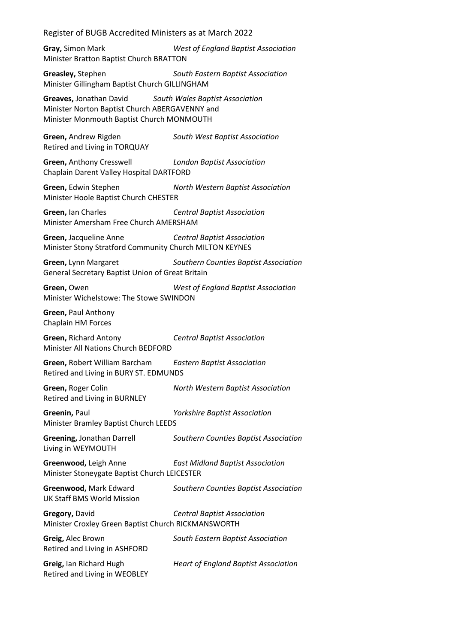**Gray,** Simon Mark *West of England Baptist Association* Minister Bratton Baptist Church BRATTON

**Greasley,** Stephen *South Eastern Baptist Association* Minister Gillingham Baptist Church GILLINGHAM

**Greaves,** Jonathan David *South Wales Baptist Association* Minister Norton Baptist Church ABERGAVENNY and Minister Monmouth Baptist Church MONMOUTH

**Green,** Andrew Rigden *South West Baptist Association* Retired and Living in TORQUAY

**Green,** Anthony Cresswell *London Baptist Association* Chaplain Darent Valley Hospital DARTFORD

**Green,** Edwin Stephen *North Western Baptist Association* Minister Hoole Baptist Church CHESTER

**Green,** Ian Charles *Central Baptist Association* Minister Amersham Free Church AMERSHAM

**Green,** Jacqueline Anne *Central Baptist Association* Minister Stony Stratford Community Church MILTON KEYNES

**Green,** Lynn Margaret *Southern Counties Baptist Association* General Secretary Baptist Union of Great Britain

**Green,** Owen *West of England Baptist Association* Minister Wichelstowe: The Stowe SWINDON

**Green,** Paul Anthony Chaplain HM Forces

**Green,** Richard Antony *Central Baptist Association* Minister All Nations Church BEDFORD

**Green,** Robert William Barcham *Eastern Baptist Association* Retired and Living in BURY ST. EDMUNDS

**Green,** Roger Colin *North Western Baptist Association* Retired and Living in BURNLEY

**Greenin,** Paul *Yorkshire Baptist Association* Minister Bramley Baptist Church LEEDS

**Greening,** Jonathan Darrell *Southern Counties Baptist Association* Living in WEYMOUTH

**Greenwood,** Leigh Anne *East Midland Baptist Association* Minister Stoneygate Baptist Church LEICESTER

UK Staff BMS World Mission

**Greenwood,** Mark Edward *Southern Counties Baptist Association*

**Gregory,** David *Central Baptist Association* Minister Croxley Green Baptist Church RICKMANSWORTH

**Greig,** Alec Brown *South Eastern Baptist Association* Retired and Living in ASHFORD **Greig,** Ian Richard Hugh *Heart of England Baptist Association* Retired and Living in WEOBLEY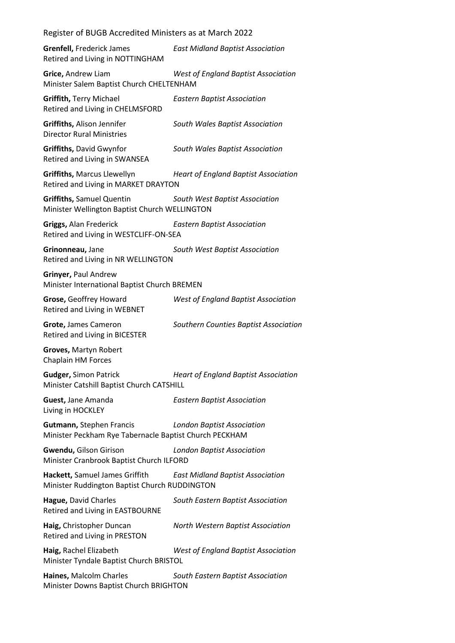| <b>Grenfell, Frederick James</b><br>Retired and Living in NOTTINGHAM                      | <b>East Midland Baptist Association</b>     |
|-------------------------------------------------------------------------------------------|---------------------------------------------|
| Grice, Andrew Liam<br>Minister Salem Baptist Church CHELTENHAM                            | <b>West of England Baptist Association</b>  |
| <b>Griffith, Terry Michael</b><br>Retired and Living in CHELMSFORD                        | <b>Eastern Baptist Association</b>          |
| Griffiths, Alison Jennifer<br><b>Director Rural Ministries</b>                            | South Wales Baptist Association             |
| Griffiths, David Gwynfor<br>Retired and Living in SWANSEA                                 | South Wales Baptist Association             |
| Griffiths, Marcus Llewellyn<br>Retired and Living in MARKET DRAYTON                       | <b>Heart of England Baptist Association</b> |
| <b>Griffiths, Samuel Quentin</b><br>Minister Wellington Baptist Church WELLINGTON         | South West Baptist Association              |
| Griggs, Alan Frederick<br>Retired and Living in WESTCLIFF-ON-SEA                          | <b>Eastern Baptist Association</b>          |
| Grinonneau, Jane<br>Retired and Living in NR WELLINGTON                                   | South West Baptist Association              |
| Grinyer, Paul Andrew<br>Minister International Baptist Church BREMEN                      |                                             |
| Grose, Geoffrey Howard<br>Retired and Living in WEBNET                                    | West of England Baptist Association         |
| Grote, James Cameron<br>Retired and Living in BICESTER                                    | Southern Counties Baptist Association       |
| Groves, Martyn Robert<br>Chaplain HM Forces                                               |                                             |
| <b>Gudger, Simon Patrick</b><br>Minister Catshill Baptist Church CATSHILL                 | <b>Heart of England Baptist Association</b> |
| Guest, Jane Amanda<br>Living in HOCKLEY                                                   | <b>Eastern Baptist Association</b>          |
| <b>Gutmann, Stephen Francis</b><br>Minister Peckham Rye Tabernacle Baptist Church PECKHAM | <b>London Baptist Association</b>           |
| Gwendu, Gilson Girison<br>Minister Cranbrook Baptist Church ILFORD                        | <b>London Baptist Association</b>           |
| Hackett, Samuel James Griffith<br>Minister Ruddington Baptist Church RUDDINGTON           | <b>East Midland Baptist Association</b>     |
| Hague, David Charles<br>Retired and Living in EASTBOURNE                                  | South Eastern Baptist Association           |
| Haig, Christopher Duncan<br>Retired and Living in PRESTON                                 | North Western Baptist Association           |
| Haig, Rachel Elizabeth<br>Minister Tyndale Baptist Church BRISTOL                         | <b>West of England Baptist Association</b>  |
| Haines, Malcolm Charles<br>Minister Downs Baptist Church BRIGHTON                         | South Eastern Baptist Association           |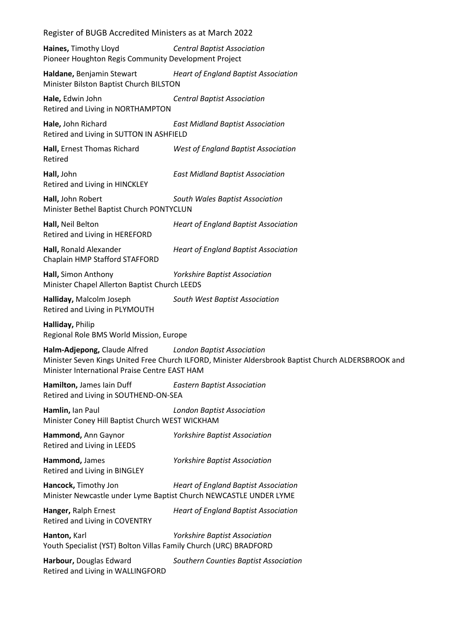| Register of BUGB Accredited Ministers as at March 2022                                                                                                                                                                    |                                             |  |
|---------------------------------------------------------------------------------------------------------------------------------------------------------------------------------------------------------------------------|---------------------------------------------|--|
| Haines, Timothy Lloyd<br>Pioneer Houghton Regis Community Development Project                                                                                                                                             | <b>Central Baptist Association</b>          |  |
| Haldane, Benjamin Stewart<br>Minister Bilston Baptist Church BILSTON                                                                                                                                                      | <b>Heart of England Baptist Association</b> |  |
| Hale, Edwin John<br>Retired and Living in NORTHAMPTON                                                                                                                                                                     | <b>Central Baptist Association</b>          |  |
| Hale, John Richard<br>Retired and Living in SUTTON IN ASHFIELD                                                                                                                                                            | <b>East Midland Baptist Association</b>     |  |
| Hall, Ernest Thomas Richard<br>Retired                                                                                                                                                                                    | <b>West of England Baptist Association</b>  |  |
| Hall, John<br>Retired and Living in HINCKLEY                                                                                                                                                                              | <b>East Midland Baptist Association</b>     |  |
| Hall, John Robert<br>Minister Bethel Baptist Church PONTYCLUN                                                                                                                                                             | South Wales Baptist Association             |  |
| Hall, Neil Belton<br>Retired and Living in HEREFORD                                                                                                                                                                       | <b>Heart of England Baptist Association</b> |  |
| Hall, Ronald Alexander<br>Chaplain HMP Stafford STAFFORD                                                                                                                                                                  | <b>Heart of England Baptist Association</b> |  |
| Hall, Simon Anthony<br>Minister Chapel Allerton Baptist Church LEEDS                                                                                                                                                      | <b>Yorkshire Baptist Association</b>        |  |
| Halliday, Malcolm Joseph<br>Retired and Living in PLYMOUTH                                                                                                                                                                | South West Baptist Association              |  |
| Halliday, Philip<br>Regional Role BMS World Mission, Europe                                                                                                                                                               |                                             |  |
| Halm-Adjepong, Claude Alfred<br><b>London Baptist Association</b><br>Minister Seven Kings United Free Church ILFORD, Minister Aldersbrook Baptist Church ALDERSBROOK and<br>Minister International Praise Centre EAST HAM |                                             |  |
| Hamilton, James Iain Duff<br><b>Eastern Baptist Association</b><br>Retired and Living in SOUTHEND-ON-SEA                                                                                                                  |                                             |  |
| Hamlin, Ian Paul<br>Minister Coney Hill Baptist Church WEST WICKHAM                                                                                                                                                       | <b>London Baptist Association</b>           |  |
| Hammond, Ann Gaynor<br>Retired and Living in LEEDS                                                                                                                                                                        | <b>Yorkshire Baptist Association</b>        |  |
| Hammond, James<br>Retired and Living in BINGLEY                                                                                                                                                                           | <b>Yorkshire Baptist Association</b>        |  |
| Hancock, Timothy Jon<br>Minister Newcastle under Lyme Baptist Church NEWCASTLE UNDER LYME                                                                                                                                 | <b>Heart of England Baptist Association</b> |  |
| Hanger, Ralph Ernest<br>Retired and Living in COVENTRY                                                                                                                                                                    | <b>Heart of England Baptist Association</b> |  |
| Hanton, Karl<br>Youth Specialist (YST) Bolton Villas Family Church (URC) BRADFORD                                                                                                                                         | <b>Yorkshire Baptist Association</b>        |  |
| Harbour, Douglas Edward<br>Retired and Living in WALLINGFORD                                                                                                                                                              | Southern Counties Baptist Association       |  |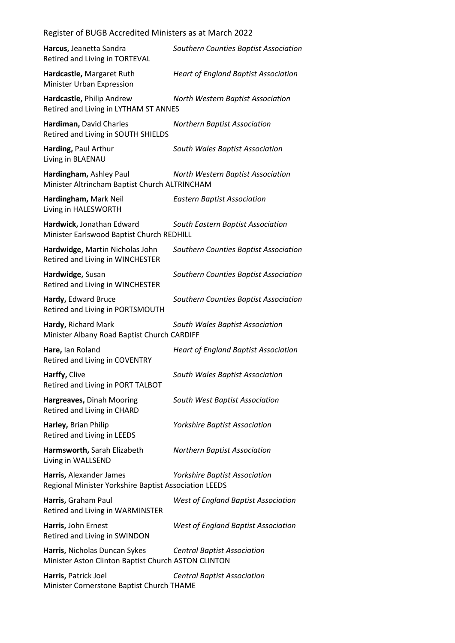| Register of BUGB Accredited Ministers as at March 2022                               |                                             |
|--------------------------------------------------------------------------------------|---------------------------------------------|
| Harcus, Jeanetta Sandra<br>Retired and Living in TORTEVAL                            | Southern Counties Baptist Association       |
| Hardcastle, Margaret Ruth<br>Minister Urban Expression                               | <b>Heart of England Baptist Association</b> |
| Hardcastle, Philip Andrew<br>Retired and Living in LYTHAM ST ANNES                   | North Western Baptist Association           |
| Hardiman, David Charles<br>Retired and Living in SOUTH SHIELDS                       | <b>Northern Baptist Association</b>         |
| Harding, Paul Arthur<br>Living in BLAENAU                                            | South Wales Baptist Association             |
| Hardingham, Ashley Paul<br>Minister Altrincham Baptist Church ALTRINCHAM             | North Western Baptist Association           |
| Hardingham, Mark Neil<br>Living in HALESWORTH                                        | <b>Eastern Baptist Association</b>          |
| Hardwick, Jonathan Edward<br>Minister Earlswood Baptist Church REDHILL               | South Eastern Baptist Association           |
| Hardwidge, Martin Nicholas John<br>Retired and Living in WINCHESTER                  | Southern Counties Baptist Association       |
| Hardwidge, Susan<br>Retired and Living in WINCHESTER                                 | Southern Counties Baptist Association       |
| Hardy, Edward Bruce<br>Retired and Living in PORTSMOUTH                              | Southern Counties Baptist Association       |
| Hardy, Richard Mark<br>Minister Albany Road Baptist Church CARDIFF                   | South Wales Baptist Association             |
| Hare, lan Roland<br>Retired and Living in COVENTRY                                   | <b>Heart of England Baptist Association</b> |
| Harffy, Clive<br>Retired and Living in PORT TALBOT                                   | South Wales Baptist Association             |
| Hargreaves, Dinah Mooring<br>Retired and Living in CHARD                             | South West Baptist Association              |
| Harley, Brian Philip<br>Retired and Living in LEEDS                                  | Yorkshire Baptist Association               |
| Harmsworth, Sarah Elizabeth<br>Living in WALLSEND                                    | <b>Northern Baptist Association</b>         |
| Harris, Alexander James<br>Regional Minister Yorkshire Baptist Association LEEDS     | <b>Yorkshire Baptist Association</b>        |
| Harris, Graham Paul<br>Retired and Living in WARMINSTER                              | <b>West of England Baptist Association</b>  |
| Harris, John Ernest<br>Retired and Living in SWINDON                                 | <b>West of England Baptist Association</b>  |
| Harris, Nicholas Duncan Sykes<br>Minister Aston Clinton Baptist Church ASTON CLINTON | <b>Central Baptist Association</b>          |
| Harris, Patrick Joel<br>Minister Cornerstone Baptist Church THAME                    | <b>Central Baptist Association</b>          |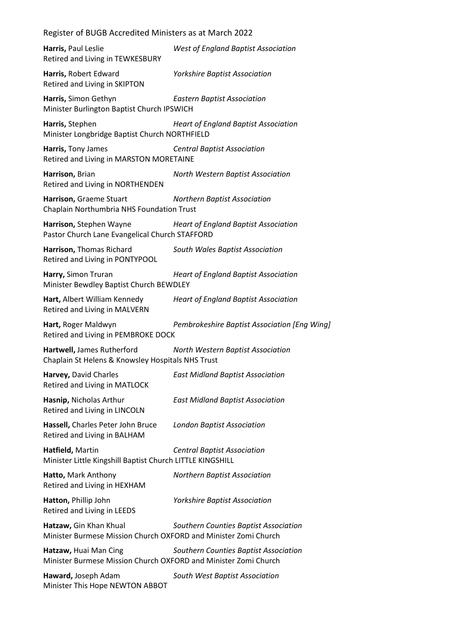Register of BUGB Accredited Ministers as at March 2022 **Harris,** Paul Leslie *West of England Baptist Association* Retired and Living in TEWKESBURY **Harris,** Robert Edward *Yorkshire Baptist Association* Retired and Living in SKIPTON **Harris,** Simon Gethyn *Eastern Baptist Association* Minister Burlington Baptist Church IPSWICH **Harris,** Stephen *Heart of England Baptist Association* Minister Longbridge Baptist Church NORTHFIELD **Harris,** Tony James *Central Baptist Association* Retired and Living in MARSTON MORETAINE **Harrison,** Brian *North Western Baptist Association* Retired and Living in NORTHENDEN **Harrison,** Graeme Stuart *Northern Baptist Association* Chaplain Northumbria NHS Foundation Trust **Harrison,** Stephen Wayne *Heart of England Baptist Association* Pastor Church Lane Evangelical Church STAFFORD **Harrison,** Thomas Richard *South Wales Baptist Association* Retired and Living in PONTYPOOL **Harry,** Simon Truran *Heart of England Baptist Association* Minister Bewdley Baptist Church BEWDLEY **Hart,** Albert William Kennedy *Heart of England Baptist Association* Retired and Living in MALVERN **Hart,** Roger Maldwyn *Pembrokeshire Baptist Association [Eng Wing]* Retired and Living in PEMBROKE DOCK **Hartwell,** James Rutherford *North Western Baptist Association* Chaplain St Helens & Knowsley Hospitals NHS Trust **Harvey,** David Charles *East Midland Baptist Association* Retired and Living in MATLOCK **Hasnip,** Nicholas Arthur *East Midland Baptist Association* Retired and Living in LINCOLN **Hassell,** Charles Peter John Bruce *London Baptist Association* Retired and Living in BALHAM **Hatfield,** Martin *Central Baptist Association* Minister Little Kingshill Baptist Church LITTLE KINGSHILL **Hatto,** Mark Anthony *Northern Baptist Association* Retired and Living in HEXHAM **Hatton,** Phillip John *Yorkshire Baptist Association* Retired and Living in LEEDS **Hatzaw,** Gin Khan Khual *Southern Counties Baptist Association* Minister Burmese Mission Church OXFORD and Minister Zomi Church **Hatzaw,** Huai Man Cing *Southern Counties Baptist Association* Minister Burmese Mission Church OXFORD and Minister Zomi Church **Haward,** Joseph Adam *South West Baptist Association* Minister This Hope NEWTON ABBOT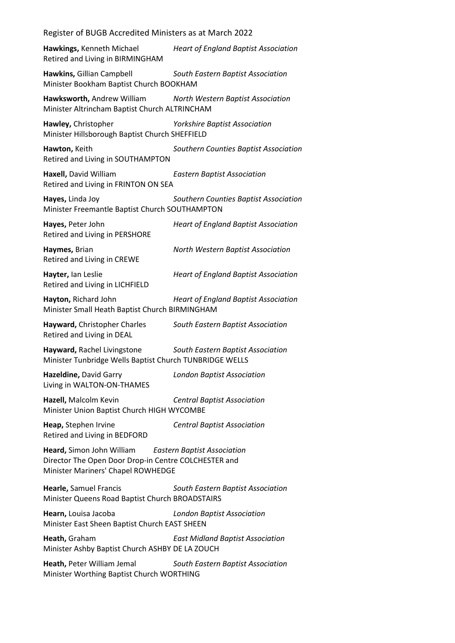Register of BUGB Accredited Ministers as at March 2022 **Hawkings,** Kenneth Michael *Heart of England Baptist Association* Retired and Living in BIRMINGHAM **Hawkins,** Gillian Campbell *South Eastern Baptist Association* Minister Bookham Baptist Church BOOKHAM **Hawksworth,** Andrew William *North Western Baptist Association* Minister Altrincham Baptist Church ALTRINCHAM **Hawley,** Christopher *Yorkshire Baptist Association* Minister Hillsborough Baptist Church SHEFFIELD **Hawton,** Keith *Southern Counties Baptist Association* Retired and Living in SOUTHAMPTON **Haxell,** David William *Eastern Baptist Association* Retired and Living in FRINTON ON SEA **Hayes,** Linda Joy *Southern Counties Baptist Association* Minister Freemantle Baptist Church SOUTHAMPTON **Hayes,** Peter John *Heart of England Baptist Association* Retired and Living in PERSHORE **Haymes,** Brian *North Western Baptist Association* Retired and Living in CREWE **Hayter,** Ian Leslie *Heart of England Baptist Association* Retired and Living in LICHFIELD **Hayton,** Richard John *Heart of England Baptist Association* Minister Small Heath Baptist Church BIRMINGHAM **Hayward,** Christopher Charles *South Eastern Baptist Association* Retired and Living in DEAL **Hayward,** Rachel Livingstone *South Eastern Baptist Association* Minister Tunbridge Wells Baptist Church TUNBRIDGE WELLS **Hazeldine,** David Garry *London Baptist Association* Living in WALTON-ON-THAMES **Hazell,** Malcolm Kevin *Central Baptist Association* Minister Union Baptist Church HIGH WYCOMBE **Heap,** Stephen Irvine *Central Baptist Association* Retired and Living in BEDFORD **Heard,** Simon John William *Eastern Baptist Association* Director The Open Door Drop-in Centre COLCHESTER and Minister Mariners' Chapel ROWHEDGE **Hearle,** Samuel Francis *South Eastern Baptist Association* Minister Queens Road Baptist Church BROADSTAIRS **Hearn,** Louisa Jacoba *London Baptist Association* Minister East Sheen Baptist Church EAST SHEEN **Heath,** Graham *East Midland Baptist Association* Minister Ashby Baptist Church ASHBY DE LA ZOUCH **Heath,** Peter William Jemal *South Eastern Baptist Association* Minister Worthing Baptist Church WORTHING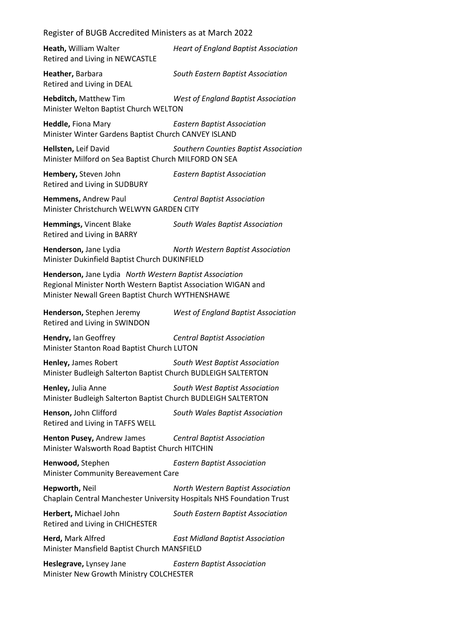**Heath,** William Walter *Heart of England Baptist Association* Retired and Living in NEWCASTLE **Heather,** Barbara *South Eastern Baptist Association* Retired and Living in DEAL **Hebditch,** Matthew Tim *West of England Baptist Association* Minister Welton Baptist Church WELTON **Heddle,** Fiona Mary *Eastern Baptist Association* Minister Winter Gardens Baptist Church CANVEY ISLAND **Hellsten,** Leif David *Southern Counties Baptist Association* Minister Milford on Sea Baptist Church MILFORD ON SEA **Hembery,** Steven John *Eastern Baptist Association* Retired and Living in SUDBURY **Hemmens,** Andrew Paul *Central Baptist Association* Minister Christchurch WELWYN GARDEN CITY **Hemmings,** Vincent Blake *South Wales Baptist Association* Retired and Living in BARRY **Henderson,** Jane Lydia *North Western Baptist Association* Minister Dukinfield Baptist Church DUKINFIELD **Henderson,** Jane Lydia *North Western Baptist Association* Regional Minister North Western Baptist Association WIGAN and Minister Newall Green Baptist Church WYTHENSHAWE **Henderson,** Stephen Jeremy *West of England Baptist Association* Retired and Living in SWINDON **Hendry,** Ian Geoffrey *Central Baptist Association* Minister Stanton Road Baptist Church LUTON **Henley,** James Robert *South West Baptist Association* Minister Budleigh Salterton Baptist Church BUDLEIGH SALTERTON **Henley,** Julia Anne *South West Baptist Association* Minister Budleigh Salterton Baptist Church BUDLEIGH SALTERTON **Henson,** John Clifford *South Wales Baptist Association* Retired and Living in TAFFS WELL **Henton Pusey,** Andrew James *Central Baptist Association* Minister Walsworth Road Baptist Church HITCHIN **Henwood,** Stephen *Eastern Baptist Association* Minister Community Bereavement Care **Hepworth,** Neil *North Western Baptist Association* Chaplain Central Manchester University Hospitals NHS Foundation Trust **Herbert,** Michael John *South Eastern Baptist Association* Retired and Living in CHICHESTER **Herd,** Mark Alfred *East Midland Baptist Association* Minister Mansfield Baptist Church MANSFIELD **Heslegrave,** Lynsey Jane *Eastern Baptist Association* Minister New Growth Ministry COLCHESTER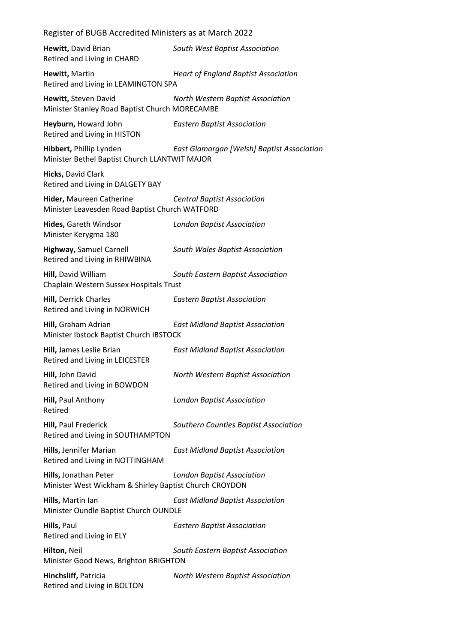| Register of BUGB Accredited Ministers as at March 2022                          |                                             |
|---------------------------------------------------------------------------------|---------------------------------------------|
| Hewitt, David Brian<br>Retired and Living in CHARD                              | South West Baptist Association              |
| Hewitt, Martin<br>Retired and Living in LEAMINGTON SPA                          | <b>Heart of England Baptist Association</b> |
| Hewitt, Steven David<br>Minister Stanley Road Baptist Church MORECAMBE          | North Western Baptist Association           |
| Heyburn, Howard John<br>Retired and Living in HISTON                            | <b>Eastern Baptist Association</b>          |
| Hibbert, Phillip Lynden<br>Minister Bethel Baptist Church LLANTWIT MAJOR        | East Glamorgan [Welsh] Baptist Association  |
| Hicks, David Clark<br>Retired and Living in DALGETY BAY                         |                                             |
| Hider, Maureen Catherine<br>Minister Leavesden Road Baptist Church WATFORD      | <b>Central Baptist Association</b>          |
| Hides, Gareth Windsor<br>Minister Kerygma 180                                   | <b>London Baptist Association</b>           |
| <b>Highway, Samuel Carnell</b><br>Retired and Living in RHIWBINA                | South Wales Baptist Association             |
| Hill, David William<br>Chaplain Western Sussex Hospitals Trust                  | South Eastern Baptist Association           |
| <b>Hill, Derrick Charles</b><br>Retired and Living in NORWICH                   | <b>Eastern Baptist Association</b>          |
| Hill, Graham Adrian<br>Minister Ibstock Baptist Church IBSTOCK                  | <b>East Midland Baptist Association</b>     |
| Hill, James Leslie Brian<br>Retired and Living in LEICESTER                     | <b>East Midland Baptist Association</b>     |
| Hill, John David<br>Retired and Living in BOWDON                                | North Western Baptist Association           |
| Hill, Paul Anthony<br>Retired                                                   | <b>London Baptist Association</b>           |
| Hill, Paul Frederick<br>Retired and Living in SOUTHAMPTON                       | Southern Counties Baptist Association       |
| Hills, Jennifer Marian<br>Retired and Living in NOTTINGHAM                      | <b>East Midland Baptist Association</b>     |
| Hills, Jonathan Peter<br>Minister West Wickham & Shirley Baptist Church CROYDON | <b>London Baptist Association</b>           |
| Hills, Martin lan<br>Minister Oundle Baptist Church OUNDLE                      | <b>East Midland Baptist Association</b>     |
| Hills, Paul<br>Retired and Living in ELY                                        | <b>Eastern Baptist Association</b>          |
| Hilton, Neil<br>Minister Good News, Brighton BRIGHTON                           | South Eastern Baptist Association           |
| Hinchsliff, Patricia<br>Retired and Living in BOLTON                            | North Western Baptist Association           |
|                                                                                 |                                             |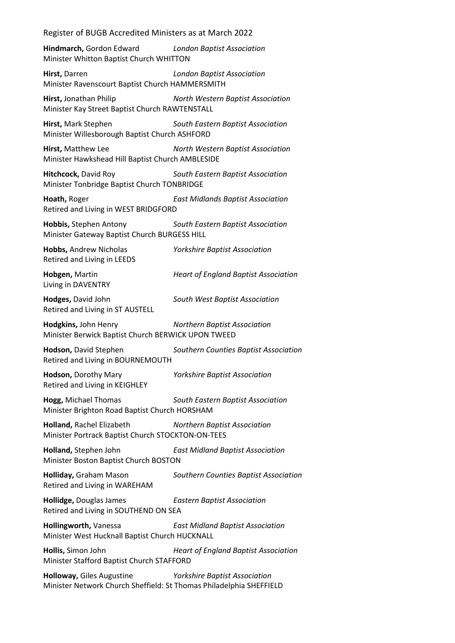**Hindmarch,** Gordon Edward *London Baptist Association* Minister Whitton Baptist Church WHITTON

**Hirst,** Darren *London Baptist Association* Minister Ravenscourt Baptist Church HAMMERSMITH

**Hirst,** Jonathan Philip *North Western Baptist Association* Minister Kay Street Baptist Church RAWTENSTALL

**Hirst,** Mark Stephen *South Eastern Baptist Association* Minister Willesborough Baptist Church ASHFORD

**Hirst,** Matthew Lee *North Western Baptist Association* Minister Hawkshead Hill Baptist Church AMBLESIDE

**Hitchcock,** David Roy *South Eastern Baptist Association* Minister Tonbridge Baptist Church TONBRIDGE

**Hoath,** Roger *East Midlands Baptist Association* Retired and Living in WEST BRIDGFORD

**Hobbis,** Stephen Antony *South Eastern Baptist Association* Minister Gateway Baptist Church BURGESS HILL

**Hobbs,** Andrew Nicholas *Yorkshire Baptist Association* Retired and Living in LEEDS

**Hobgen,** Martin *Heart of England Baptist Association* Living in DAVENTRY

**Hodges,** David John *South West Baptist Association* Retired and Living in ST AUSTELL

**Hodgkins,** John Henry *Northern Baptist Association*

Minister Berwick Baptist Church BERWICK UPON TWEED

**Hodson,** David Stephen *Southern Counties Baptist Association* Retired and Living in BOURNEMOUTH

**Hodson,** Dorothy Mary *Yorkshire Baptist Association* Retired and Living in KEIGHLEY

**Hogg,** Michael Thomas *South Eastern Baptist Association* Minister Brighton Road Baptist Church HORSHAM

**Holland,** Rachel Elizabeth *Northern Baptist Association* Minister Portrack Baptist Church STOCKTON-ON-TEES

**Holland,** Stephen John *East Midland Baptist Association* Minister Boston Baptist Church BOSTON

**Holliday,** Graham Mason *Southern Counties Baptist Association* Retired and Living in WAREHAM

**Hollidge,** Douglas James *Eastern Baptist Association* Retired and Living in SOUTHEND ON SEA

**Hollingworth,** Vanessa *East Midland Baptist Association* Minister West Hucknall Baptist Church HUCKNALL

**Hollis,** Simon John *Heart of England Baptist Association* Minister Stafford Baptist Church STAFFORD

**Holloway,** Giles Augustine *Yorkshire Baptist Association* Minister Network Church Sheffield: St Thomas Philadelphia SHEFFIELD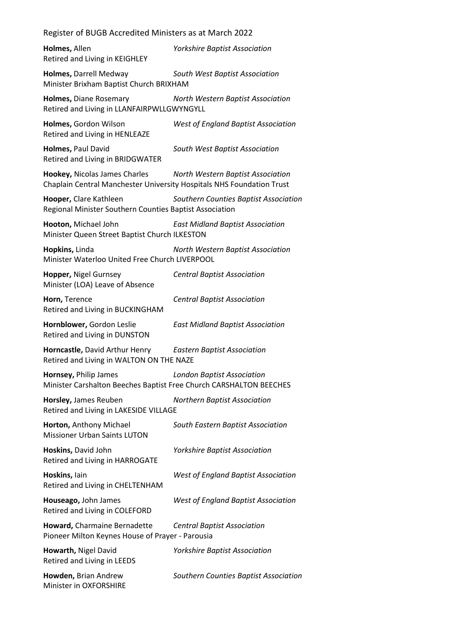| Holmes, Allen<br>Retired and Living in KEIGHLEY                                                        | <b>Yorkshire Baptist Association</b>       |
|--------------------------------------------------------------------------------------------------------|--------------------------------------------|
| Holmes, Darrell Medway<br>Minister Brixham Baptist Church BRIXHAM                                      | South West Baptist Association             |
| Holmes, Diane Rosemary<br>Retired and Living in LLANFAIRPWLLGWYNGYLL                                   | North Western Baptist Association          |
| Holmes, Gordon Wilson<br>Retired and Living in HENLEAZE                                                | <b>West of England Baptist Association</b> |
| Holmes, Paul David<br>Retired and Living in BRIDGWATER                                                 | South West Baptist Association             |
| Hookey, Nicolas James Charles<br>Chaplain Central Manchester University Hospitals NHS Foundation Trust | North Western Baptist Association          |
| Hooper, Clare Kathleen<br>Regional Minister Southern Counties Baptist Association                      | Southern Counties Baptist Association      |
| Hooton, Michael John<br>Minister Queen Street Baptist Church ILKESTON                                  | <b>East Midland Baptist Association</b>    |
| Hopkins, Linda<br>Minister Waterloo United Free Church LIVERPOOL                                       | North Western Baptist Association          |
| Hopper, Nigel Gurnsey<br>Minister (LOA) Leave of Absence                                               | <b>Central Baptist Association</b>         |
| Horn, Terence<br>Retired and Living in BUCKINGHAM                                                      | <b>Central Baptist Association</b>         |
| Hornblower, Gordon Leslie<br>Retired and Living in DUNSTON                                             | <b>East Midland Baptist Association</b>    |
| Horncastle, David Arthur Henry<br>Retired and Living in WALTON ON THE NAZE                             | <b>Eastern Baptist Association</b>         |
| Hornsey, Philip James<br>Minister Carshalton Beeches Baptist Free Church CARSHALTON BEECHES            | <b>London Baptist Association</b>          |
| Horsley, James Reuben<br>Retired and Living in LAKESIDE VILLAGE                                        | <b>Northern Baptist Association</b>        |
| Horton, Anthony Michael<br><b>Missioner Urban Saints LUTON</b>                                         | South Eastern Baptist Association          |
| Hoskins, David John<br>Retired and Living in HARROGATE                                                 | <b>Yorkshire Baptist Association</b>       |
| Hoskins, lain<br>Retired and Living in CHELTENHAM                                                      | <b>West of England Baptist Association</b> |
| Houseago, John James<br>Retired and Living in COLEFORD                                                 | <b>West of England Baptist Association</b> |
| Howard, Charmaine Bernadette<br>Pioneer Milton Keynes House of Prayer - Parousia                       | <b>Central Baptist Association</b>         |
| Howarth, Nigel David<br>Retired and Living in LEEDS                                                    | <b>Yorkshire Baptist Association</b>       |
| Howden, Brian Andrew<br>Minister in OXFORSHIRE                                                         | Southern Counties Baptist Association      |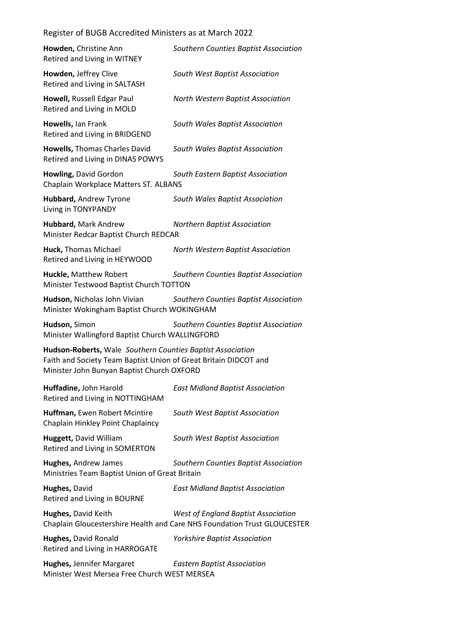| Howden, Christine Ann<br>Retired and Living in WITNEY                                                                                                                        | Southern Counties Baptist Association                                                                                  |
|------------------------------------------------------------------------------------------------------------------------------------------------------------------------------|------------------------------------------------------------------------------------------------------------------------|
| Howden, Jeffrey Clive<br>Retired and Living in SALTASH                                                                                                                       | South West Baptist Association                                                                                         |
| Howell, Russell Edgar Paul<br>Retired and Living in MOLD                                                                                                                     | North Western Baptist Association                                                                                      |
| Howells, Ian Frank<br>Retired and Living in BRIDGEND                                                                                                                         | South Wales Baptist Association                                                                                        |
| <b>Howells, Thomas Charles David</b><br>Retired and Living in DINAS POWYS                                                                                                    | South Wales Baptist Association                                                                                        |
| Howling, David Gordon<br>Chaplain Workplace Matters ST. ALBANS                                                                                                               | South Eastern Baptist Association                                                                                      |
| Hubbard, Andrew Tyrone<br>Living in TONYPANDY                                                                                                                                | South Wales Baptist Association                                                                                        |
| Hubbard, Mark Andrew<br>Minister Redcar Baptist Church REDCAR                                                                                                                | <b>Northern Baptist Association</b>                                                                                    |
| Huck, Thomas Michael<br>Retired and Living in HEYWOOD                                                                                                                        | North Western Baptist Association                                                                                      |
| Huckle, Matthew Robert<br>Minister Testwood Baptist Church TOTTON                                                                                                            | Southern Counties Baptist Association                                                                                  |
| Hudson, Nicholas John Vivian<br>Minister Wokingham Baptist Church WOKINGHAM                                                                                                  | Southern Counties Baptist Association                                                                                  |
| Hudson, Simon<br>Minister Wallingford Baptist Church WALLINGFORD                                                                                                             | Southern Counties Baptist Association                                                                                  |
| Hudson-Roberts, Wale Southern Counties Baptist Association<br>Faith and Society Team Baptist Union of Great Britain DIDCOT and<br>Minister John Bunyan Baptist Church OXFORD |                                                                                                                        |
| Huffadine, John Harold<br>Retired and Living in NOTTINGHAM                                                                                                                   | <b>East Midland Baptist Association</b>                                                                                |
| Huffman, Ewen Robert Mcintire<br>Chaplain Hinkley Point Chaplaincy                                                                                                           | South West Baptist Association                                                                                         |
| Huggett, David William<br>Retired and Living in SOMERTON                                                                                                                     | South West Baptist Association                                                                                         |
| <b>Hughes, Andrew James</b><br>Ministries Team Baptist Union of Great Britain                                                                                                | Southern Counties Baptist Association                                                                                  |
| Hughes, David<br>Retired and Living in BOURNE                                                                                                                                | <b>East Midland Baptist Association</b>                                                                                |
| Hughes, David Keith                                                                                                                                                          | <b>West of England Baptist Association</b><br>Chaplain Gloucestershire Health and Care NHS Foundation Trust GLOUCESTER |
| Hughes, David Ronald<br>Retired and Living in HARROGATE                                                                                                                      | <b>Yorkshire Baptist Association</b>                                                                                   |
| Hughes, Jennifer Margaret<br>Minister West Mersea Free Church WEST MERSEA                                                                                                    | <b>Eastern Baptist Association</b>                                                                                     |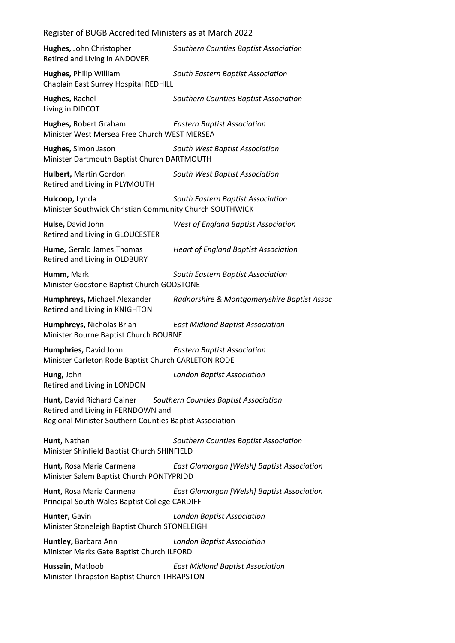| Register of BUGB Accredited Ministers as at March 2022                                                                                                               |                                             |  |
|----------------------------------------------------------------------------------------------------------------------------------------------------------------------|---------------------------------------------|--|
| Hughes, John Christopher<br>Retired and Living in ANDOVER                                                                                                            | Southern Counties Baptist Association       |  |
| Hughes, Philip William<br>Chaplain East Surrey Hospital REDHILL                                                                                                      | South Eastern Baptist Association           |  |
| Hughes, Rachel<br>Living in DIDCOT                                                                                                                                   | Southern Counties Baptist Association       |  |
| Hughes, Robert Graham<br>Minister West Mersea Free Church WEST MERSEA                                                                                                | <b>Eastern Baptist Association</b>          |  |
| Hughes, Simon Jason<br>Minister Dartmouth Baptist Church DARTMOUTH                                                                                                   | South West Baptist Association              |  |
| Hulbert, Martin Gordon<br>Retired and Living in PLYMOUTH                                                                                                             | South West Baptist Association              |  |
| Hulcoop, Lynda<br>Minister Southwick Christian Community Church SOUTHWICK                                                                                            | South Eastern Baptist Association           |  |
| Hulse, David John<br>Retired and Living in GLOUCESTER                                                                                                                | <b>West of England Baptist Association</b>  |  |
| Hume, Gerald James Thomas<br>Retired and Living in OLDBURY                                                                                                           | <b>Heart of England Baptist Association</b> |  |
| Humm, Mark<br>South Eastern Baptist Association<br>Minister Godstone Baptist Church GODSTONE                                                                         |                                             |  |
| Humphreys, Michael Alexander<br>Retired and Living in KNIGHTON                                                                                                       | Radnorshire & Montgomeryshire Baptist Assoc |  |
| Humphreys, Nicholas Brian<br>Minister Bourne Baptist Church BOURNE                                                                                                   | <b>East Midland Baptist Association</b>     |  |
| Humphries, David John<br>Minister Carleton Rode Baptist Church CARLETON RODE                                                                                         | <b>Eastern Baptist Association</b>          |  |
| Hung, John<br>Retired and Living in LONDON                                                                                                                           | <b>London Baptist Association</b>           |  |
| Hunt, David Richard Gainer<br>Southern Counties Baptist Association<br>Retired and Living in FERNDOWN and<br>Regional Minister Southern Counties Baptist Association |                                             |  |
| Hunt, Nathan<br>Minister Shinfield Baptist Church SHINFIELD                                                                                                          | Southern Counties Baptist Association       |  |
| Hunt, Rosa Maria Carmena<br>Minister Salem Baptist Church PONTYPRIDD                                                                                                 | East Glamorgan [Welsh] Baptist Association  |  |
| Hunt, Rosa Maria Carmena<br>Principal South Wales Baptist College CARDIFF                                                                                            | East Glamorgan [Welsh] Baptist Association  |  |
| Hunter, Gavin<br>Minister Stoneleigh Baptist Church STONELEIGH                                                                                                       | <b>London Baptist Association</b>           |  |
| Huntley, Barbara Ann<br>Minister Marks Gate Baptist Church ILFORD                                                                                                    | <b>London Baptist Association</b>           |  |
| Hussain, Matloob<br>Minister Thrapston Baptist Church THRAPSTON                                                                                                      | <b>East Midland Baptist Association</b>     |  |
|                                                                                                                                                                      |                                             |  |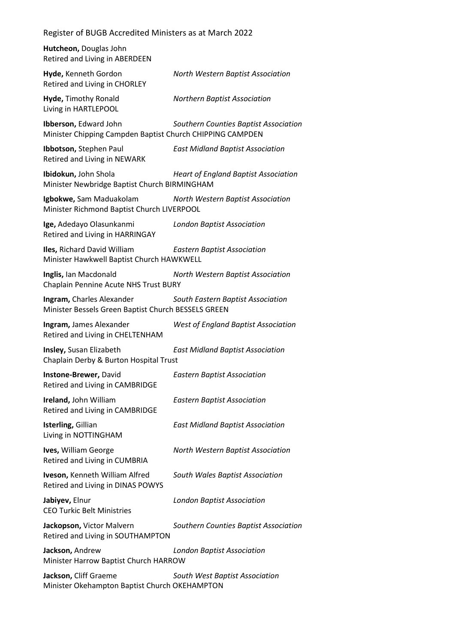| Register of BUGB Accredited Ministers as at March 2022                             |                                             |
|------------------------------------------------------------------------------------|---------------------------------------------|
| Hutcheon, Douglas John<br>Retired and Living in ABERDEEN                           |                                             |
| Hyde, Kenneth Gordon<br>Retired and Living in CHORLEY                              | North Western Baptist Association           |
| Hyde, Timothy Ronald<br>Living in HARTLEPOOL                                       | <b>Northern Baptist Association</b>         |
| Ibberson, Edward John<br>Minister Chipping Campden Baptist Church CHIPPING CAMPDEN | Southern Counties Baptist Association       |
| Ibbotson, Stephen Paul<br>Retired and Living in NEWARK                             | <b>East Midland Baptist Association</b>     |
| Ibidokun, John Shola<br>Minister Newbridge Baptist Church BIRMINGHAM               | <b>Heart of England Baptist Association</b> |
| Igbokwe, Sam Maduakolam<br>Minister Richmond Baptist Church LIVERPOOL              | North Western Baptist Association           |
| Ige, Adedayo Olasunkanmi<br>Retired and Living in HARRINGAY                        | <b>London Baptist Association</b>           |
| Iles, Richard David William<br>Minister Hawkwell Baptist Church HAWKWELL           | <b>Eastern Baptist Association</b>          |
| Inglis, Ian Macdonald<br>Chaplain Pennine Acute NHS Trust BURY                     | North Western Baptist Association           |
| Ingram, Charles Alexander<br>Minister Bessels Green Baptist Church BESSELS GREEN   | South Eastern Baptist Association           |
| Ingram, James Alexander<br>Retired and Living in CHELTENHAM                        | <b>West of England Baptist Association</b>  |
| Insley, Susan Elizabeth<br>Chaplain Derby & Burton Hospital Trust                  | <b>East Midland Baptist Association</b>     |
| Instone-Brewer, David<br>Retired and Living in CAMBRIDGE                           | <b>Eastern Baptist Association</b>          |
| Ireland, John William<br>Retired and Living in CAMBRIDGE                           | <b>Eastern Baptist Association</b>          |
| Isterling, Gillian<br>Living in NOTTINGHAM                                         | <b>East Midland Baptist Association</b>     |
| Ives, William George<br>Retired and Living in CUMBRIA                              | North Western Baptist Association           |
| Iveson, Kenneth William Alfred<br>Retired and Living in DINAS POWYS                | South Wales Baptist Association             |
| Jabiyev, Elnur<br><b>CEO Turkic Belt Ministries</b>                                | <b>London Baptist Association</b>           |
| Jackopson, Victor Malvern<br>Retired and Living in SOUTHAMPTON                     | Southern Counties Baptist Association       |
| Jackson, Andrew<br>Minister Harrow Baptist Church HARROW                           | <b>London Baptist Association</b>           |
| Jackson, Cliff Graeme<br>Minister Okehampton Baptist Church OKEHAMPTON             | South West Baptist Association              |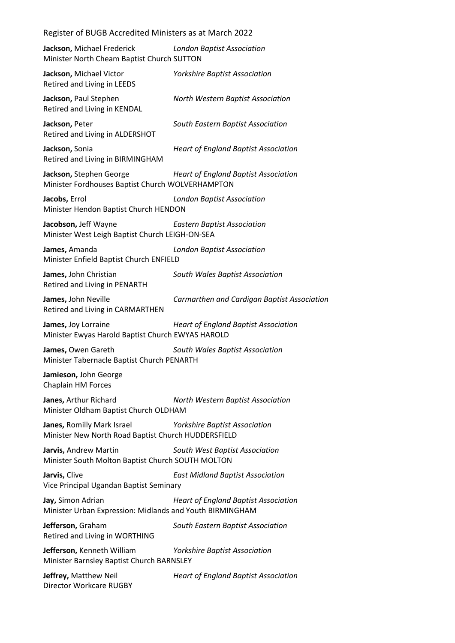| Register of BUGB Accredited Ministers as at March 2022 |  |
|--------------------------------------------------------|--|
|--------------------------------------------------------|--|

**Jackson,** Michael Frederick *London Baptist Association* Minister North Cheam Baptist Church SUTTON

**Jackson,** Michael Victor *Yorkshire Baptist Association* Retired and Living in LEEDS

**Jackson,** Paul Stephen *North Western Baptist Association* Retired and Living in KENDAL

**Jackson,** Peter *South Eastern Baptist Association* Retired and Living in ALDERSHOT

**Jackson,** Sonia *Heart of England Baptist Association* Retired and Living in BIRMINGHAM

**Jackson,** Stephen George *Heart of England Baptist Association* Minister Fordhouses Baptist Church WOLVERHAMPTON

**Jacobs,** Errol *London Baptist Association* Minister Hendon Baptist Church HENDON

**Jacobson,** Jeff Wayne *Eastern Baptist Association* Minister West Leigh Baptist Church LEIGH-ON-SEA

**James,** Amanda *London Baptist Association* Minister Enfield Baptist Church ENFIELD

**James,** John Christian *South Wales Baptist Association* Retired and Living in PENARTH

**James,** John Neville *Carmarthen and Cardigan Baptist Association*

Retired and Living in CARMARTHEN

**James,** Joy Lorraine *Heart of England Baptist Association* Minister Ewyas Harold Baptist Church EWYAS HAROLD

**James,** Owen Gareth *South Wales Baptist Association* Minister Tabernacle Baptist Church PENARTH

**Jamieson,** John George Chaplain HM Forces

**Janes,** Arthur Richard *North Western Baptist Association* Minister Oldham Baptist Church OLDHAM

**Janes,** Romilly Mark Israel *Yorkshire Baptist Association* Minister New North Road Baptist Church HUDDERSFIELD

**Jarvis,** Andrew Martin *South West Baptist Association* Minister South Molton Baptist Church SOUTH MOLTON

**Jarvis,** Clive *East Midland Baptist Association* Vice Principal Ugandan Baptist Seminary

**Jay,** Simon Adrian *Heart of England Baptist Association* Minister Urban Expression: Midlands and Youth BIRMINGHAM

**Jefferson,** Graham *South Eastern Baptist Association* Retired and Living in WORTHING

**Jefferson,** Kenneth William *Yorkshire Baptist Association* Minister Barnsley Baptist Church BARNSLEY

**Jeffrey,** Matthew Neil *Heart of England Baptist Association* Director Workcare RUGBY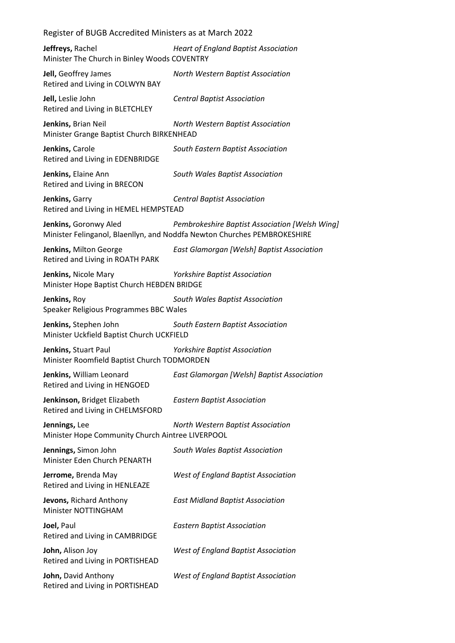| Register of BUGB Accredited Ministers as at March 2022 |  |
|--------------------------------------------------------|--|
|--------------------------------------------------------|--|

| Jeffreys, Rachel<br>Minister The Church in Binley Woods COVENTRY    | <b>Heart of England Baptist Association</b>                                                                                |
|---------------------------------------------------------------------|----------------------------------------------------------------------------------------------------------------------------|
| Jell, Geoffrey James<br>Retired and Living in COLWYN BAY            | North Western Baptist Association                                                                                          |
| Jell, Leslie John<br>Retired and Living in BLETCHLEY                | <b>Central Baptist Association</b>                                                                                         |
| Jenkins, Brian Neil<br>Minister Grange Baptist Church BIRKENHEAD    | North Western Baptist Association                                                                                          |
| Jenkins, Carole<br>Retired and Living in EDENBRIDGE                 | South Eastern Baptist Association                                                                                          |
| Jenkins, Elaine Ann<br>Retired and Living in BRECON                 | South Wales Baptist Association                                                                                            |
| Jenkins, Garry<br>Retired and Living in HEMEL HEMPSTEAD             | <b>Central Baptist Association</b>                                                                                         |
| Jenkins, Goronwy Aled                                               | Pembrokeshire Baptist Association [Welsh Wing]<br>Minister Felinganol, Blaenllyn, and Noddfa Newton Churches PEMBROKESHIRE |
| Jenkins, Milton George<br>Retired and Living in ROATH PARK          | East Glamorgan [Welsh] Baptist Association                                                                                 |
| Jenkins, Nicole Mary<br>Minister Hope Baptist Church HEBDEN BRIDGE  | <b>Yorkshire Baptist Association</b>                                                                                       |
| Jenkins, Roy<br>Speaker Religious Programmes BBC Wales              | South Wales Baptist Association                                                                                            |
| Jenkins, Stephen John<br>Minister Uckfield Baptist Church UCKFIELD  | South Eastern Baptist Association                                                                                          |
| Jenkins, Stuart Paul<br>Minister Roomfield Baptist Church TODMORDEN | Yorkshire Baptist Association                                                                                              |
| Jenkins, William Leonard<br>Retired and Living in HENGOED           | East Glamorgan [Welsh] Baptist Association                                                                                 |
| Jenkinson, Bridget Elizabeth<br>Retired and Living in CHELMSFORD    | <b>Eastern Baptist Association</b>                                                                                         |
| Jennings, Lee<br>Minister Hope Community Church Aintree LIVERPOOL   | North Western Baptist Association                                                                                          |
| Jennings, Simon John<br>Minister Eden Church PENARTH                | South Wales Baptist Association                                                                                            |
| Jerrome, Brenda May<br>Retired and Living in HENLEAZE               | <b>West of England Baptist Association</b>                                                                                 |
| Jevons, Richard Anthony<br>Minister NOTTINGHAM                      | <b>East Midland Baptist Association</b>                                                                                    |
| Joel, Paul<br>Retired and Living in CAMBRIDGE                       | <b>Eastern Baptist Association</b>                                                                                         |
| John, Alison Joy<br>Retired and Living in PORTISHEAD                | <b>West of England Baptist Association</b>                                                                                 |
| John, David Anthony<br>Retired and Living in PORTISHEAD             | <b>West of England Baptist Association</b>                                                                                 |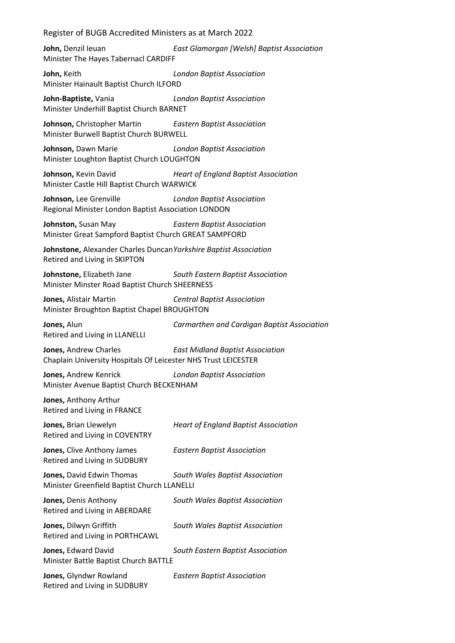**John,** Denzil Ieuan *East Glamorgan [Welsh] Baptist Association* Minister The Hayes Tabernacl CARDIFF

**John,** Keith *London Baptist Association* Minister Hainault Baptist Church ILFORD

**John-Baptiste,** Vania *London Baptist Association* Minister Underhill Baptist Church BARNET

**Johnson,** Christopher Martin *Eastern Baptist Association* Minister Burwell Baptist Church BURWELL

**Johnson,** Dawn Marie *London Baptist Association* Minister Loughton Baptist Church LOUGHTON

**Johnson,** Kevin David *Heart of England Baptist Association* Minister Castle Hill Baptist Church WARWICK

**Johnson,** Lee Grenville *London Baptist Association* Regional Minister London Baptist Association LONDON

**Johnston,** Susan May *Eastern Baptist Association* Minister Great Sampford Baptist Church GREAT SAMPFORD

**Johnstone,** Alexander Charles Duncan*Yorkshire Baptist Association* Retired and Living in SKIPTON

**Johnstone,** Elizabeth Jane *South Eastern Baptist Association* Minister Minster Road Baptist Church SHEERNESS

**Jones,** Alistair Martin *Central Baptist Association* Minister Broughton Baptist Chapel BROUGHTON

**Jones,** Alun *Carmarthen and Cardigan Baptist Association* Retired and Living in LLANELLI

**Jones,** Andrew Charles *East Midland Baptist Association* Chaplain University Hospitals Of Leicester NHS Trust LEICESTER

**Jones,** Andrew Kenrick *London Baptist Association* Minister Avenue Baptist Church BECKENHAM

**Jones,** Anthony Arthur Retired and Living in FRANCE

**Jones,** Brian Llewelyn *Heart of England Baptist Association* Retired and Living in COVENTRY

**Jones,** Clive Anthony James *Eastern Baptist Association*

Retired and Living in SUDBURY

**Jones,** David Edwin Thomas *South Wales Baptist Association* Minister Greenfield Baptist Church LLANELLI

**Jones,** Denis Anthony *South Wales Baptist Association* Retired and Living in ABERDARE

**Jones,** Dilwyn Griffith *South Wales Baptist Association* Retired and Living in PORTHCAWL

**Jones,** Edward David *South Eastern Baptist Association* Minister Battle Baptist Church BATTLE

**Jones,** Glyndwr Rowland *Eastern Baptist Association* Retired and Living in SUDBURY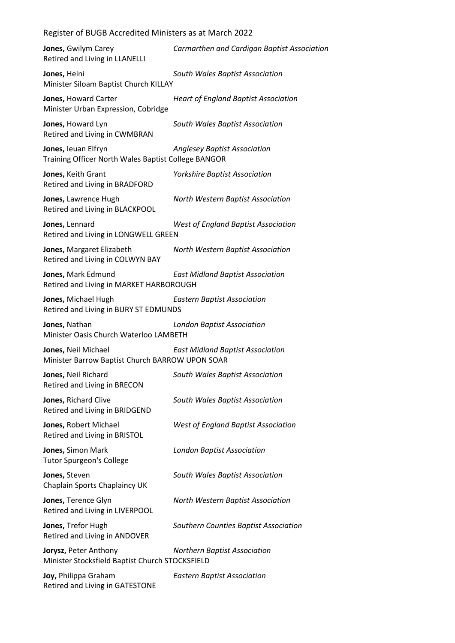| Jones, Gwilym Carey<br>Retired and Living in LLANELLI                      | Carmarthen and Cardigan Baptist Association |
|----------------------------------------------------------------------------|---------------------------------------------|
| Jones, Heini<br>Minister Siloam Baptist Church KILLAY                      | South Wales Baptist Association             |
| Jones, Howard Carter<br>Minister Urban Expression, Cobridge                | <b>Heart of England Baptist Association</b> |
| Jones, Howard Lyn<br>Retired and Living in CWMBRAN                         | South Wales Baptist Association             |
| Jones, leuan Elfryn<br>Training Officer North Wales Baptist College BANGOR | <b>Anglesey Baptist Association</b>         |
| Jones, Keith Grant<br>Retired and Living in BRADFORD                       | Yorkshire Baptist Association               |
| Jones, Lawrence Hugh<br>Retired and Living in BLACKPOOL                    | North Western Baptist Association           |
| Jones, Lennard<br>Retired and Living in LONGWELL GREEN                     | <b>West of England Baptist Association</b>  |
| Jones, Margaret Elizabeth<br>Retired and Living in COLWYN BAY              | North Western Baptist Association           |
| Jones, Mark Edmund<br>Retired and Living in MARKET HARBOROUGH              | <b>East Midland Baptist Association</b>     |
| Jones, Michael Hugh<br>Retired and Living in BURY ST EDMUNDS               | <b>Eastern Baptist Association</b>          |
| Jones, Nathan<br>Minister Oasis Church Waterloo LAMBETH                    | <b>London Baptist Association</b>           |
| Jones, Neil Michael<br>Minister Barrow Baptist Church BARROW UPON SOAR     | <b>East Midland Baptist Association</b>     |
| Jones, Neil Richard<br>Retired and Living in BRECON                        | South Wales Baptist Association             |
| Jones, Richard Clive<br>Retired and Living in BRIDGEND                     | South Wales Baptist Association             |
| Jones, Robert Michael<br>Retired and Living in BRISTOL                     | <b>West of England Baptist Association</b>  |
| Jones, Simon Mark<br><b>Tutor Spurgeon's College</b>                       | <b>London Baptist Association</b>           |
| Jones, Steven<br>Chaplain Sports Chaplaincy UK                             | South Wales Baptist Association             |
| Jones, Terence Glyn<br>Retired and Living in LIVERPOOL                     | North Western Baptist Association           |
| Jones, Trefor Hugh<br>Retired and Living in ANDOVER                        | Southern Counties Baptist Association       |
| Jorysz, Peter Anthony<br>Minister Stocksfield Baptist Church STOCKSFIELD   | <b>Northern Baptist Association</b>         |
| Joy, Philippa Graham<br>Retired and Living in GATESTONE                    | <b>Eastern Baptist Association</b>          |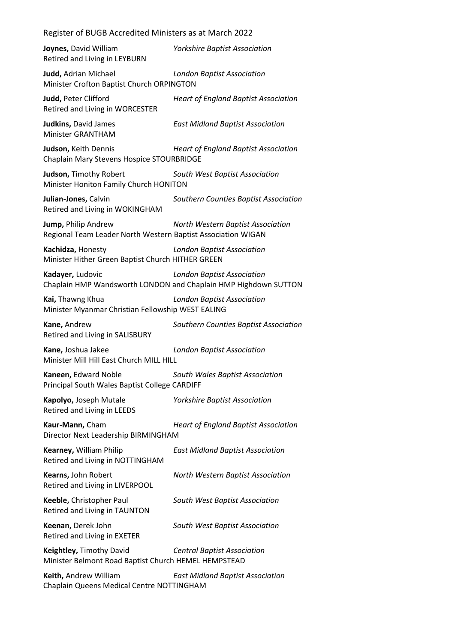| Register of BUGB Accredited Ministers as at March 2022                              |                                                                                                      |  |
|-------------------------------------------------------------------------------------|------------------------------------------------------------------------------------------------------|--|
| Joynes, David William<br>Retired and Living in LEYBURN                              | <b>Yorkshire Baptist Association</b>                                                                 |  |
| Judd, Adrian Michael<br>Minister Crofton Baptist Church ORPINGTON                   | <b>London Baptist Association</b>                                                                    |  |
| Judd, Peter Clifford<br>Retired and Living in WORCESTER                             | <b>Heart of England Baptist Association</b>                                                          |  |
| Judkins, David James<br>Minister GRANTHAM                                           | <b>East Midland Baptist Association</b>                                                              |  |
| Judson, Keith Dennis<br>Chaplain Mary Stevens Hospice STOURBRIDGE                   | <b>Heart of England Baptist Association</b>                                                          |  |
| Judson, Timothy Robert<br>Minister Honiton Family Church HONITON                    | South West Baptist Association                                                                       |  |
| Julian-Jones, Calvin<br>Retired and Living in WOKINGHAM                             | Southern Counties Baptist Association                                                                |  |
| Jump, Philip Andrew<br>Regional Team Leader North Western Baptist Association WIGAN | North Western Baptist Association                                                                    |  |
| Kachidza, Honesty<br>Minister Hither Green Baptist Church HITHER GREEN              | <b>London Baptist Association</b>                                                                    |  |
| Kadayer, Ludovic                                                                    | <b>London Baptist Association</b><br>Chaplain HMP Wandsworth LONDON and Chaplain HMP Highdown SUTTON |  |
| Kai, Thawng Khua<br>Minister Myanmar Christian Fellowship WEST EALING               | <b>London Baptist Association</b>                                                                    |  |
| Kane, Andrew<br>Retired and Living in SALISBURY                                     | Southern Counties Baptist Association                                                                |  |
| Kane, Joshua Jakee<br>Minister Mill Hill East Church MILL HILL                      | <b>London Baptist Association</b>                                                                    |  |
| Kaneen, Edward Noble<br>Principal South Wales Baptist College CARDIFF               | South Wales Baptist Association                                                                      |  |
| Kapolyo, Joseph Mutale<br>Retired and Living in LEEDS                               | <b>Yorkshire Baptist Association</b>                                                                 |  |
| Kaur-Mann, Cham<br>Director Next Leadership BIRMINGHAM                              | <b>Heart of England Baptist Association</b>                                                          |  |
| Kearney, William Philip<br>Retired and Living in NOTTINGHAM                         | <b>East Midland Baptist Association</b>                                                              |  |
| Kearns, John Robert<br>Retired and Living in LIVERPOOL                              | North Western Baptist Association                                                                    |  |
| Keeble, Christopher Paul<br>Retired and Living in TAUNTON                           | South West Baptist Association                                                                       |  |
| Keenan, Derek John<br>Retired and Living in EXETER                                  | South West Baptist Association                                                                       |  |
| Keightley, Timothy David<br>Minister Belmont Road Baptist Church HEMEL HEMPSTEAD    | <b>Central Baptist Association</b>                                                                   |  |
| Keith, Andrew William<br>Chaplain Queens Medical Centre NOTTINGHAM                  | <b>East Midland Baptist Association</b>                                                              |  |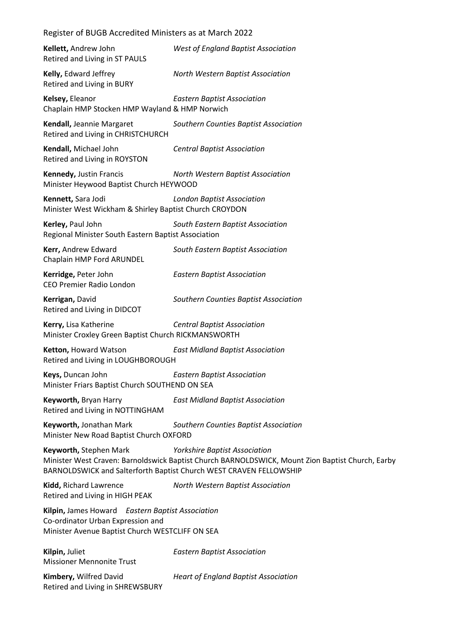| Kellett, Andrew John<br>Retired and Living in ST PAULS                                                                                   | <b>West of England Baptist Association</b>                                                                                                                                                                     |
|------------------------------------------------------------------------------------------------------------------------------------------|----------------------------------------------------------------------------------------------------------------------------------------------------------------------------------------------------------------|
| Kelly, Edward Jeffrey<br>Retired and Living in BURY                                                                                      | North Western Baptist Association                                                                                                                                                                              |
| Kelsey, Eleanor<br>Chaplain HMP Stocken HMP Wayland & HMP Norwich                                                                        | <b>Eastern Baptist Association</b>                                                                                                                                                                             |
| Kendall, Jeannie Margaret<br>Retired and Living in CHRISTCHURCH                                                                          | Southern Counties Baptist Association                                                                                                                                                                          |
| Kendall, Michael John<br>Retired and Living in ROYSTON                                                                                   | <b>Central Baptist Association</b>                                                                                                                                                                             |
| Kennedy, Justin Francis<br>Minister Heywood Baptist Church HEYWOOD                                                                       | North Western Baptist Association                                                                                                                                                                              |
| Kennett, Sara Jodi<br>Minister West Wickham & Shirley Baptist Church CROYDON                                                             | <b>London Baptist Association</b>                                                                                                                                                                              |
| Kerley, Paul John<br>Regional Minister South Eastern Baptist Association                                                                 | South Eastern Baptist Association                                                                                                                                                                              |
| Kerr, Andrew Edward<br>Chaplain HMP Ford ARUNDEL                                                                                         | South Eastern Baptist Association                                                                                                                                                                              |
| Kerridge, Peter John<br>CEO Premier Radio London                                                                                         | <b>Eastern Baptist Association</b>                                                                                                                                                                             |
| Kerrigan, David<br>Retired and Living in DIDCOT                                                                                          | Southern Counties Baptist Association                                                                                                                                                                          |
| Kerry, Lisa Katherine<br>Minister Croxley Green Baptist Church RICKMANSWORTH                                                             | <b>Central Baptist Association</b>                                                                                                                                                                             |
| Ketton, Howard Watson<br>Retired and Living in LOUGHBOROUGH                                                                              | <b>East Midland Baptist Association</b>                                                                                                                                                                        |
| Keys, Duncan John<br>Minister Friars Baptist Church SOUTHEND ON SEA                                                                      | <b>Eastern Baptist Association</b>                                                                                                                                                                             |
| Keyworth, Bryan Harry<br>Retired and Living in NOTTINGHAM                                                                                | <b>East Midland Baptist Association</b>                                                                                                                                                                        |
| Keyworth, Jonathan Mark<br>Minister New Road Baptist Church OXFORD                                                                       | Southern Counties Baptist Association                                                                                                                                                                          |
| Keyworth, Stephen Mark                                                                                                                   | <b>Yorkshire Baptist Association</b><br>Minister West Craven: Barnoldswick Baptist Church BARNOLDSWICK, Mount Zion Baptist Church, Earby<br>BARNOLDSWICK and Salterforth Baptist Church WEST CRAVEN FELLOWSHIP |
| Kidd, Richard Lawrence<br>Retired and Living in HIGH PEAK                                                                                | North Western Baptist Association                                                                                                                                                                              |
| Kilpin, James Howard Eastern Baptist Association<br>Co-ordinator Urban Expression and<br>Minister Avenue Baptist Church WESTCLIFF ON SEA |                                                                                                                                                                                                                |
| Kilpin, Juliet<br><b>Missioner Mennonite Trust</b>                                                                                       | <b>Eastern Baptist Association</b>                                                                                                                                                                             |
| Kimbery, Wilfred David<br>Retired and Living in SHREWSBURY                                                                               | <b>Heart of England Baptist Association</b>                                                                                                                                                                    |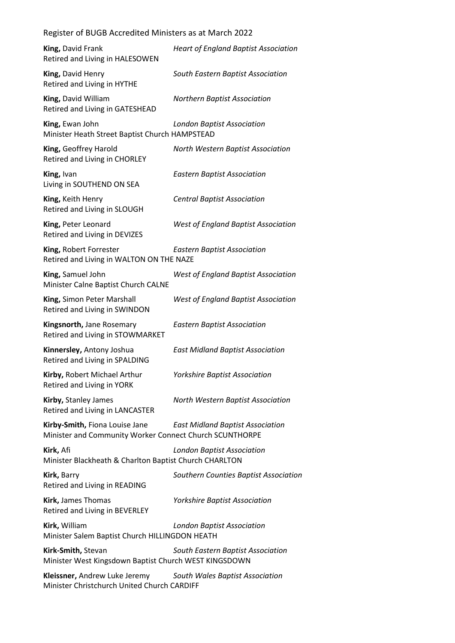| King, David Frank<br>Retired and Living in HALESOWEN                                      | <b>Heart of England Baptist Association</b> |
|-------------------------------------------------------------------------------------------|---------------------------------------------|
| King, David Henry<br>Retired and Living in HYTHE                                          | South Eastern Baptist Association           |
| King, David William<br>Retired and Living in GATESHEAD                                    | <b>Northern Baptist Association</b>         |
| King, Ewan John<br>Minister Heath Street Baptist Church HAMPSTEAD                         | <b>London Baptist Association</b>           |
| King, Geoffrey Harold<br>Retired and Living in CHORLEY                                    | North Western Baptist Association           |
| King, Ivan<br>Living in SOUTHEND ON SEA                                                   | <b>Eastern Baptist Association</b>          |
| King, Keith Henry<br>Retired and Living in SLOUGH                                         | <b>Central Baptist Association</b>          |
| King, Peter Leonard<br>Retired and Living in DEVIZES                                      | <b>West of England Baptist Association</b>  |
| King, Robert Forrester<br>Retired and Living in WALTON ON THE NAZE                        | <b>Eastern Baptist Association</b>          |
| King, Samuel John<br>Minister Calne Baptist Church CALNE                                  | West of England Baptist Association         |
| King, Simon Peter Marshall<br>Retired and Living in SWINDON                               | <b>West of England Baptist Association</b>  |
| Kingsnorth, Jane Rosemary<br>Retired and Living in STOWMARKET                             | <b>Eastern Baptist Association</b>          |
| Kinnersley, Antony Joshua<br>Retired and Living in SPALDING                               | <b>East Midland Baptist Association</b>     |
| Kirby, Robert Michael Arthur<br>Retired and Living in YORK                                | <b>Yorkshire Baptist Association</b>        |
| Kirby, Stanley James<br>Retired and Living in LANCASTER                                   | North Western Baptist Association           |
| Kirby-Smith, Fiona Louise Jane<br>Minister and Community Worker Connect Church SCUNTHORPE | <b>East Midland Baptist Association</b>     |
| Kirk, Afi<br>Minister Blackheath & Charlton Baptist Church CHARLTON                       | <b>London Baptist Association</b>           |
| Kirk, Barry<br>Retired and Living in READING                                              | Southern Counties Baptist Association       |
| Kirk, James Thomas<br>Retired and Living in BEVERLEY                                      | <b>Yorkshire Baptist Association</b>        |
| Kirk, William<br>Minister Salem Baptist Church HILLINGDON HEATH                           | <b>London Baptist Association</b>           |
| Kirk-Smith, Stevan<br>Minister West Kingsdown Baptist Church WEST KINGSDOWN               | South Eastern Baptist Association           |
| Kleissner, Andrew Luke Jeremy<br>Minister Christchurch United Church CARDIFF              | South Wales Baptist Association             |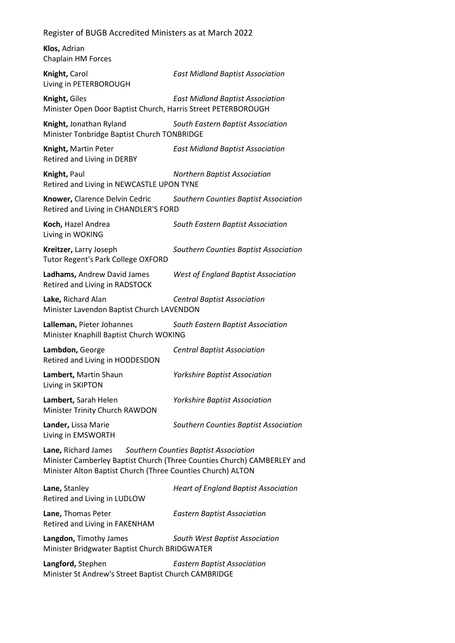**Klos,** Adrian Chaplain HM Forces

**Knight,** Carol *East Midland Baptist Association* Living in PETERBOROUGH

**Knight,** Giles *East Midland Baptist Association* Minister Open Door Baptist Church, Harris Street PETERBOROUGH

**Knight,** Jonathan Ryland *South Eastern Baptist Association* Minister Tonbridge Baptist Church TONBRIDGE

**Knight,** Martin Peter *East Midland Baptist Association* Retired and Living in DERBY

**Knight,** Paul *Northern Baptist Association* Retired and Living in NEWCASTLE UPON TYNE

**Knower,** Clarence Delvin Cedric *Southern Counties Baptist Association* Retired and Living in CHANDLER'S FORD

**Koch,** Hazel Andrea *South Eastern Baptist Association* Living in WOKING

**Kreitzer,** Larry Joseph *Southern Counties Baptist Association* Tutor Regent's Park College OXFORD

**Ladhams,** Andrew David James *West of England Baptist Association* Retired and Living in RADSTOCK

**Lake,** Richard Alan *Central Baptist Association* Minister Lavendon Baptist Church LAVENDON

**Lalleman,** Pieter Johannes *South Eastern Baptist Association* Minister Knaphill Baptist Church WOKING

**Lambdon,** George *Central Baptist Association* Retired and Living in HODDESDON

**Lambert,** Martin Shaun *Yorkshire Baptist Association* Living in SKIPTON

**Lambert,** Sarah Helen *Yorkshire Baptist Association* Minister Trinity Church RAWDON

**Lander,** Lissa Marie *Southern Counties Baptist Association* Living in EMSWORTH

**Lane,** Richard James *Southern Counties Baptist Association* Minister Camberley Baptist Church (Three Counties Church) CAMBERLEY and Minister Alton Baptist Church (Three Counties Church) ALTON

**Lane,** Stanley *Heart of England Baptist Association* Retired and Living in LUDLOW **Lane,** Thomas Peter *Eastern Baptist Association* Retired and Living in FAKENHAM **Langdon,** Timothy James *South West Baptist Association*

Minister Bridgwater Baptist Church BRIDGWATER

**Langford,** Stephen *Eastern Baptist Association* Minister St Andrew's Street Baptist Church CAMBRIDGE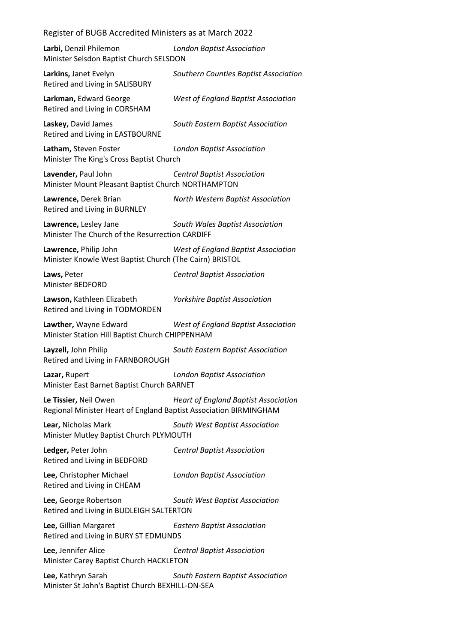| Larbi, Denzil Philemon<br>Minister Selsdon Baptist Church SELSDON                          | <b>London Baptist Association</b>           |
|--------------------------------------------------------------------------------------------|---------------------------------------------|
| Larkins, Janet Evelyn<br>Retired and Living in SALISBURY                                   | Southern Counties Baptist Association       |
| Larkman, Edward George<br>Retired and Living in CORSHAM                                    | <b>West of England Baptist Association</b>  |
| Laskey, David James<br>Retired and Living in EASTBOURNE                                    | South Eastern Baptist Association           |
| Latham, Steven Foster<br>Minister The King's Cross Baptist Church                          | <b>London Baptist Association</b>           |
| Lavender, Paul John<br>Minister Mount Pleasant Baptist Church NORTHAMPTON                  | <b>Central Baptist Association</b>          |
| Lawrence, Derek Brian<br>Retired and Living in BURNLEY                                     | North Western Baptist Association           |
| Lawrence, Lesley Jane<br>Minister The Church of the Resurrection CARDIFF                   | South Wales Baptist Association             |
| Lawrence, Philip John<br>Minister Knowle West Baptist Church (The Cairn) BRISTOL           | <b>West of England Baptist Association</b>  |
| Laws, Peter<br>Minister BEDFORD                                                            | <b>Central Baptist Association</b>          |
| Lawson, Kathleen Elizabeth<br>Retired and Living in TODMORDEN                              | <b>Yorkshire Baptist Association</b>        |
| Lawther, Wayne Edward<br>Minister Station Hill Baptist Church CHIPPENHAM                   | <b>West of England Baptist Association</b>  |
| Layzell, John Philip<br>Retired and Living in FARNBOROUGH                                  | South Eastern Baptist Association           |
| Lazar, Rupert<br>Minister East Barnet Baptist Church BARNET                                | <b>London Baptist Association</b>           |
| Le Tissier, Neil Owen<br>Regional Minister Heart of England Baptist Association BIRMINGHAM | <b>Heart of England Baptist Association</b> |
| Lear, Nicholas Mark<br>Minister Mutley Baptist Church PLYMOUTH                             | South West Baptist Association              |
| Ledger, Peter John<br>Retired and Living in BEDFORD                                        | <b>Central Baptist Association</b>          |
|                                                                                            |                                             |
| Lee, Christopher Michael<br>Retired and Living in CHEAM                                    | <b>London Baptist Association</b>           |
| Lee, George Robertson<br>Retired and Living in BUDLEIGH SALTERTON                          | South West Baptist Association              |
| Lee, Gillian Margaret<br>Retired and Living in BURY ST EDMUNDS                             | <b>Eastern Baptist Association</b>          |
| Lee, Jennifer Alice<br>Minister Carey Baptist Church HACKLETON                             | <b>Central Baptist Association</b>          |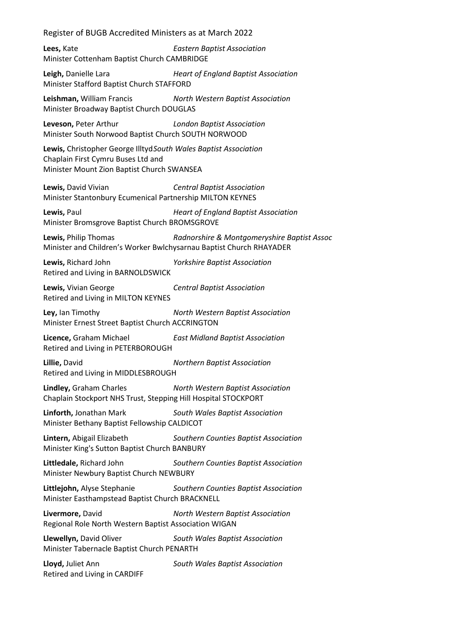**Lees,** Kate *Eastern Baptist Association* Minister Cottenham Baptist Church CAMBRIDGE

**Leigh,** Danielle Lara *Heart of England Baptist Association* Minister Stafford Baptist Church STAFFORD

**Leishman,** William Francis *North Western Baptist Association* Minister Broadway Baptist Church DOUGLAS

**Leveson,** Peter Arthur *London Baptist Association* Minister South Norwood Baptist Church SOUTH NORWOOD

**Lewis,** Christopher George Illtyd*South Wales Baptist Association* Chaplain First Cymru Buses Ltd and Minister Mount Zion Baptist Church SWANSEA

**Lewis,** David Vivian *Central Baptist Association* Minister Stantonbury Ecumenical Partnership MILTON KEYNES

**Lewis,** Paul *Heart of England Baptist Association* Minister Bromsgrove Baptist Church BROMSGROVE

**Lewis,** Philip Thomas *Radnorshire & Montgomeryshire Baptist Assoc* Minister and Children's Worker Bwlchysarnau Baptist Church RHAYADER

**Lewis,** Richard John *Yorkshire Baptist Association* Retired and Living in BARNOLDSWICK

**Lewis,** Vivian George *Central Baptist Association* Retired and Living in MILTON KEYNES

**Ley,** Ian Timothy *North Western Baptist Association* Minister Ernest Street Baptist Church ACCRINGTON

**Licence,** Graham Michael *East Midland Baptist Association* Retired and Living in PETERBOROUGH

**Lillie,** David *Northern Baptist Association* Retired and Living in MIDDLESBROUGH

**Lindley,** Graham Charles *North Western Baptist Association* Chaplain Stockport NHS Trust, Stepping Hill Hospital STOCKPORT

**Linforth,** Jonathan Mark *South Wales Baptist Association* Minister Bethany Baptist Fellowship CALDICOT

**Lintern,** Abigail Elizabeth *Southern Counties Baptist Association* Minister King's Sutton Baptist Church BANBURY

**Littledale,** Richard John *Southern Counties Baptist Association* Minister Newbury Baptist Church NEWBURY

**Littlejohn,** Alyse Stephanie *Southern Counties Baptist Association* Minister Easthampstead Baptist Church BRACKNELL

**Livermore,** David *North Western Baptist Association* Regional Role North Western Baptist Association WIGAN

**Llewellyn,** David Oliver *South Wales Baptist Association* Minister Tabernacle Baptist Church PENARTH

**Lloyd,** Juliet Ann *South Wales Baptist Association* Retired and Living in CARDIFF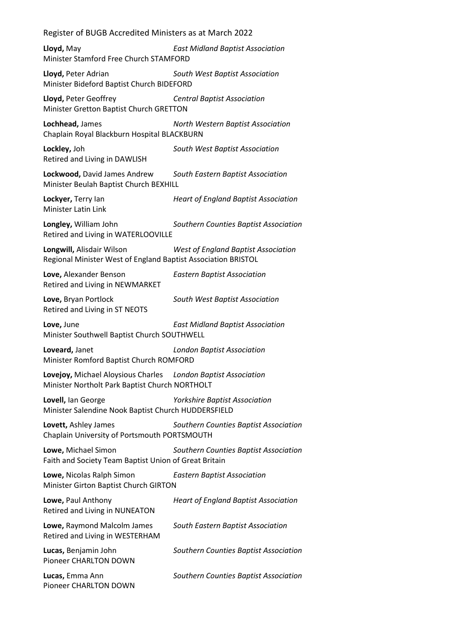**Lloyd,** May *East Midland Baptist Association* Minister Stamford Free Church STAMFORD

**Lloyd,** Peter Adrian *South West Baptist Association* Minister Bideford Baptist Church BIDEFORD

**Lloyd,** Peter Geoffrey *Central Baptist Association* Minister Gretton Baptist Church GRETTON

**Lochhead,** James *North Western Baptist Association* Chaplain Royal Blackburn Hospital BLACKBURN

**Lockley,** Joh *South West Baptist Association* Retired and Living in DAWLISH

**Lockwood,** David James Andrew *South Eastern Baptist Association* Minister Beulah Baptist Church BEXHILL

**Lockyer,** Terry Ian *Heart of England Baptist Association* Minister Latin Link

**Longley,** William John *Southern Counties Baptist Association* Retired and Living in WATERLOOVILLE

**Longwill,** Alisdair Wilson *West of England Baptist Association* Regional Minister West of England Baptist Association BRISTOL

**Love,** Alexander Benson *Eastern Baptist Association* Retired and Living in NEWMARKET

**Love,** Bryan Portlock *South West Baptist Association* Retired and Living in ST NEOTS

**Love,** June *East Midland Baptist Association* Minister Southwell Baptist Church SOUTHWELL

**Loveard,** Janet *London Baptist Association* Minister Romford Baptist Church ROMFORD

**Lovejoy,** Michael Aloysious Charles *London Baptist Association* Minister Northolt Park Baptist Church NORTHOLT

**Lovell,** Ian George *Yorkshire Baptist Association* Minister Salendine Nook Baptist Church HUDDERSFIELD

**Lovett,** Ashley James *Southern Counties Baptist Association* Chaplain University of Portsmouth PORTSMOUTH

**Lowe,** Michael Simon *Southern Counties Baptist Association* Faith and Society Team Baptist Union of Great Britain

**Lowe,** Nicolas Ralph Simon *Eastern Baptist Association* Minister Girton Baptist Church GIRTON

| Lowe, Paul Anthony<br>Retired and Living in NUNEATON           | <b>Heart of England Baptist Association</b> |
|----------------------------------------------------------------|---------------------------------------------|
| Lowe, Raymond Malcolm James<br>Retired and Living in WESTERHAM | South Eastern Baptist Association           |
| Lucas, Benjamin John<br>Pioneer CHARLTON DOWN                  | Southern Counties Baptist Association       |
| Lucas, Emma Ann<br>Pioneer CHARLTON DOWN                       | Southern Counties Baptist Association       |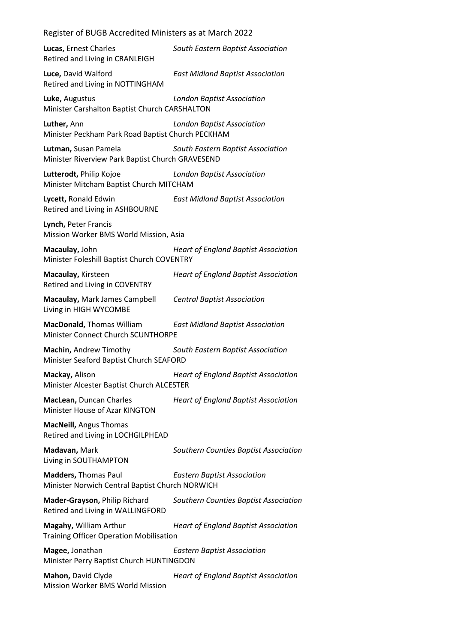| Lucas, Ernest Charles<br>Retired and Living in CRANLEIGH                       | South Eastern Baptist Association           |
|--------------------------------------------------------------------------------|---------------------------------------------|
| Luce, David Walford<br>Retired and Living in NOTTINGHAM                        | <b>East Midland Baptist Association</b>     |
| Luke, Augustus<br>Minister Carshalton Baptist Church CARSHALTON                | <b>London Baptist Association</b>           |
| Luther, Ann<br>Minister Peckham Park Road Baptist Church PECKHAM               | <b>London Baptist Association</b>           |
| Lutman, Susan Pamela<br>Minister Riverview Park Baptist Church GRAVESEND       | South Eastern Baptist Association           |
| Lutterodt, Philip Kojoe<br>Minister Mitcham Baptist Church MITCHAM             | <b>London Baptist Association</b>           |
| Lycett, Ronald Edwin<br>Retired and Living in ASHBOURNE                        | <b>East Midland Baptist Association</b>     |
| Lynch, Peter Francis<br>Mission Worker BMS World Mission, Asia                 |                                             |
| Macaulay, John<br>Minister Foleshill Baptist Church COVENTRY                   | <b>Heart of England Baptist Association</b> |
| Macaulay, Kirsteen<br>Retired and Living in COVENTRY                           | <b>Heart of England Baptist Association</b> |
| Macaulay, Mark James Campbell<br>Living in HIGH WYCOMBE                        | <b>Central Baptist Association</b>          |
| <b>MacDonald, Thomas William</b><br>Minister Connect Church SCUNTHORPE         | <b>East Midland Baptist Association</b>     |
| Machin, Andrew Timothy<br>Minister Seaford Baptist Church SEAFORD              | South Eastern Baptist Association           |
| Mackay, Alison<br>Minister Alcester Baptist Church ALCESTER                    | <b>Heart of England Baptist Association</b> |
| MacLean, Duncan Charles<br>Minister House of Azar KINGTON                      | <b>Heart of England Baptist Association</b> |
| <b>MacNeill, Angus Thomas</b><br>Retired and Living in LOCHGILPHEAD            |                                             |
| Madavan, Mark<br>Living in SOUTHAMPTON                                         | Southern Counties Baptist Association       |
| <b>Madders, Thomas Paul</b><br>Minister Norwich Central Baptist Church NORWICH | <b>Eastern Baptist Association</b>          |
| Mader-Grayson, Philip Richard<br>Retired and Living in WALLINGFORD             | Southern Counties Baptist Association       |
| Magahy, William Arthur<br><b>Training Officer Operation Mobilisation</b>       | <b>Heart of England Baptist Association</b> |
| Magee, Jonathan<br>Minister Perry Baptist Church HUNTINGDON                    | <b>Eastern Baptist Association</b>          |
| Mahon, David Clyde<br>Mission Worker BMS World Mission                         | <b>Heart of England Baptist Association</b> |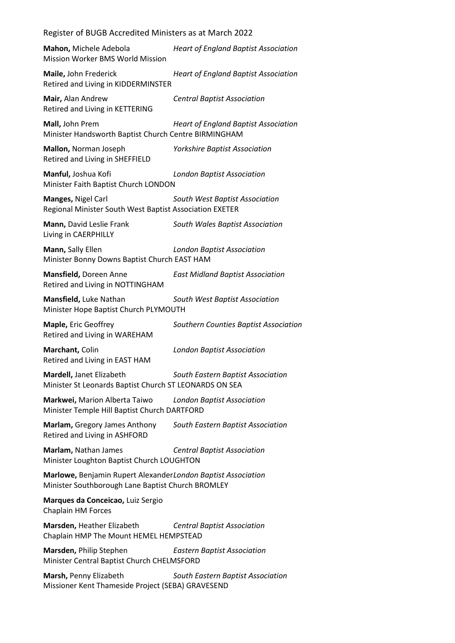| Register of BUGB Accredited Ministers as at March 2022 |  |
|--------------------------------------------------------|--|
|                                                        |  |

| Mahon, Michele Adebola<br>Mission Worker BMS World Mission                                                        | <b>Heart of England Baptist Association</b> |
|-------------------------------------------------------------------------------------------------------------------|---------------------------------------------|
| Maile, John Frederick<br>Retired and Living in KIDDERMINSTER                                                      | <b>Heart of England Baptist Association</b> |
| Mair, Alan Andrew<br>Retired and Living in KETTERING                                                              | <b>Central Baptist Association</b>          |
| Mall, John Prem<br>Minister Handsworth Baptist Church Centre BIRMINGHAM                                           | <b>Heart of England Baptist Association</b> |
| Mallon, Norman Joseph<br>Retired and Living in SHEFFIELD                                                          | <b>Yorkshire Baptist Association</b>        |
| Manful, Joshua Kofi<br>Minister Faith Baptist Church LONDON                                                       | <b>London Baptist Association</b>           |
| Manges, Nigel Carl<br>Regional Minister South West Baptist Association EXETER                                     | South West Baptist Association              |
| Mann, David Leslie Frank<br>Living in CAERPHILLY                                                                  | South Wales Baptist Association             |
| Mann, Sally Ellen<br>Minister Bonny Downs Baptist Church EAST HAM                                                 | <b>London Baptist Association</b>           |
| Mansfield, Doreen Anne<br>Retired and Living in NOTTINGHAM                                                        | <b>East Midland Baptist Association</b>     |
| Mansfield, Luke Nathan<br>Minister Hope Baptist Church PLYMOUTH                                                   | South West Baptist Association              |
| Maple, Eric Geoffrey<br>Retired and Living in WAREHAM                                                             | Southern Counties Baptist Association       |
| Marchant, Colin<br>Retired and Living in EAST HAM                                                                 | <b>London Baptist Association</b>           |
| Mardell, Janet Elizabeth<br>Minister St Leonards Baptist Church ST LEONARDS ON SEA                                | South Eastern Baptist Association           |
| Markwei, Marion Alberta Taiwo<br>Minister Temple Hill Baptist Church DARTFORD                                     | <b>London Baptist Association</b>           |
| Marlam, Gregory James Anthony<br>Retired and Living in ASHFORD                                                    | South Eastern Baptist Association           |
| Marlam, Nathan James<br>Minister Loughton Baptist Church LOUGHTON                                                 | <b>Central Baptist Association</b>          |
| Marlowe, Benjamin Rupert AlexanderLondon Baptist Association<br>Minister Southborough Lane Baptist Church BROMLEY |                                             |
| Marques da Conceicao, Luiz Sergio<br>Chaplain HM Forces                                                           |                                             |
| Marsden, Heather Elizabeth<br>Chaplain HMP The Mount HEMEL HEMPSTEAD                                              | <b>Central Baptist Association</b>          |
| Marsden, Philip Stephen<br>Minister Central Baptist Church CHELMSFORD                                             | <b>Eastern Baptist Association</b>          |
| Marsh, Penny Elizabeth<br>Missioner Kent Thameside Project (SEBA) GRAVESEND                                       | South Eastern Baptist Association           |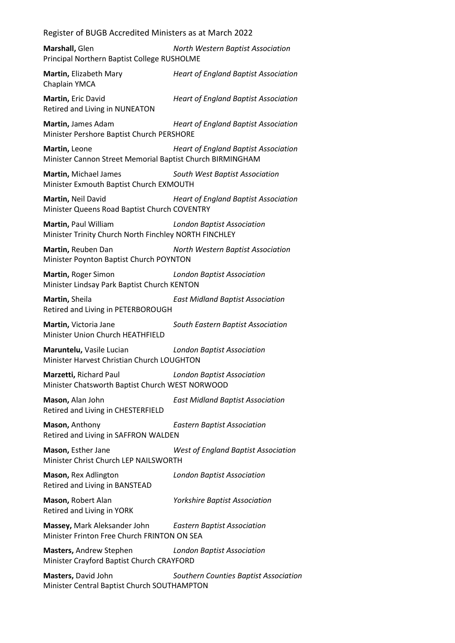Register of BUGB Accredited Ministers as at March 2022 **Marshall,** Glen *North Western Baptist Association* Principal Northern Baptist College RUSHOLME **Martin,** Elizabeth Mary *Heart of England Baptist Association* Chaplain YMCA **Martin,** Eric David *Heart of England Baptist Association* Retired and Living in NUNEATON **Martin,** James Adam *Heart of England Baptist Association* Minister Pershore Baptist Church PERSHORE **Martin,** Leone *Heart of England Baptist Association* Minister Cannon Street Memorial Baptist Church BIRMINGHAM **Martin,** Michael James *South West Baptist Association* Minister Exmouth Baptist Church EXMOUTH **Martin,** Neil David *Heart of England Baptist Association* Minister Queens Road Baptist Church COVENTRY **Martin,** Paul William *London Baptist Association* Minister Trinity Church North Finchley NORTH FINCHLEY **Martin,** Reuben Dan *North Western Baptist Association* Minister Poynton Baptist Church POYNTON **Martin,** Roger Simon *London Baptist Association* Minister Lindsay Park Baptist Church KENTON **Martin,** Sheila *East Midland Baptist Association* Retired and Living in PETERBOROUGH **Martin,** Victoria Jane *South Eastern Baptist Association* Minister Union Church HEATHFIELD **Maruntelu,** Vasile Lucian *London Baptist Association* Minister Harvest Christian Church LOUGHTON **Marzetti,** Richard Paul *London Baptist Association* Minister Chatsworth Baptist Church WEST NORWOOD **Mason,** Alan John *East Midland Baptist Association* Retired and Living in CHESTERFIELD **Mason,** Anthony *Eastern Baptist Association* Retired and Living in SAFFRON WALDEN **Mason,** Esther Jane *West of England Baptist Association* Minister Christ Church LEP NAILSWORTH **Mason,** Rex Adlington *London Baptist Association* Retired and Living in BANSTEAD **Mason,** Robert Alan *Yorkshire Baptist Association* Retired and Living in YORK **Massey,** Mark Aleksander John *Eastern Baptist Association* Minister Frinton Free Church FRINTON ON SEA **Masters,** Andrew Stephen *London Baptist Association* Minister Crayford Baptist Church CRAYFORD **Masters,** David John *Southern Counties Baptist Association*

Minister Central Baptist Church SOUTHAMPTON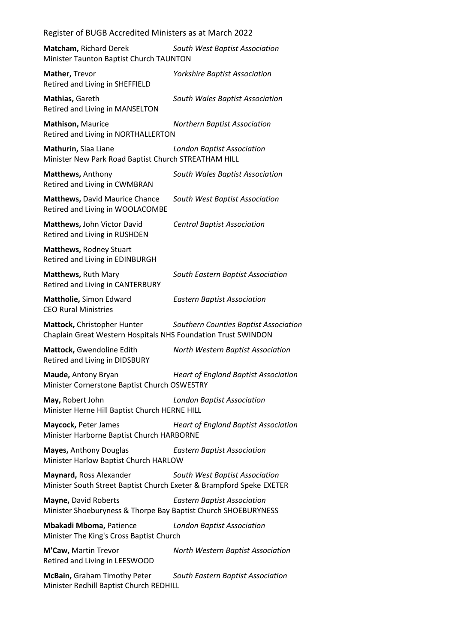| Register of BUGB Accredited Ministers as at March 2022                                          |                                             |
|-------------------------------------------------------------------------------------------------|---------------------------------------------|
| Matcham, Richard Derek<br>Minister Taunton Baptist Church TAUNTON                               | South West Baptist Association              |
| Mather, Trevor<br>Retired and Living in SHEFFIELD                                               | <b>Yorkshire Baptist Association</b>        |
| Mathias, Gareth<br>Retired and Living in MANSELTON                                              | South Wales Baptist Association             |
| Mathison, Maurice<br>Retired and Living in NORTHALLERTON                                        | <b>Northern Baptist Association</b>         |
| Mathurin, Siaa Liane<br>Minister New Park Road Baptist Church STREATHAM HILL                    | <b>London Baptist Association</b>           |
| Matthews, Anthony<br>Retired and Living in CWMBRAN                                              | South Wales Baptist Association             |
| <b>Matthews, David Maurice Chance</b><br>Retired and Living in WOOLACOMBE                       | South West Baptist Association              |
| Matthews, John Victor David<br>Retired and Living in RUSHDEN                                    | <b>Central Baptist Association</b>          |
| Matthews, Rodney Stuart<br>Retired and Living in EDINBURGH                                      |                                             |
| Matthews, Ruth Mary<br>Retired and Living in CANTERBURY                                         | South Eastern Baptist Association           |
| Mattholie, Simon Edward<br><b>CEO Rural Ministries</b>                                          | <b>Eastern Baptist Association</b>          |
| Mattock, Christopher Hunter<br>Chaplain Great Western Hospitals NHS Foundation Trust SWINDON    | Southern Counties Baptist Association       |
| Mattock, Gwendoline Edith<br>Retired and Living in DIDSBURY                                     | North Western Baptist Association           |
| Maude, Antony Bryan<br>Minister Cornerstone Baptist Church OSWESTRY                             | <b>Heart of England Baptist Association</b> |
| May, Robert John<br>Minister Herne Hill Baptist Church HERNE HILL                               | <b>London Baptist Association</b>           |
| Maycock, Peter James<br>Minister Harborne Baptist Church HARBORNE                               | <b>Heart of England Baptist Association</b> |
| Mayes, Anthony Douglas<br>Minister Harlow Baptist Church HARLOW                                 | <b>Eastern Baptist Association</b>          |
| Maynard, Ross Alexander<br>Minister South Street Baptist Church Exeter & Brampford Speke EXETER | South West Baptist Association              |
| Mayne, David Roberts<br>Minister Shoeburyness & Thorpe Bay Baptist Church SHOEBURYNESS          | <b>Eastern Baptist Association</b>          |
| <b>Mbakadi Mboma, Patience</b><br>Minister The King's Cross Baptist Church                      | <b>London Baptist Association</b>           |

**M'Caw,** Martin Trevor *North Western Baptist Association* Retired and Living in LEESWOOD

**McBain,** Graham Timothy Peter *South Eastern Baptist Association* Minister Redhill Baptist Church REDHILL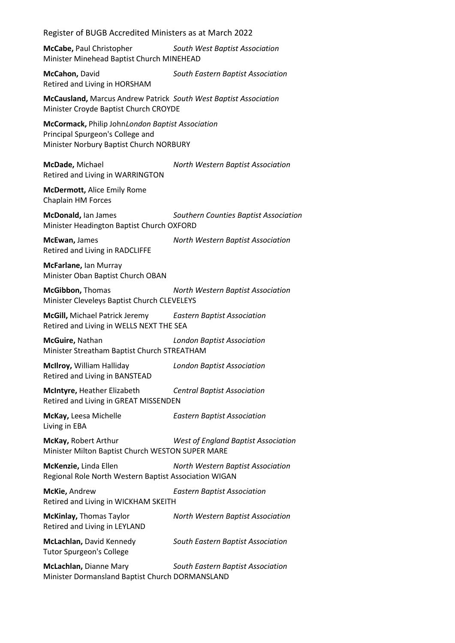Register of BUGB Accredited Ministers as at March 2022 **McCabe,** Paul Christopher *South West Baptist Association* Minister Minehead Baptist Church MINEHEAD **McCahon,** David *South Eastern Baptist Association* Retired and Living in HORSHAM **McCausland,** Marcus Andrew Patrick *South West Baptist Association* Minister Croyde Baptist Church CROYDE **McCormack,** Philip John*London Baptist Association* Principal Spurgeon's College and Minister Norbury Baptist Church NORBURY **McDade,** Michael *North Western Baptist Association* Retired and Living in WARRINGTON **McDermott,** Alice Emily Rome Chaplain HM Forces **McDonald,** Ian James *Southern Counties Baptist Association* Minister Headington Baptist Church OXFORD **McEwan,** James *North Western Baptist Association* Retired and Living in RADCLIFFE **McFarlane,** Ian Murray Minister Oban Baptist Church OBAN **McGibbon,** Thomas *North Western Baptist Association* Minister Cleveleys Baptist Church CLEVELEYS **McGill,** Michael Patrick Jeremy *Eastern Baptist Association* Retired and Living in WELLS NEXT THE SEA **McGuire,** Nathan *London Baptist Association* Minister Streatham Baptist Church STREATHAM **McIlroy,** William Halliday *London Baptist Association* Retired and Living in BANSTEAD **McIntyre,** Heather Elizabeth *Central Baptist Association* Retired and Living in GREAT MISSENDEN **McKay,** Leesa Michelle *Eastern Baptist Association* Living in EBA **McKay,** Robert Arthur *West of England Baptist Association* Minister Milton Baptist Church WESTON SUPER MARE **McKenzie,** Linda Ellen *North Western Baptist Association* Regional Role North Western Baptist Association WIGAN **McKie,** Andrew *Eastern Baptist Association* Retired and Living in WICKHAM SKEITH **McKinlay,** Thomas Taylor *North Western Baptist Association* Retired and Living in LEYLAND **McLachlan,** David Kennedy *South Eastern Baptist Association* Tutor Spurgeon's College **McLachlan,** Dianne Mary *South Eastern Baptist Association* Minister Dormansland Baptist Church DORMANSLAND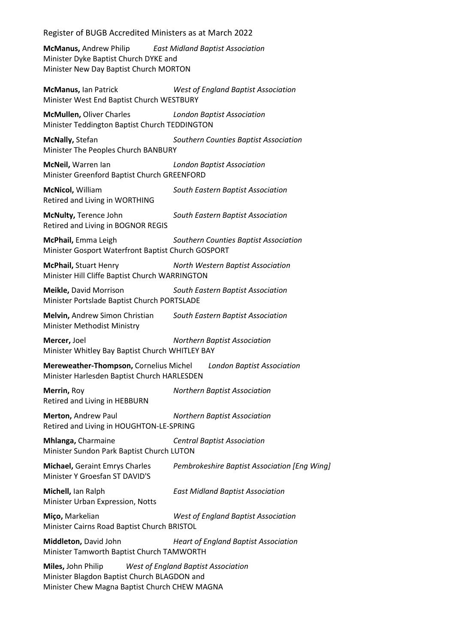**McManus,** Andrew Philip *East Midland Baptist Association* Minister Dyke Baptist Church DYKE and Minister New Day Baptist Church MORTON

**McManus,** Ian Patrick *West of England Baptist Association* Minister West End Baptist Church WESTBURY

**McMullen,** Oliver Charles *London Baptist Association* Minister Teddington Baptist Church TEDDINGTON

**McNally,** Stefan *Southern Counties Baptist Association* Minister The Peoples Church BANBURY

**McNeil,** Warren Ian *London Baptist Association* Minister Greenford Baptist Church GREENFORD

**McNicol,** William *South Eastern Baptist Association* Retired and Living in WORTHING

**McNulty,** Terence John *South Eastern Baptist Association* Retired and Living in BOGNOR REGIS

**McPhail,** Emma Leigh *Southern Counties Baptist Association* Minister Gosport Waterfront Baptist Church GOSPORT

**McPhail,** Stuart Henry *North Western Baptist Association* Minister Hill Cliffe Baptist Church WARRINGTON

**Meikle,** David Morrison *South Eastern Baptist Association* Minister Portslade Baptist Church PORTSLADE

**Melvin,** Andrew Simon Christian *South Eastern Baptist Association* Minister Methodist Ministry

**Mercer,** Joel *Northern Baptist Association* Minister Whitley Bay Baptist Church WHITLEY BAY

**Mereweather-Thompson,** Cornelius Michel *London Baptist Association* Minister Harlesden Baptist Church HARLESDEN

**Merrin,** Roy *Northern Baptist Association* Retired and Living in HEBBURN

**Merton,** Andrew Paul *Northern Baptist Association* Retired and Living in HOUGHTON-LE-SPRING

**Mhlanga,** Charmaine *Central Baptist Association* Minister Sundon Park Baptist Church LUTON

Minister Y Groesfan ST DAVID'S

**Michael,** Geraint Emrys Charles *Pembrokeshire Baptist Association [Eng Wing]*

**Michell,** Ian Ralph *East Midland Baptist Association* Minister Urban Expression, Notts

**Miço,** Markelian *West of England Baptist Association* Minister Cairns Road Baptist Church BRISTOL

**Middleton,** David John *Heart of England Baptist Association* Minister Tamworth Baptist Church TAMWORTH

**Miles,** John Philip *West of England Baptist Association* Minister Blagdon Baptist Church BLAGDON and Minister Chew Magna Baptist Church CHEW MAGNA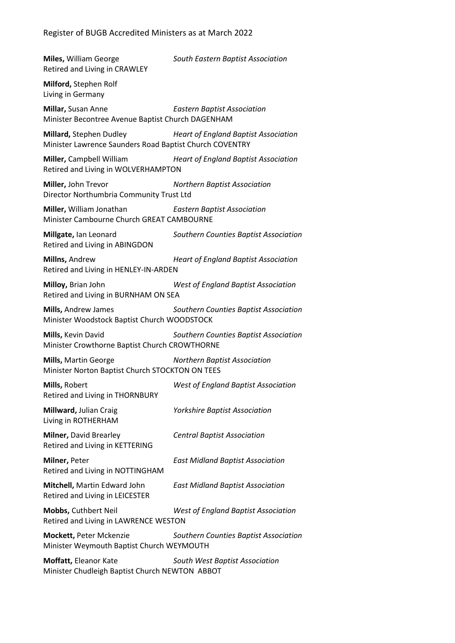**Miles,** William George *South Eastern Baptist Association* Retired and Living in CRAWLEY **Milford,** Stephen Rolf Living in Germany **Millar,** Susan Anne *Eastern Baptist Association* Minister Becontree Avenue Baptist Church DAGENHAM **Millard,** Stephen Dudley *Heart of England Baptist Association* Minister Lawrence Saunders Road Baptist Church COVENTRY **Miller,** Campbell William *Heart of England Baptist Association* Retired and Living in WOLVERHAMPTON **Miller,** John Trevor *Northern Baptist Association* Director Northumbria Community Trust Ltd **Miller,** William Jonathan *Eastern Baptist Association* Minister Cambourne Church GREAT CAMBOURNE **Millgate,** Ian Leonard *Southern Counties Baptist Association* Retired and Living in ABINGDON **Millns,** Andrew *Heart of England Baptist Association* Retired and Living in HENLEY-IN-ARDEN **Milloy,** Brian John *West of England Baptist Association* Retired and Living in BURNHAM ON SEA **Mills,** Andrew James *Southern Counties Baptist Association* Minister Woodstock Baptist Church WOODSTOCK **Mills,** Kevin David *Southern Counties Baptist Association* Minister Crowthorne Baptist Church CROWTHORNE **Mills,** Martin George *Northern Baptist Association* Minister Norton Baptist Church STOCKTON ON TEES **Mills,** Robert *West of England Baptist Association* Retired and Living in THORNBURY **Millward,** Julian Craig *Yorkshire Baptist Association* Living in ROTHERHAM **Milner,** David Brearley *Central Baptist Association* Retired and Living in KETTERING **Milner,** Peter *East Midland Baptist Association* Retired and Living in NOTTINGHAM **Mitchell,** Martin Edward John *East Midland Baptist Association* Retired and Living in LEICESTER **Mobbs,** Cuthbert Neil *West of England Baptist Association* Retired and Living in LAWRENCE WESTON **Mockett,** Peter Mckenzie *Southern Counties Baptist Association* Minister Weymouth Baptist Church WEYMOUTH **Moffatt,** Eleanor Kate *South West Baptist Association* Minister Chudleigh Baptist Church NEWTON ABBOT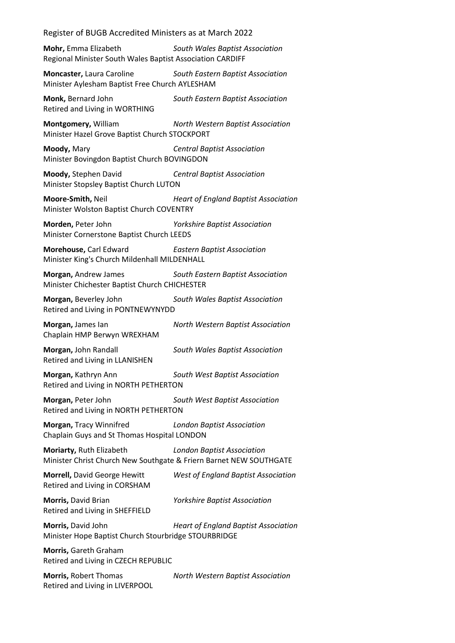**Mohr,** Emma Elizabeth *South Wales Baptist Association* Regional Minister South Wales Baptist Association CARDIFF

**Moncaster,** Laura Caroline *South Eastern Baptist Association* Minister Aylesham Baptist Free Church AYLESHAM

**Monk,** Bernard John *South Eastern Baptist Association* Retired and Living in WORTHING

**Montgomery,** William *North Western Baptist Association* Minister Hazel Grove Baptist Church STOCKPORT

**Moody,** Mary *Central Baptist Association* Minister Bovingdon Baptist Church BOVINGDON

**Moody,** Stephen David *Central Baptist Association* Minister Stopsley Baptist Church LUTON

**Moore-Smith,** Neil *Heart of England Baptist Association* Minister Wolston Baptist Church COVENTRY

**Morden,** Peter John *Yorkshire Baptist Association* Minister Cornerstone Baptist Church LEEDS

**Morehouse,** Carl Edward *Eastern Baptist Association* Minister King's Church Mildenhall MILDENHALL

**Morgan,** Andrew James *South Eastern Baptist Association* Minister Chichester Baptist Church CHICHESTER

**Morgan,** Beverley John *South Wales Baptist Association* Retired and Living in PONTNEWYNYDD

**Morgan,** James Ian *North Western Baptist Association* Chaplain HMP Berwyn WREXHAM

**Morgan,** John Randall *South Wales Baptist Association* Retired and Living in LLANISHEN

**Morgan,** Kathryn Ann *South West Baptist Association* Retired and Living in NORTH PETHERTON

**Morgan,** Peter John *South West Baptist Association* Retired and Living in NORTH PETHERTON

**Morgan,** Tracy Winnifred *London Baptist Association* Chaplain Guys and St Thomas Hospital LONDON

**Moriarty,** Ruth Elizabeth *London Baptist Association* Minister Christ Church New Southgate & Friern Barnet NEW SOUTHGATE

**Morrell,** David George Hewitt *West of England Baptist Association* Retired and Living in CORSHAM

Retired and Living in SHEFFIELD

**Morris,** David Brian *Yorkshire Baptist Association*

**Morris,** David John *Heart of England Baptist Association* Minister Hope Baptist Church Stourbridge STOURBRIDGE

**Morris,** Gareth Graham Retired and Living in CZECH REPUBLIC

**Morris,** Robert Thomas *North Western Baptist Association* Retired and Living in LIVERPOOL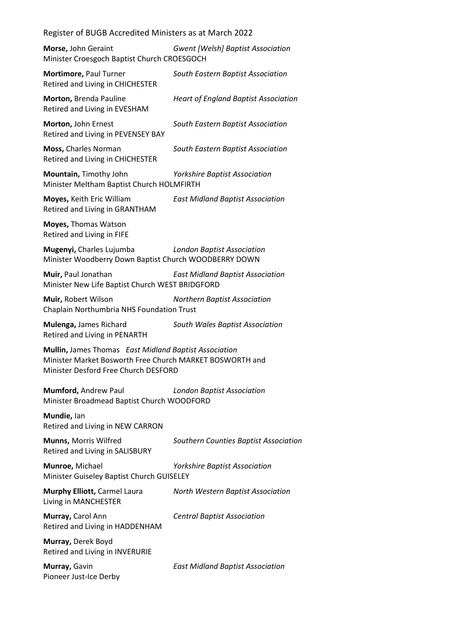**Morse,** John Geraint *Gwent [Welsh] Baptist Association* Minister Croesgoch Baptist Church CROESGOCH

**Mortimore,** Paul Turner *South Eastern Baptist Association* Retired and Living in CHICHESTER

**Morton,** Brenda Pauline *Heart of England Baptist Association* Retired and Living in EVESHAM

**Morton,** John Ernest *South Eastern Baptist Association* Retired and Living in PEVENSEY BAY

**Moss,** Charles Norman *South Eastern Baptist Association* Retired and Living in CHICHESTER

**Mountain,** Timothy John *Yorkshire Baptist Association* Minister Meltham Baptist Church HOLMFIRTH

**Moyes,** Keith Eric William *East Midland Baptist Association* Retired and Living in GRANTHAM

**Moyes,** Thomas Watson Retired and Living in FIFE

**Mugenyi,** Charles Lujumba *London Baptist Association* Minister Woodberry Down Baptist Church WOODBERRY DOWN

**Muir,** Paul Jonathan *East Midland Baptist Association* Minister New Life Baptist Church WEST BRIDGFORD

**Muir,** Robert Wilson *Northern Baptist Association* Chaplain Northumbria NHS Foundation Trust

**Mulenga,** James Richard *South Wales Baptist Association* Retired and Living in PENARTH

**Mullin,** James Thomas *East Midland Baptist Association* Minister Market Bosworth Free Church MARKET BOSWORTH and Minister Desford Free Church DESFORD

**Mumford,** Andrew Paul *London Baptist Association* Minister Broadmead Baptist Church WOODFORD

**Mundie,** Ian Retired and Living in NEW CARRON

**Munns,** Morris Wilfred *Southern Counties Baptist Association* Retired and Living in SALISBURY

**Munroe,** Michael *Yorkshire Baptist Association* Minister Guiseley Baptist Church GUISELEY

Living in MANCHESTER

**Murphy Elliott,** Carmel Laura *North Western Baptist Association*

**Murray,** Carol Ann *Central Baptist Association* Retired and Living in HADDENHAM

**Murray,** Derek Boyd Retired and Living in INVERURIE

Pioneer Just-Ice Derby

**Murray,** Gavin *East Midland Baptist Association*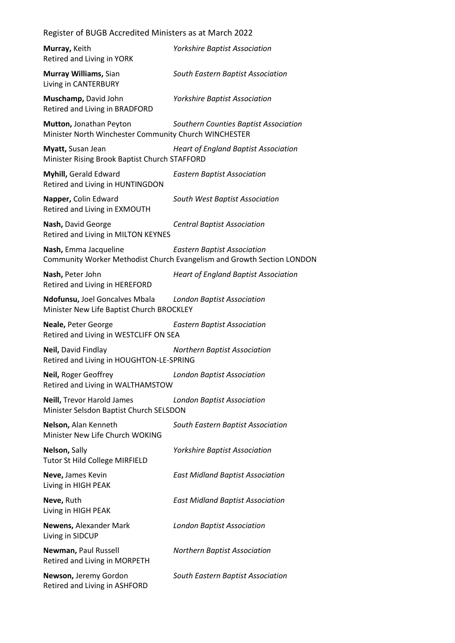| Murray, Keith<br>Retired and Living in YORK                                                            | <b>Yorkshire Baptist Association</b>                                                                         |
|--------------------------------------------------------------------------------------------------------|--------------------------------------------------------------------------------------------------------------|
| Murray Williams, Sian<br>Living in CANTERBURY                                                          | South Eastern Baptist Association                                                                            |
| Muschamp, David John<br>Retired and Living in BRADFORD                                                 | <b>Yorkshire Baptist Association</b>                                                                         |
| Mutton, Jonathan Peyton<br>Minister North Winchester Community Church WINCHESTER                       | Southern Counties Baptist Association                                                                        |
| Myatt, Susan Jean<br>Minister Rising Brook Baptist Church STAFFORD                                     | <b>Heart of England Baptist Association</b>                                                                  |
| Myhill, Gerald Edward<br>Retired and Living in HUNTINGDON                                              | <b>Eastern Baptist Association</b>                                                                           |
| Napper, Colin Edward<br>Retired and Living in EXMOUTH                                                  | South West Baptist Association                                                                               |
| Nash, David George<br>Retired and Living in MILTON KEYNES                                              | <b>Central Baptist Association</b>                                                                           |
| Nash, Emma Jacqueline                                                                                  | <b>Eastern Baptist Association</b><br>Community Worker Methodist Church Evangelism and Growth Section LONDON |
| Nash, Peter John<br>Retired and Living in HEREFORD                                                     | <b>Heart of England Baptist Association</b>                                                                  |
| Ndofunsu, Joel Goncalves Mbala London Baptist Association<br>Minister New Life Baptist Church BROCKLEY |                                                                                                              |
| Neale, Peter George<br>Retired and Living in WESTCLIFF ON SEA                                          | <b>Eastern Baptist Association</b>                                                                           |
| Neil, David Findlay<br>Retired and Living in HOUGHTON-LE-SPRING                                        | <b>Northern Baptist Association</b>                                                                          |
| Neil, Roger Geoffrey<br>Retired and Living in WALTHAMSTOW                                              | <b>London Baptist Association</b>                                                                            |
| Neill, Trevor Harold James<br>Minister Selsdon Baptist Church SELSDON                                  | <b>London Baptist Association</b>                                                                            |
| Nelson, Alan Kenneth<br>Minister New Life Church WOKING                                                | South Eastern Baptist Association                                                                            |
| Nelson, Sally<br><b>Tutor St Hild College MIRFIELD</b>                                                 | <b>Yorkshire Baptist Association</b>                                                                         |
| Neve, James Kevin<br>Living in HIGH PEAK                                                               | <b>East Midland Baptist Association</b>                                                                      |
| Neve, Ruth<br>Living in HIGH PEAK                                                                      | <b>East Midland Baptist Association</b>                                                                      |
| Newens, Alexander Mark<br>Living in SIDCUP                                                             | <b>London Baptist Association</b>                                                                            |
| Newman, Paul Russell<br>Retired and Living in MORPETH                                                  | <b>Northern Baptist Association</b>                                                                          |
| Newson, Jeremy Gordon<br>Retired and Living in ASHFORD                                                 | South Eastern Baptist Association                                                                            |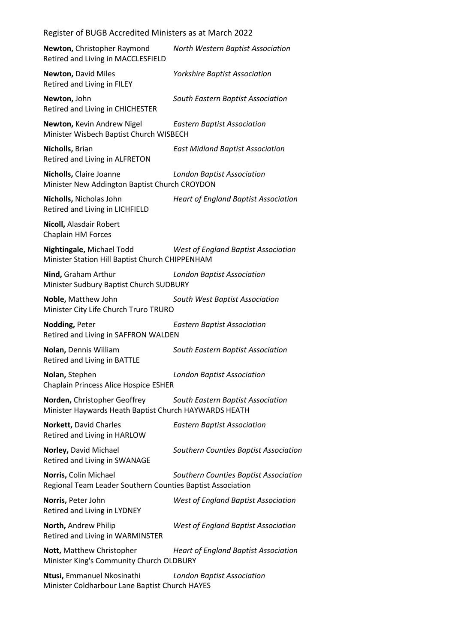| Newton, Christopher Raymond<br>Retired and Living in MACCLESFIELD                     | North Western Baptist Association           |
|---------------------------------------------------------------------------------------|---------------------------------------------|
| <b>Newton, David Miles</b><br>Retired and Living in FILEY                             | <b>Yorkshire Baptist Association</b>        |
| Newton, John<br>Retired and Living in CHICHESTER                                      | South Eastern Baptist Association           |
| Newton, Kevin Andrew Nigel<br>Minister Wisbech Baptist Church WISBECH                 | <b>Eastern Baptist Association</b>          |
| Nicholls, Brian<br>Retired and Living in ALFRETON                                     | <b>East Midland Baptist Association</b>     |
| Nicholls, Claire Joanne<br>Minister New Addington Baptist Church CROYDON              | <b>London Baptist Association</b>           |
| Nicholls, Nicholas John<br>Retired and Living in LICHFIELD                            | <b>Heart of England Baptist Association</b> |
| Nicoll, Alasdair Robert<br>Chaplain HM Forces                                         |                                             |
| Nightingale, Michael Todd<br>Minister Station Hill Baptist Church CHIPPENHAM          | West of England Baptist Association         |
| Nind, Graham Arthur<br>Minister Sudbury Baptist Church SUDBURY                        | <b>London Baptist Association</b>           |
| Noble, Matthew John<br>Minister City Life Church Truro TRURO                          | South West Baptist Association              |
|                                                                                       |                                             |
| Nodding, Peter<br>Retired and Living in SAFFRON WALDEN                                | <b>Eastern Baptist Association</b>          |
| Nolan, Dennis William<br>Retired and Living in BATTLE                                 | South Eastern Baptist Association           |
| Nolan, Stephen<br><b>Chaplain Princess Alice Hospice ESHER</b>                        | <b>London Baptist Association</b>           |
| Norden, Christopher Geoffrey<br>Minister Haywards Heath Baptist Church HAYWARDS HEATH | South Eastern Baptist Association           |
| Norkett, David Charles<br>Retired and Living in HARLOW                                | <b>Eastern Baptist Association</b>          |
| Norley, David Michael<br>Retired and Living in SWANAGE                                | Southern Counties Baptist Association       |
| Norris, Colin Michael<br>Regional Team Leader Southern Counties Baptist Association   | Southern Counties Baptist Association       |
| Norris, Peter John<br>Retired and Living in LYDNEY                                    | <b>West of England Baptist Association</b>  |
| North, Andrew Philip<br>Retired and Living in WARMINSTER                              | <b>West of England Baptist Association</b>  |
| Nott, Matthew Christopher<br>Minister King's Community Church OLDBURY                 | <b>Heart of England Baptist Association</b> |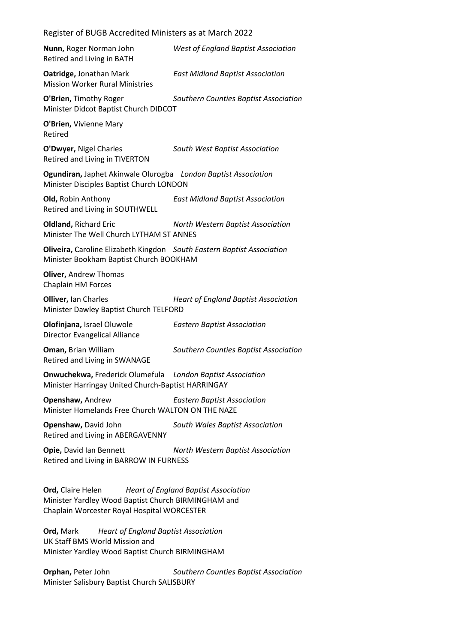| Register of BUGB Accredited Ministers as at March 2022                                                                                                              |                                             |
|---------------------------------------------------------------------------------------------------------------------------------------------------------------------|---------------------------------------------|
| Nunn, Roger Norman John<br>Retired and Living in BATH                                                                                                               | <b>West of England Baptist Association</b>  |
| Oatridge, Jonathan Mark<br><b>Mission Worker Rural Ministries</b>                                                                                                   | <b>East Midland Baptist Association</b>     |
| O'Brien, Timothy Roger<br>Minister Didcot Baptist Church DIDCOT                                                                                                     | Southern Counties Baptist Association       |
| O'Brien, Vivienne Mary<br>Retired                                                                                                                                   |                                             |
| O'Dwyer, Nigel Charles<br>Retired and Living in TIVERTON                                                                                                            | South West Baptist Association              |
| Ogundiran, Japhet Akinwale Olurogba London Baptist Association<br>Minister Disciples Baptist Church LONDON                                                          |                                             |
| Old, Robin Anthony<br>Retired and Living in SOUTHWELL                                                                                                               | <b>East Midland Baptist Association</b>     |
| <b>Oldland, Richard Eric</b><br>Minister The Well Church LYTHAM ST ANNES                                                                                            | North Western Baptist Association           |
| Oliveira, Caroline Elizabeth Kingdon South Eastern Baptist Association<br>Minister Bookham Baptist Church BOOKHAM                                                   |                                             |
| <b>Oliver, Andrew Thomas</b><br>Chaplain HM Forces                                                                                                                  |                                             |
| <b>Olliver, Ian Charles</b><br>Minister Dawley Baptist Church TELFORD                                                                                               | <b>Heart of England Baptist Association</b> |
| Olofinjana, Israel Oluwole<br><b>Director Evangelical Alliance</b>                                                                                                  | <b>Eastern Baptist Association</b>          |
| Oman, Brian William<br>Retired and Living in SWANAGE                                                                                                                | Southern Counties Baptist Association       |
| <b>Onwuchekwa, Frederick Olumefula</b> London Baptist Association<br>Minister Harringay United Church-Baptist HARRINGAY                                             |                                             |
| Openshaw, Andrew<br>Minister Homelands Free Church WALTON ON THE NAZE                                                                                               | <b>Eastern Baptist Association</b>          |
| Openshaw, David John<br>Retired and Living in ABERGAVENNY                                                                                                           | South Wales Baptist Association             |
| Opie, David Ian Bennett<br>Retired and Living in BARROW IN FURNESS                                                                                                  | North Western Baptist Association           |
| <b>Ord,</b> Claire Helen Heart of England Baptist Association<br>Minister Yardley Wood Baptist Church BIRMINGHAM and<br>Chaplain Worcester Royal Hospital WORCESTER |                                             |
| Ord, Mark<br><b>Heart of England Baptist Association</b><br>UK Staff BMS World Mission and<br>Minister Yardley Wood Baptist Church BIRMINGHAM                       |                                             |
| Orphan, Peter John<br>Minister Salisbury Baptist Church SALISBURY                                                                                                   | Southern Counties Baptist Association       |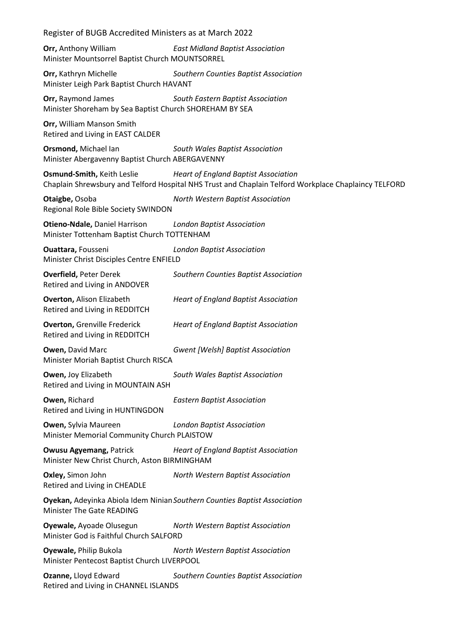| Register of BUGB Accredited Ministers as at March 2022                              |                                                                                                                                                     |
|-------------------------------------------------------------------------------------|-----------------------------------------------------------------------------------------------------------------------------------------------------|
| Orr, Anthony William<br>Minister Mountsorrel Baptist Church MOUNTSORREL             | <b>East Midland Baptist Association</b>                                                                                                             |
| Orr, Kathryn Michelle<br>Minister Leigh Park Baptist Church HAVANT                  | Southern Counties Baptist Association                                                                                                               |
| Orr, Raymond James<br>Minister Shoreham by Sea Baptist Church SHOREHAM BY SEA       | South Eastern Baptist Association                                                                                                                   |
| Orr, William Manson Smith<br>Retired and Living in EAST CALDER                      |                                                                                                                                                     |
| Orsmond, Michael Ian<br>Minister Abergavenny Baptist Church ABERGAVENNY             | South Wales Baptist Association                                                                                                                     |
| Osmund-Smith, Keith Leslie                                                          | <b>Heart of England Baptist Association</b><br>Chaplain Shrewsbury and Telford Hospital NHS Trust and Chaplain Telford Workplace Chaplaincy TELFORD |
| Otaigbe, Osoba<br>Regional Role Bible Society SWINDON                               | North Western Baptist Association                                                                                                                   |
| <b>Otieno-Ndale, Daniel Harrison</b><br>Minister Tottenham Baptist Church TOTTENHAM | <b>London Baptist Association</b>                                                                                                                   |
| Ouattara, Fousseni<br>Minister Christ Disciples Centre ENFIELD                      | <b>London Baptist Association</b>                                                                                                                   |
| <b>Overfield, Peter Derek</b><br>Retired and Living in ANDOVER                      | Southern Counties Baptist Association                                                                                                               |
| <b>Overton, Alison Elizabeth</b><br>Retired and Living in REDDITCH                  | <b>Heart of England Baptist Association</b>                                                                                                         |
| <b>Overton, Grenville Frederick</b><br>Retired and Living in REDDITCH               | <b>Heart of England Baptist Association</b>                                                                                                         |
| Owen, David Marc<br>Minister Moriah Baptist Church RISCA                            | <b>Gwent [Welsh] Baptist Association</b>                                                                                                            |
| Owen, Joy Elizabeth<br>Retired and Living in MOUNTAIN ASH                           | South Wales Baptist Association                                                                                                                     |
| Owen, Richard<br>Retired and Living in HUNTINGDON                                   | <b>Eastern Baptist Association</b>                                                                                                                  |
| <b>Owen, Sylvia Maureen</b><br>Minister Memorial Community Church PLAISTOW          | <b>London Baptist Association</b>                                                                                                                   |
| <b>Owusu Agyemang, Patrick</b><br>Minister New Christ Church, Aston BIRMINGHAM      | <b>Heart of England Baptist Association</b>                                                                                                         |
| Oxley, Simon John<br>Retired and Living in CHEADLE                                  | North Western Baptist Association                                                                                                                   |
| <b>Minister The Gate READING</b>                                                    | Oyekan, Adeyinka Abiola Idem Ninian Southern Counties Baptist Association                                                                           |
| Oyewale, Ayoade Olusegun<br>Minister God is Faithful Church SALFORD                 | North Western Baptist Association                                                                                                                   |
| Oyewale, Philip Bukola<br>Minister Pentecost Baptist Church LIVERPOOL               | North Western Baptist Association                                                                                                                   |
| Ozanne, Lloyd Edward<br>Retired and Living in CHANNEL ISLANDS                       | Southern Counties Baptist Association                                                                                                               |
|                                                                                     |                                                                                                                                                     |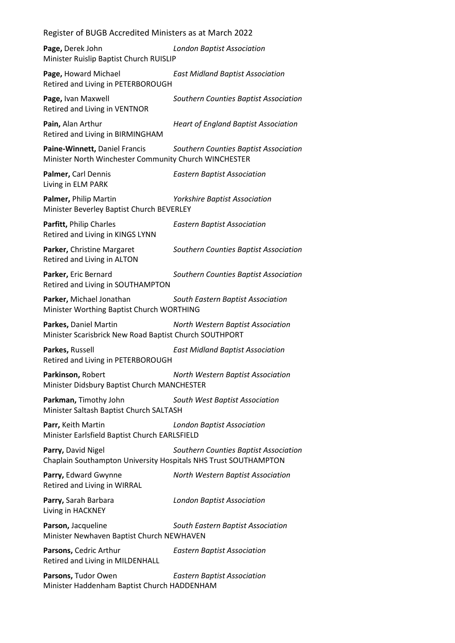Register of BUGB Accredited Ministers as at March 2022 **Page,** Derek John *London Baptist Association* Minister Ruislip Baptist Church RUISLIP **Page,** Howard Michael *East Midland Baptist Association* Retired and Living in PETERBOROUGH **Page,** Ivan Maxwell *Southern Counties Baptist Association* Retired and Living in VENTNOR **Pain,** Alan Arthur *Heart of England Baptist Association* Retired and Living in BIRMINGHAM **Paine-Winnett,** Daniel Francis *Southern Counties Baptist Association* Minister North Winchester Community Church WINCHESTER **Palmer,** Carl Dennis *Eastern Baptist Association* Living in ELM PARK **Palmer,** Philip Martin *Yorkshire Baptist Association* Minister Beverley Baptist Church BEVERLEY **Parfitt,** Philip Charles *Eastern Baptist Association* Retired and Living in KINGS LYNN **Parker,** Christine Margaret *Southern Counties Baptist Association* Retired and Living in ALTON **Parker,** Eric Bernard *Southern Counties Baptist Association* Retired and Living in SOUTHAMPTON **Parker,** Michael Jonathan *South Eastern Baptist Association* Minister Worthing Baptist Church WORTHING **Parkes,** Daniel Martin *North Western Baptist Association* Minister Scarisbrick New Road Baptist Church SOUTHPORT **Parkes,** Russell *East Midland Baptist Association* Retired and Living in PETERBOROUGH **Parkinson,** Robert *North Western Baptist Association* Minister Didsbury Baptist Church MANCHESTER **Parkman,** Timothy John *South West Baptist Association* Minister Saltash Baptist Church SALTASH **Parr,** Keith Martin *London Baptist Association* Minister Earlsfield Baptist Church EARLSFIELD **Parry,** David Nigel *Southern Counties Baptist Association* Chaplain Southampton University Hospitals NHS Trust SOUTHAMPTON **Parry,** Edward Gwynne *North Western Baptist Association* Retired and Living in WIRRAL **Parry,** Sarah Barbara *London Baptist Association* Living in HACKNEY **Parson,** Jacqueline *South Eastern Baptist Association* Minister Newhaven Baptist Church NEWHAVEN **Parsons,** Cedric Arthur *Eastern Baptist Association* Retired and Living in MILDENHALL **Parsons,** Tudor Owen *Eastern Baptist Association* Minister Haddenham Baptist Church HADDENHAM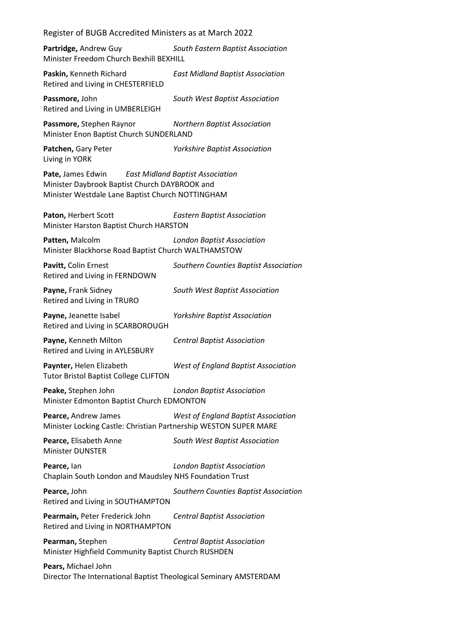Register of BUGB Accredited Ministers as at March 2022 **Partridge,** Andrew Guy *South Eastern Baptist Association* Minister Freedom Church Bexhill BEXHILL **Paskin,** Kenneth Richard *East Midland Baptist Association* Retired and Living in CHESTERFIELD **Passmore,** John *South West Baptist Association* Retired and Living in UMBERLEIGH **Passmore,** Stephen Raynor *Northern Baptist Association* Minister Enon Baptist Church SUNDERLAND **Patchen,** Gary Peter *Yorkshire Baptist Association* Living in YORK **Pate,** James Edwin *East Midland Baptist Association* Minister Daybrook Baptist Church DAYBROOK and Minister Westdale Lane Baptist Church NOTTINGHAM **Paton,** Herbert Scott *Eastern Baptist Association* Minister Harston Baptist Church HARSTON **Patten,** Malcolm *London Baptist Association* Minister Blackhorse Road Baptist Church WALTHAMSTOW **Pavitt,** Colin Ernest *Southern Counties Baptist Association* Retired and Living in FERNDOWN **Payne,** Frank Sidney *South West Baptist Association* Retired and Living in TRURO **Payne,** Jeanette Isabel *Yorkshire Baptist Association* Retired and Living in SCARBOROUGH **Payne,** Kenneth Milton *Central Baptist Association* Retired and Living in AYLESBURY **Paynter,** Helen Elizabeth *West of England Baptist Association* Tutor Bristol Baptist College CLIFTON **Peake,** Stephen John *London Baptist Association* Minister Edmonton Baptist Church EDMONTON **Pearce,** Andrew James *West of England Baptist Association* Minister Locking Castle: Christian Partnership WESTON SUPER MARE **Pearce,** Elisabeth Anne *South West Baptist Association* Minister DUNSTER **Pearce,** Ian *London Baptist Association* Chaplain South London and Maudsley NHS Foundation Trust **Pearce,** John *Southern Counties Baptist Association* Retired and Living in SOUTHAMPTON **Pearmain,** Peter Frederick John *Central Baptist Association* Retired and Living in NORTHAMPTON **Pearman,** Stephen *Central Baptist Association* Minister Highfield Community Baptist Church RUSHDEN **Pears,** Michael John Director The International Baptist Theological Seminary AMSTERDAM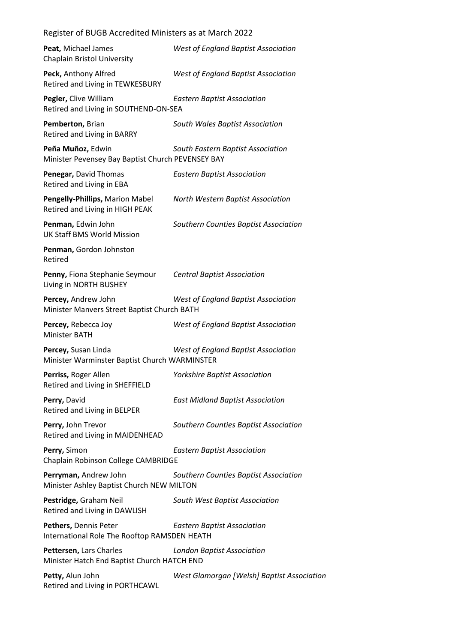| Register of BUGB Accredited Ministers as at March 2022 |  |
|--------------------------------------------------------|--|
|--------------------------------------------------------|--|

| Peat, Michael James<br>Chaplain Bristol University                     | <b>West of England Baptist Association</b> |
|------------------------------------------------------------------------|--------------------------------------------|
| Peck, Anthony Alfred<br>Retired and Living in TEWKESBURY               | <b>West of England Baptist Association</b> |
| Pegler, Clive William<br>Retired and Living in SOUTHEND-ON-SEA         | <b>Eastern Baptist Association</b>         |
| Pemberton, Brian<br>Retired and Living in BARRY                        | South Wales Baptist Association            |
| Peña Muñoz, Edwin<br>Minister Pevensey Bay Baptist Church PEVENSEY BAY | South Eastern Baptist Association          |
| Penegar, David Thomas<br>Retired and Living in EBA                     | <b>Eastern Baptist Association</b>         |
| Pengelly-Phillips, Marion Mabel<br>Retired and Living in HIGH PEAK     | North Western Baptist Association          |
| Penman, Edwin John<br><b>UK Staff BMS World Mission</b>                | Southern Counties Baptist Association      |
| Penman, Gordon Johnston<br>Retired                                     |                                            |
| Penny, Fiona Stephanie Seymour<br>Living in NORTH BUSHEY               | <b>Central Baptist Association</b>         |
| Percey, Andrew John<br>Minister Manvers Street Baptist Church BATH     | West of England Baptist Association        |
| Percey, Rebecca Joy<br><b>Minister BATH</b>                            | <b>West of England Baptist Association</b> |
| Percey, Susan Linda<br>Minister Warminster Baptist Church WARMINSTER   | West of England Baptist Association        |
| Perriss, Roger Allen<br>Retired and Living in SHEFFIELD                | <b>Yorkshire Baptist Association</b>       |
| Perry, David<br>Retired and Living in BELPER                           | <b>East Midland Baptist Association</b>    |
| Perry, John Trevor<br>Retired and Living in MAIDENHEAD                 | Southern Counties Baptist Association      |
| Perry, Simon<br>Chaplain Robinson College CAMBRIDGE                    | <b>Eastern Baptist Association</b>         |
| Perryman, Andrew John<br>Minister Ashley Baptist Church NEW MILTON     | Southern Counties Baptist Association      |
| Pestridge, Graham Neil<br>Retired and Living in DAWLISH                | South West Baptist Association             |
| Pethers, Dennis Peter<br>International Role The Rooftop RAMSDEN HEATH  | <b>Eastern Baptist Association</b>         |
| Pettersen, Lars Charles<br>Minister Hatch End Baptist Church HATCH END | <b>London Baptist Association</b>          |
| Petty, Alun John<br>Retired and Living in PORTHCAWL                    | West Glamorgan [Welsh] Baptist Association |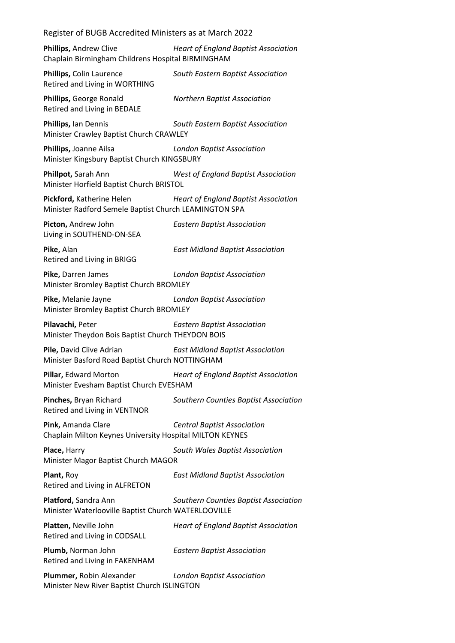| Register of BUGB Accredited Ministers as at March 2022                             |                                             |
|------------------------------------------------------------------------------------|---------------------------------------------|
| Phillips, Andrew Clive<br>Chaplain Birmingham Childrens Hospital BIRMINGHAM        | <b>Heart of England Baptist Association</b> |
| Phillips, Colin Laurence<br>Retired and Living in WORTHING                         | South Eastern Baptist Association           |
| Phillips, George Ronald<br>Retired and Living in BEDALE                            | <b>Northern Baptist Association</b>         |
| Phillips, Ian Dennis<br>Minister Crawley Baptist Church CRAWLEY                    | South Eastern Baptist Association           |
| Phillips, Joanne Ailsa<br>Minister Kingsbury Baptist Church KINGSBURY              | <b>London Baptist Association</b>           |
| Phillpot, Sarah Ann<br>Minister Horfield Baptist Church BRISTOL                    | <b>West of England Baptist Association</b>  |
| Pickford, Katherine Helen<br>Minister Radford Semele Baptist Church LEAMINGTON SPA | <b>Heart of England Baptist Association</b> |
| Picton, Andrew John<br>Living in SOUTHEND-ON-SEA                                   | <b>Eastern Baptist Association</b>          |
| Pike, Alan<br>Retired and Living in BRIGG                                          | <b>East Midland Baptist Association</b>     |
| Pike, Darren James<br>Minister Bromley Baptist Church BROMLEY                      | <b>London Baptist Association</b>           |
| Pike, Melanie Jayne<br>Minister Bromley Baptist Church BROMLEY                     | <b>London Baptist Association</b>           |
| Pilavachi, Peter<br>Minister Theydon Bois Baptist Church THEYDON BOIS              | <b>Eastern Baptist Association</b>          |
| Pile, David Clive Adrian<br>Minister Basford Road Baptist Church NOTTINGHAM        | <b>East Midland Baptist Association</b>     |
| Pillar, Edward Morton<br>Minister Evesham Baptist Church EVESHAM                   | <b>Heart of England Baptist Association</b> |
| Pinches, Bryan Richard<br>Retired and Living in VENTNOR                            | Southern Counties Baptist Association       |
| Pink, Amanda Clare<br>Chaplain Milton Keynes University Hospital MILTON KEYNES     | <b>Central Baptist Association</b>          |
| Place, Harry<br>Minister Magor Baptist Church MAGOR                                | South Wales Baptist Association             |
| Plant, Roy<br>Retired and Living in ALFRETON                                       | <b>East Midland Baptist Association</b>     |
| Platford, Sandra Ann<br>Minister Waterlooville Baptist Church WATERLOOVILLE        | Southern Counties Baptist Association       |
| Platten, Neville John<br>Retired and Living in CODSALL                             | <b>Heart of England Baptist Association</b> |
| Plumb, Norman John<br>Retired and Living in FAKENHAM                               | <b>Eastern Baptist Association</b>          |
| Plummer, Robin Alexander<br>Minister New River Baptist Church ISLINGTON            | <b>London Baptist Association</b>           |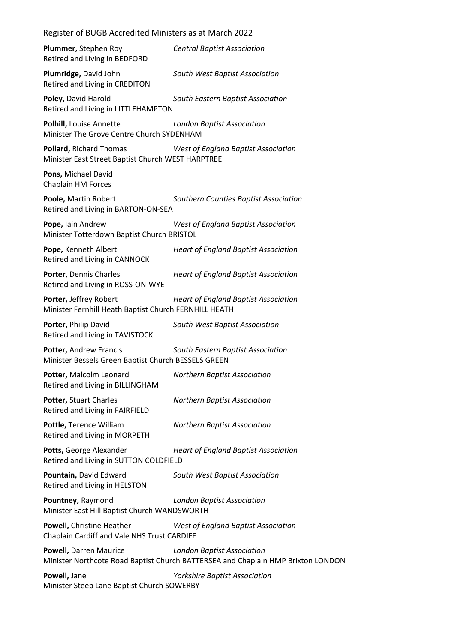| Register of BUGB Accredited Ministers as at March 2022                          |                                                                                                                       |
|---------------------------------------------------------------------------------|-----------------------------------------------------------------------------------------------------------------------|
| Plummer, Stephen Roy<br>Retired and Living in BEDFORD                           | <b>Central Baptist Association</b>                                                                                    |
| Plumridge, David John<br>Retired and Living in CREDITON                         | South West Baptist Association                                                                                        |
| Poley, David Harold<br>Retired and Living in LITTLEHAMPTON                      | South Eastern Baptist Association                                                                                     |
| Polhill, Louise Annette<br>Minister The Grove Centre Church SYDENHAM            | <b>London Baptist Association</b>                                                                                     |
| Pollard, Richard Thomas<br>Minister East Street Baptist Church WEST HARPTREE    | <b>West of England Baptist Association</b>                                                                            |
| Pons, Michael David<br>Chaplain HM Forces                                       |                                                                                                                       |
| Poole, Martin Robert<br>Retired and Living in BARTON-ON-SEA                     | Southern Counties Baptist Association                                                                                 |
| Pope, lain Andrew<br>Minister Totterdown Baptist Church BRISTOL                 | <b>West of England Baptist Association</b>                                                                            |
| Pope, Kenneth Albert<br>Retired and Living in CANNOCK                           | <b>Heart of England Baptist Association</b>                                                                           |
| Porter, Dennis Charles<br>Retired and Living in ROSS-ON-WYE                     | <b>Heart of England Baptist Association</b>                                                                           |
| Porter, Jeffrey Robert<br>Minister Fernhill Heath Baptist Church FERNHILL HEATH | <b>Heart of England Baptist Association</b>                                                                           |
| Porter, Philip David<br>Retired and Living in TAVISTOCK                         | South West Baptist Association                                                                                        |
| Potter, Andrew Francis<br>Minister Bessels Green Baptist Church BESSELS GREEN   | South Eastern Baptist Association                                                                                     |
| Potter, Malcolm Leonard<br>Retired and Living in BILLINGHAM                     | <b>Northern Baptist Association</b>                                                                                   |
| Potter, Stuart Charles<br>Retired and Living in FAIRFIELD                       | <b>Northern Baptist Association</b>                                                                                   |
| Pottle, Terence William<br>Retired and Living in MORPETH                        | <b>Northern Baptist Association</b>                                                                                   |
| Potts, George Alexander<br>Retired and Living in SUTTON COLDFIELD               | <b>Heart of England Baptist Association</b>                                                                           |
| Pountain, David Edward<br>Retired and Living in HELSTON                         | South West Baptist Association                                                                                        |
| Pountney, Raymond<br>Minister East Hill Baptist Church WANDSWORTH               | <b>London Baptist Association</b>                                                                                     |
| Powell, Christine Heather<br>Chaplain Cardiff and Vale NHS Trust CARDIFF        | <b>West of England Baptist Association</b>                                                                            |
| Powell, Darren Maurice                                                          | <b>London Baptist Association</b><br>Minister Northcote Road Baptist Church BATTERSEA and Chaplain HMP Brixton LONDON |
| Powell, Jane<br>Minister Steep Lane Baptist Church SOWERBY                      | <b>Yorkshire Baptist Association</b>                                                                                  |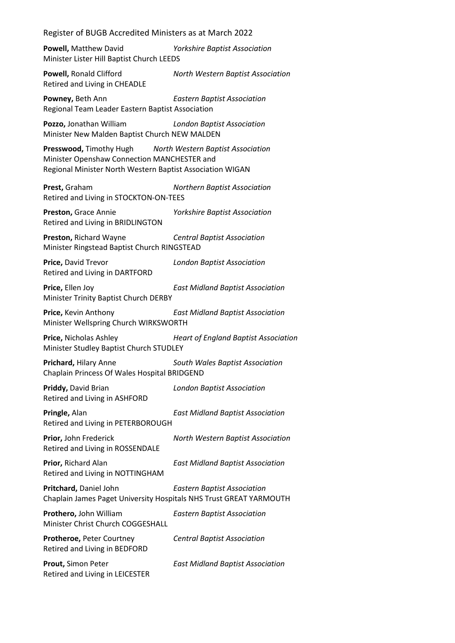**Powell,** Matthew David *Yorkshire Baptist Association* Minister Lister Hill Baptist Church LEEDS

**Powell,** Ronald Clifford *North Western Baptist Association* Retired and Living in CHEADLE

**Powney,** Beth Ann *Eastern Baptist Association* Regional Team Leader Eastern Baptist Association

**Pozzo,** Jonathan William *London Baptist Association* Minister New Malden Baptist Church NEW MALDEN

**Presswood,** Timothy Hugh *North Western Baptist Association* Minister Openshaw Connection MANCHESTER and Regional Minister North Western Baptist Association WIGAN

**Prest,** Graham *Northern Baptist Association* Retired and Living in STOCKTON-ON-TEES

**Preston,** Grace Annie *Yorkshire Baptist Association* Retired and Living in BRIDLINGTON

**Preston,** Richard Wayne *Central Baptist Association* Minister Ringstead Baptist Church RINGSTEAD

**Price,** David Trevor *London Baptist Association* Retired and Living in DARTFORD

**Price,** Ellen Joy *East Midland Baptist Association* Minister Trinity Baptist Church DERBY

**Price,** Kevin Anthony *East Midland Baptist Association* Minister Wellspring Church WIRKSWORTH

**Price,** Nicholas Ashley *Heart of England Baptist Association* Minister Studley Baptist Church STUDLEY

**Prichard,** Hilary Anne *South Wales Baptist Association* Chaplain Princess Of Wales Hospital BRIDGEND

**Priddy,** David Brian *London Baptist Association* Retired and Living in ASHFORD

**Pringle,** Alan *East Midland Baptist Association* Retired and Living in PETERBOROUGH

**Prior,** John Frederick *North Western Baptist Association* Retired and Living in ROSSENDALE

**Prior,** Richard Alan *East Midland Baptist Association* Retired and Living in NOTTINGHAM

**Pritchard,** Daniel John *Eastern Baptist Association* Chaplain James Paget University Hospitals NHS Trust GREAT YARMOUTH

**Prothero,** John William *Eastern Baptist Association* Minister Christ Church COGGESHALL

**Protheroe,** Peter Courtney *Central Baptist Association* Retired and Living in BEDFORD

**Prout,** Simon Peter *East Midland Baptist Association* Retired and Living in LEICESTER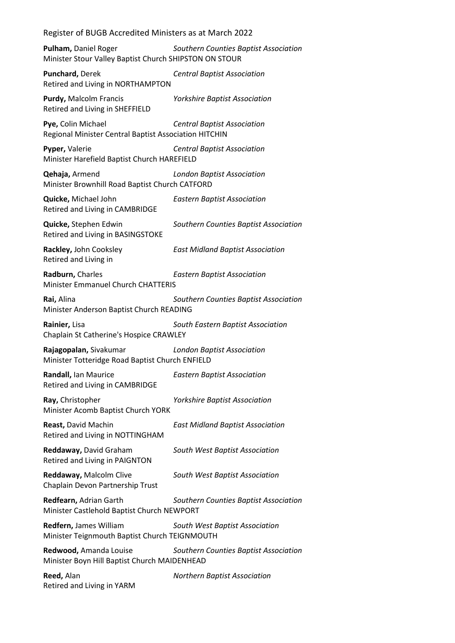Register of BUGB Accredited Ministers as at March 2022 **Pulham,** Daniel Roger *Southern Counties Baptist Association* Minister Stour Valley Baptist Church SHIPSTON ON STOUR **Punchard,** Derek *Central Baptist Association* Retired and Living in NORTHAMPTON **Purdy,** Malcolm Francis *Yorkshire Baptist Association* Retired and Living in SHEFFIELD **Pye,** Colin Michael *Central Baptist Association* Regional Minister Central Baptist Association HITCHIN **Pyper,** Valerie *Central Baptist Association* Minister Harefield Baptist Church HAREFIELD **Qehaja,** Armend *London Baptist Association* Minister Brownhill Road Baptist Church CATFORD **Quicke,** Michael John *Eastern Baptist Association* Retired and Living in CAMBRIDGE **Quicke,** Stephen Edwin *Southern Counties Baptist Association* Retired and Living in BASINGSTOKE **Rackley,** John Cooksley *East Midland Baptist Association* Retired and Living in **Radburn,** Charles *Eastern Baptist Association* Minister Emmanuel Church CHATTERIS **Rai,** Alina *Southern Counties Baptist Association* Minister Anderson Baptist Church READING **Rainier,** Lisa *South Eastern Baptist Association* Chaplain St Catherine's Hospice CRAWLEY **Rajagopalan,** Sivakumar *London Baptist Association* Minister Totteridge Road Baptist Church ENFIELD **Randall,** Ian Maurice *Eastern Baptist Association* Retired and Living in CAMBRIDGE **Ray,** Christopher *Yorkshire Baptist Association* Minister Acomb Baptist Church YORK **Reast,** David Machin *East Midland Baptist Association* Retired and Living in NOTTINGHAM **Reddaway,** David Graham *South West Baptist Association* Retired and Living in PAIGNTON **Reddaway,** Malcolm Clive *South West Baptist Association* Chaplain Devon Partnership Trust **Redfearn,** Adrian Garth *Southern Counties Baptist Association* Minister Castlehold Baptist Church NEWPORT **Redfern,** James William *South West Baptist Association* Minister Teignmouth Baptist Church TEIGNMOUTH **Redwood,** Amanda Louise *Southern Counties Baptist Association* Minister Boyn Hill Baptist Church MAIDENHEAD **Reed,** Alan *Northern Baptist Association* Retired and Living in YARM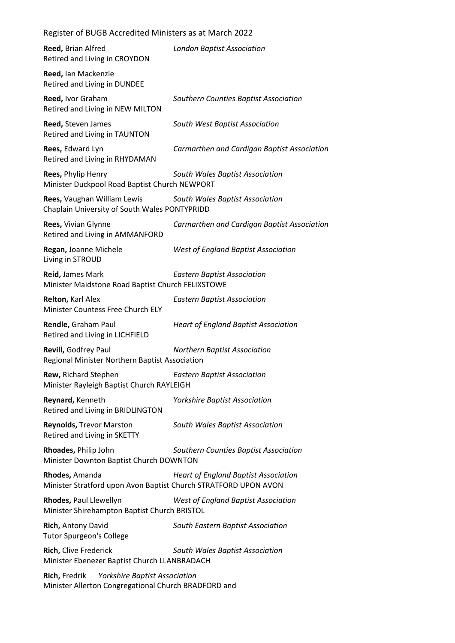| Register of BUGB Accredited Ministers as at March 2022                                                        |                                             |
|---------------------------------------------------------------------------------------------------------------|---------------------------------------------|
| Reed, Brian Alfred<br>Retired and Living in CROYDON                                                           | <b>London Baptist Association</b>           |
| Reed, Ian Mackenzie<br>Retired and Living in DUNDEE                                                           |                                             |
| Reed, Ivor Graham<br>Retired and Living in NEW MILTON                                                         | Southern Counties Baptist Association       |
| Reed, Steven James<br>Retired and Living in TAUNTON                                                           | South West Baptist Association              |
| Rees, Edward Lyn<br>Retired and Living in RHYDAMAN                                                            | Carmarthen and Cardigan Baptist Association |
| Rees, Phylip Henry<br>Minister Duckpool Road Baptist Church NEWPORT                                           | South Wales Baptist Association             |
| Rees, Vaughan William Lewis<br>Chaplain University of South Wales PONTYPRIDD                                  | South Wales Baptist Association             |
| Rees, Vivian Glynne<br>Retired and Living in AMMANFORD                                                        | Carmarthen and Cardigan Baptist Association |
| Regan, Joanne Michele<br>Living in STROUD                                                                     | <b>West of England Baptist Association</b>  |
| Reid, James Mark<br>Minister Maidstone Road Baptist Church FELIXSTOWE                                         | <b>Eastern Baptist Association</b>          |
| Relton, Karl Alex<br>Minister Countess Free Church ELY                                                        | <b>Eastern Baptist Association</b>          |
| Rendle, Graham Paul<br>Retired and Living in LICHFIELD                                                        | <b>Heart of England Baptist Association</b> |
| Revill, Godfrey Paul<br>Regional Minister Northern Baptist Association                                        | <b>Northern Baptist Association</b>         |
| Rew, Richard Stephen<br>Minister Rayleigh Baptist Church RAYLEIGH                                             | <b>Eastern Baptist Association</b>          |
| Reynard, Kenneth<br>Retired and Living in BRIDLINGTON                                                         | <b>Yorkshire Baptist Association</b>        |
| <b>Reynolds, Trevor Marston</b><br>Retired and Living in SKETTY                                               | South Wales Baptist Association             |
| Rhoades, Philip John<br>Minister Downton Baptist Church DOWNTON                                               | Southern Counties Baptist Association       |
| Rhodes, Amanda<br>Minister Stratford upon Avon Baptist Church STRATFORD UPON AVON                             | <b>Heart of England Baptist Association</b> |
| Rhodes, Paul Llewellyn<br>Minister Shirehampton Baptist Church BRISTOL                                        | <b>West of England Baptist Association</b>  |
| Rich, Antony David<br><b>Tutor Spurgeon's College</b>                                                         | South Eastern Baptist Association           |
| Rich, Clive Frederick<br>Minister Ebenezer Baptist Church LLANBRADACH                                         | South Wales Baptist Association             |
| Rich, Fredrik<br><b>Yorkshire Baptist Association</b><br>Minister Allerton Congregational Church BRADFORD and |                                             |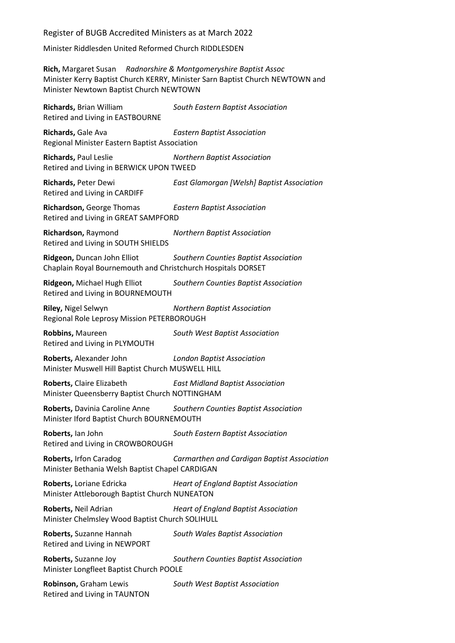Minister Riddlesden United Reformed Church RIDDLESDEN

**Rich,** Margaret Susan *Radnorshire & Montgomeryshire Baptist Assoc* Minister Kerry Baptist Church KERRY, Minister Sarn Baptist Church NEWTOWN and Minister Newtown Baptist Church NEWTOWN **Richards,** Brian William *South Eastern Baptist Association* Retired and Living in EASTBOURNE **Richards,** Gale Ava *Eastern Baptist Association* Regional Minister Eastern Baptist Association **Richards,** Paul Leslie *Northern Baptist Association* Retired and Living in BERWICK UPON TWEED **Richards,** Peter Dewi *East Glamorgan [Welsh] Baptist Association* Retired and Living in CARDIFF **Richardson,** George Thomas *Eastern Baptist Association* Retired and Living in GREAT SAMPFORD **Richardson,** Raymond *Northern Baptist Association* Retired and Living in SOUTH SHIELDS **Ridgeon,** Duncan John Elliot *Southern Counties Baptist Association* Chaplain Royal Bournemouth and Christchurch Hospitals DORSET **Ridgeon,** Michael Hugh Elliot *Southern Counties Baptist Association* Retired and Living in BOURNEMOUTH **Riley,** Nigel Selwyn *Northern Baptist Association* Regional Role Leprosy Mission PETERBOROUGH **Robbins,** Maureen *South West Baptist Association* Retired and Living in PLYMOUTH **Roberts,** Alexander John *London Baptist Association* Minister Muswell Hill Baptist Church MUSWELL HILL **Roberts,** Claire Elizabeth *East Midland Baptist Association* Minister Queensberry Baptist Church NOTTINGHAM **Roberts,** Davinia Caroline Anne *Southern Counties Baptist Association* Minister Iford Baptist Church BOURNEMOUTH **Roberts,** Ian John *South Eastern Baptist Association* Retired and Living in CROWBOROUGH **Roberts,** Irfon Caradog *Carmarthen and Cardigan Baptist Association* Minister Bethania Welsh Baptist Chapel CARDIGAN **Roberts,** Loriane Edricka *Heart of England Baptist Association* Minister Attleborough Baptist Church NUNEATON **Roberts,** Neil Adrian *Heart of England Baptist Association* Minister Chelmsley Wood Baptist Church SOLIHULL **Roberts,** Suzanne Hannah *South Wales Baptist Association* Retired and Living in NEWPORT **Roberts,** Suzanne Joy *Southern Counties Baptist Association* Minister Longfleet Baptist Church POOLE **Robinson,** Graham Lewis *South West Baptist Association* Retired and Living in TAUNTON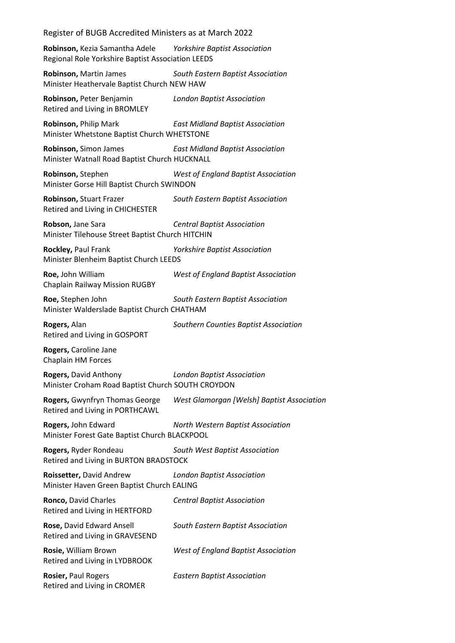**Robinson,** Kezia Samantha Adele *Yorkshire Baptist Association* Regional Role Yorkshire Baptist Association LEEDS

**Robinson,** Martin James *South Eastern Baptist Association* Minister Heathervale Baptist Church NEW HAW

**Robinson,** Peter Benjamin *London Baptist Association* Retired and Living in BROMLEY

**Robinson,** Philip Mark *East Midland Baptist Association* Minister Whetstone Baptist Church WHETSTONE

**Robinson,** Simon James *East Midland Baptist Association* Minister Watnall Road Baptist Church HUCKNALL

**Robinson,** Stephen *West of England Baptist Association* Minister Gorse Hill Baptist Church SWINDON

**Robinson,** Stuart Frazer *South Eastern Baptist Association* Retired and Living in CHICHESTER

**Robson,** Jane Sara *Central Baptist Association* Minister Tilehouse Street Baptist Church HITCHIN

**Rockley,** Paul Frank *Yorkshire Baptist Association* Minister Blenheim Baptist Church LEEDS

Chaplain Railway Mission RUGBY

**Roe,** John William *West of England Baptist Association*

**Roe,** Stephen John *South Eastern Baptist Association* Minister Walderslade Baptist Church CHATHAM

**Rogers,** Alan *Southern Counties Baptist Association* Retired and Living in GOSPORT

**Rogers,** Caroline Jane Chaplain HM Forces

**Rogers,** David Anthony *London Baptist Association* Minister Croham Road Baptist Church SOUTH CROYDON

**Rogers,** Gwynfryn Thomas George *West Glamorgan [Welsh] Baptist Association* Retired and Living in PORTHCAWL

**Rogers,** John Edward *North Western Baptist Association* Minister Forest Gate Baptist Church BLACKPOOL

**Rogers,** Ryder Rondeau *South West Baptist Association* Retired and Living in BURTON BRADSTOCK

**Roissetter,** David Andrew *London Baptist Association* Minister Haven Green Baptist Church EALING

| Ronco, David Charles<br>Retired and Living in HERTFORD        | <b>Central Baptist Association</b>         |
|---------------------------------------------------------------|--------------------------------------------|
| Rose, David Edward Ansell<br>Retired and Living in GRAVESEND  | South Eastern Baptist Association          |
| <b>Rosie, William Brown</b><br>Retired and Living in LYDBROOK | <b>West of England Baptist Association</b> |
| Rosier, Paul Rogers<br>Retired and Living in CROMER           | <b>Eastern Baptist Association</b>         |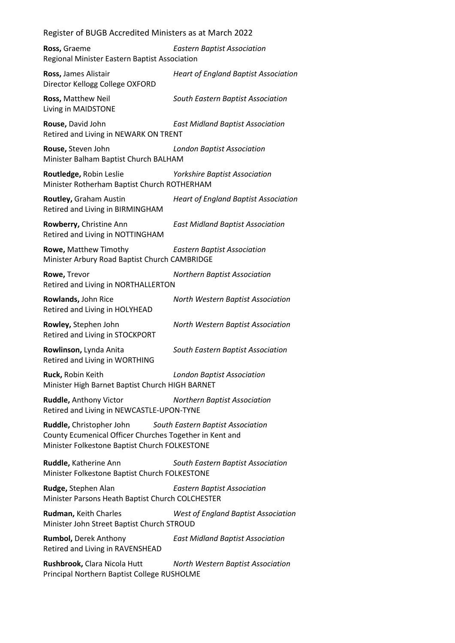| Ross, Graeme<br>Regional Minister Eastern Baptist Association                                                                                                                    | <b>Eastern Baptist Association</b>          |  |
|----------------------------------------------------------------------------------------------------------------------------------------------------------------------------------|---------------------------------------------|--|
| Ross, James Alistair<br>Director Kellogg College OXFORD                                                                                                                          | <b>Heart of England Baptist Association</b> |  |
| Ross, Matthew Neil<br>Living in MAIDSTONE                                                                                                                                        | South Eastern Baptist Association           |  |
| Rouse, David John<br>Retired and Living in NEWARK ON TRENT                                                                                                                       | <b>East Midland Baptist Association</b>     |  |
| Rouse, Steven John<br>Minister Balham Baptist Church BALHAM                                                                                                                      | <b>London Baptist Association</b>           |  |
| Routledge, Robin Leslie<br>Minister Rotherham Baptist Church ROTHERHAM                                                                                                           | <b>Yorkshire Baptist Association</b>        |  |
| Routley, Graham Austin<br>Retired and Living in BIRMINGHAM                                                                                                                       | <b>Heart of England Baptist Association</b> |  |
| Rowberry, Christine Ann<br>Retired and Living in NOTTINGHAM                                                                                                                      | <b>East Midland Baptist Association</b>     |  |
| Rowe, Matthew Timothy<br>Minister Arbury Road Baptist Church CAMBRIDGE                                                                                                           | <b>Eastern Baptist Association</b>          |  |
| Rowe, Trevor<br>Retired and Living in NORTHALLERTON                                                                                                                              | <b>Northern Baptist Association</b>         |  |
| Rowlands, John Rice<br>Retired and Living in HOLYHEAD                                                                                                                            | North Western Baptist Association           |  |
| Rowley, Stephen John<br>Retired and Living in STOCKPORT                                                                                                                          | North Western Baptist Association           |  |
| Rowlinson, Lynda Anita<br>Retired and Living in WORTHING                                                                                                                         | South Eastern Baptist Association           |  |
| Ruck, Robin Keith<br>Minister High Barnet Baptist Church HIGH BARNET                                                                                                             | <b>London Baptist Association</b>           |  |
| Ruddle, Anthony Victor<br>Retired and Living in NEWCASTLE-UPON-TYNE                                                                                                              | <b>Northern Baptist Association</b>         |  |
| <b>Ruddle, Christopher John</b><br>South Eastern Baptist Association<br>County Ecumenical Officer Churches Together in Kent and<br>Minister Folkestone Baptist Church FOLKESTONE |                                             |  |
| Ruddle, Katherine Ann<br>Minister Folkestone Baptist Church FOLKESTONE                                                                                                           | South Eastern Baptist Association           |  |
| Rudge, Stephen Alan<br>Minister Parsons Heath Baptist Church COLCHESTER                                                                                                          | <b>Eastern Baptist Association</b>          |  |
| Rudman, Keith Charles<br>Minister John Street Baptist Church STROUD                                                                                                              | <b>West of England Baptist Association</b>  |  |
| <b>Rumbol, Derek Anthony</b><br>Retired and Living in RAVENSHEAD                                                                                                                 | <b>East Midland Baptist Association</b>     |  |
| Rushbrook, Clara Nicola Hutt<br>Principal Northern Baptist College RUSHOLME                                                                                                      | North Western Baptist Association           |  |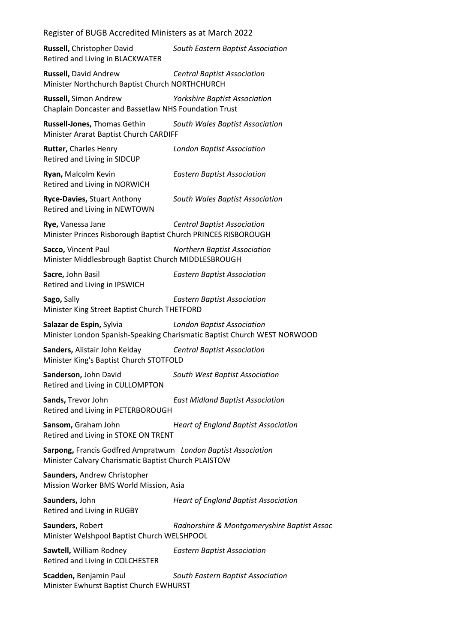**Russell,** Christopher David *South Eastern Baptist Association* Retired and Living in BLACKWATER

**Russell,** David Andrew *Central Baptist Association* Minister Northchurch Baptist Church NORTHCHURCH

**Russell,** Simon Andrew *Yorkshire Baptist Association* Chaplain Doncaster and Bassetlaw NHS Foundation Trust

**Russell-Jones,** Thomas Gethin *South Wales Baptist Association* Minister Ararat Baptist Church CARDIFF

**Rutter,** Charles Henry *London Baptist Association* Retired and Living in SIDCUP

**Ryan,** Malcolm Kevin *Eastern Baptist Association* Retired and Living in NORWICH

**Ryce-Davies,** Stuart Anthony *South Wales Baptist Association* Retired and Living in NEWTOWN

**Rye,** Vanessa Jane *Central Baptist Association* Minister Princes Risborough Baptist Church PRINCES RISBOROUGH

**Sacco,** Vincent Paul *Northern Baptist Association* Minister Middlesbrough Baptist Church MIDDLESBROUGH

Retired and Living in IPSWICH

**Sacre,** John Basil *Eastern Baptist Association*

**Sago,** Sally *Eastern Baptist Association* Minister King Street Baptist Church THETFORD

**Salazar de Espin,** Sylvia *London Baptist Association* Minister London Spanish-Speaking Charismatic Baptist Church WEST NORWOOD

**Sanders,** Alistair John Kelday *Central Baptist Association* Minister King's Baptist Church STOTFOLD

**Sanderson,** John David *South West Baptist Association* Retired and Living in CULLOMPTON

**Sands,** Trevor John *East Midland Baptist Association* Retired and Living in PETERBOROUGH

**Sansom,** Graham John *Heart of England Baptist Association* Retired and Living in STOKE ON TRENT

**Sarpong,** Francis Godfred Ampratwum *London Baptist Association* Minister Calvary Charismatic Baptist Church PLAISTOW

**Saunders,** Andrew Christopher Mission Worker BMS World Mission, Asia

Retired and Living in RUGBY

**Saunders,** John *Heart of England Baptist Association*

**Saunders,** Robert *Radnorshire & Montgomeryshire Baptist Assoc* Minister Welshpool Baptist Church WELSHPOOL

**Sawtell,** William Rodney *Eastern Baptist Association* Retired and Living in COLCHESTER

**Scadden,** Benjamin Paul *South Eastern Baptist Association* Minister Ewhurst Baptist Church EWHURST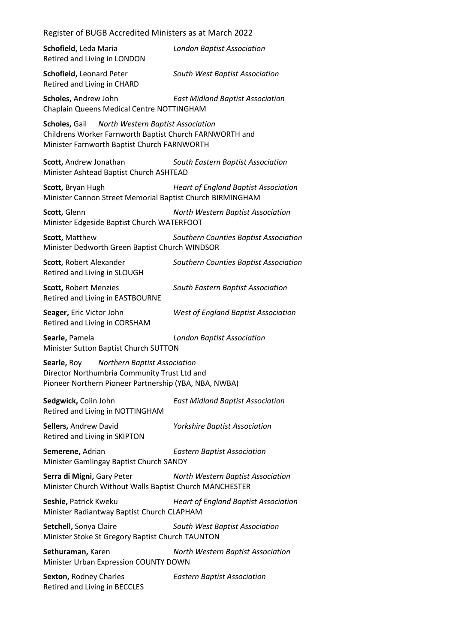Register of BUGB Accredited Ministers as at March 2022 **Schofield,** Leda Maria *London Baptist Association* Retired and Living in LONDON **Schofield,** Leonard Peter *South West Baptist Association* Retired and Living in CHARD **Scholes,** Andrew John *East Midland Baptist Association* Chaplain Queens Medical Centre NOTTINGHAM **Scholes,** Gail *North Western Baptist Association* Childrens Worker Farnworth Baptist Church FARNWORTH and Minister Farnworth Baptist Church FARNWORTH **Scott,** Andrew Jonathan *South Eastern Baptist Association* Minister Ashtead Baptist Church ASHTEAD **Scott,** Bryan Hugh *Heart of England Baptist Association* Minister Cannon Street Memorial Baptist Church BIRMINGHAM **Scott,** Glenn *North Western Baptist Association* Minister Edgeside Baptist Church WATERFOOT **Scott,** Matthew *Southern Counties Baptist Association* Minister Dedworth Green Baptist Church WINDSOR **Scott,** Robert Alexander *Southern Counties Baptist Association* Retired and Living in SLOUGH **Scott,** Robert Menzies *South Eastern Baptist Association* Retired and Living in EASTBOURNE **Seager,** Eric Victor John *West of England Baptist Association* Retired and Living in CORSHAM **Searle,** Pamela *London Baptist Association* Minister Sutton Baptist Church SUTTON **Searle,** Roy *Northern Baptist Association* Director Northumbria Community Trust Ltd and Pioneer Northern Pioneer Partnership (YBA, NBA, NWBA) **Sedgwick,** Colin John *East Midland Baptist Association* Retired and Living in NOTTINGHAM **Sellers,** Andrew David *Yorkshire Baptist Association* Retired and Living in SKIPTON **Semerene,** Adrian *Eastern Baptist Association* Minister Gamlingay Baptist Church SANDY **Serra di Migni,** Gary Peter *North Western Baptist Association* Minister Church Without Walls Baptist Church MANCHESTER **Seshie,** Patrick Kweku *Heart of England Baptist Association* Minister Radiantway Baptist Church CLAPHAM **Setchell,** Sonya Claire *South West Baptist Association* Minister Stoke St Gregory Baptist Church TAUNTON **Sethuraman,** Karen *North Western Baptist Association* Minister Urban Expression COUNTY DOWN **Sexton,** Rodney Charles *Eastern Baptist Association* Retired and Living in BECCLES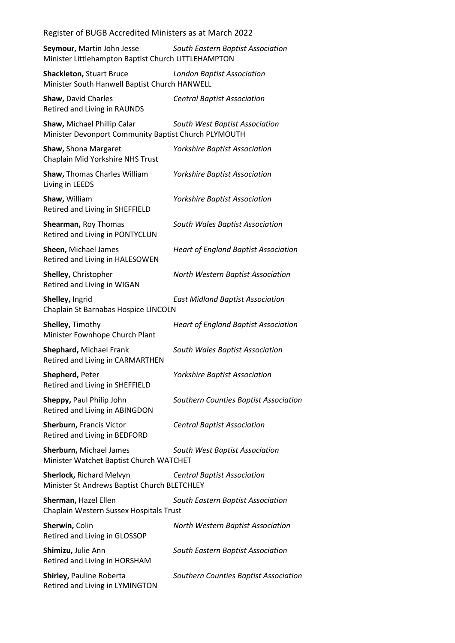**Seymour,** Martin John Jesse *South Eastern Baptist Association* Minister Littlehampton Baptist Church LITTLEHAMPTON

**Shackleton,** Stuart Bruce *London Baptist Association* Minister South Hanwell Baptist Church HANWELL

**Shaw,** David Charles *Central Baptist Association* Retired and Living in RAUNDS

**Shaw,** Michael Phillip Calar *South West Baptist Association* Minister Devonport Community Baptist Church PLYMOUTH

**Shaw,** Shona Margaret *Yorkshire Baptist Association* Chaplain Mid Yorkshire NHS Trust **Shaw,** Thomas Charles William *Yorkshire Baptist Association* Living in LEEDS

**Shaw,** William *Yorkshire Baptist Association* Retired and Living in SHEFFIELD

**Shearman,** Roy Thomas *South Wales Baptist Association* Retired and Living in PONTYCLUN

**Sheen,** Michael James *Heart of England Baptist Association* Retired and Living in HALESOWEN

Retired and Living in WIGAN

**Shelley,** Ingrid *East Midland Baptist Association* Chaplain St Barnabas Hospice LINCOLN

**Shelley,** Timothy *Heart of England Baptist Association* Minister Fownhope Church Plant

**Shephard,** Michael Frank *South Wales Baptist Association* Retired and Living in CARMARTHEN

**Shepherd,** Peter *Yorkshire Baptist Association* Retired and Living in SHEFFIELD

**Sheppy,** Paul Philip John *Southern Counties Baptist Association* Retired and Living in ABINGDON

**Sherburn,** Francis Victor *Central Baptist Association* Retired and Living in BEDFORD

**Sherburn,** Michael James *South West Baptist Association* Minister Watchet Baptist Church WATCHET

**Sherlock,** Richard Melvyn *Central Baptist Association* Minister St Andrews Baptist Church BLETCHLEY

**Sherman,** Hazel Ellen *South Eastern Baptist Association* Chaplain Western Sussex Hospitals Trust

**Sherwin,** Colin *North Western Baptist Association* Retired and Living in GLOSSOP **Shimizu,** Julie Ann *South Eastern Baptist Association* Retired and Living in HORSHAM

Retired and Living in LYMINGTON

**Shirley,** Pauline Roberta *Southern Counties Baptist Association*

**Shelley,** Christopher *North Western Baptist Association*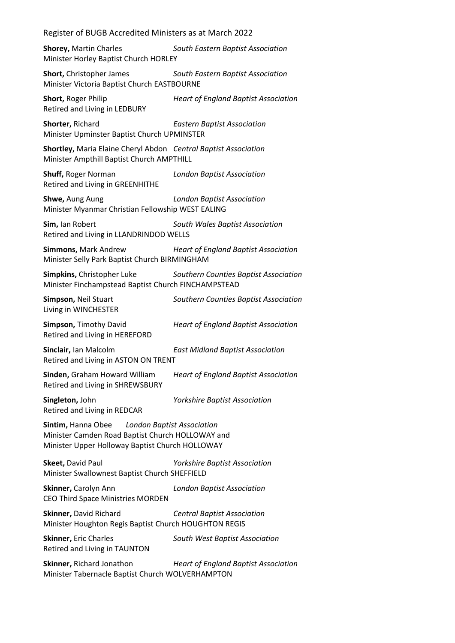**Shorey,** Martin Charles *South Eastern Baptist Association* Minister Horley Baptist Church HORLEY

**Short,** Christopher James *South Eastern Baptist Association* Minister Victoria Baptist Church EASTBOURNE

**Short,** Roger Philip *Heart of England Baptist Association* Retired and Living in LEDBURY

**Shorter,** Richard *Eastern Baptist Association* Minister Upminster Baptist Church UPMINSTER

**Shortley,** Maria Elaine Cheryl Abdon *Central Baptist Association* Minister Ampthill Baptist Church AMPTHILL

**Shuff,** Roger Norman *London Baptist Association* Retired and Living in GREENHITHE

**Shwe,** Aung Aung *London Baptist Association* Minister Myanmar Christian Fellowship WEST EALING

**Sim,** Ian Robert *South Wales Baptist Association* Retired and Living in LLANDRINDOD WELLS

**Simmons,** Mark Andrew *Heart of England Baptist Association* Minister Selly Park Baptist Church BIRMINGHAM

**Simpkins,** Christopher Luke *Southern Counties Baptist Association* Minister Finchampstead Baptist Church FINCHAMPSTEAD

Living in WINCHESTER

**Simpson,** Neil Stuart *Southern Counties Baptist Association*

**Simpson,** Timothy David *Heart of England Baptist Association* Retired and Living in HEREFORD

**Sinclair,** Ian Malcolm *East Midland Baptist Association* Retired and Living in ASTON ON TRENT

**Sinden,** Graham Howard William *Heart of England Baptist Association* Retired and Living in SHREWSBURY

**Singleton,** John *Yorkshire Baptist Association* Retired and Living in REDCAR

**Sintim,** Hanna Obee *London Baptist Association* Minister Camden Road Baptist Church HOLLOWAY and Minister Upper Holloway Baptist Church HOLLOWAY

**Skeet,** David Paul *Yorkshire Baptist Association* Minister Swallownest Baptist Church SHEFFIELD

**Skinner,** Carolyn Ann *London Baptist Association* CEO Third Space Ministries MORDEN

**Skinner,** David Richard *Central Baptist Association* Minister Houghton Regis Baptist Church HOUGHTON REGIS

**Skinner,** Eric Charles *South West Baptist Association* Retired and Living in TAUNTON

**Skinner,** Richard Jonathon *Heart of England Baptist Association* Minister Tabernacle Baptist Church WOLVERHAMPTON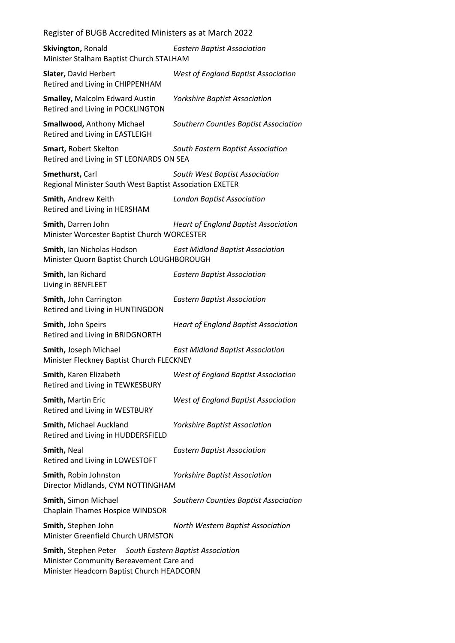| Register of BUGB Accredited Ministers as at March 2022 |  |
|--------------------------------------------------------|--|
|--------------------------------------------------------|--|

| Skivington, Ronald<br>Minister Stalham Baptist Church STALHAM                                                                                         | <b>Eastern Baptist Association</b>          |
|-------------------------------------------------------------------------------------------------------------------------------------------------------|---------------------------------------------|
| Slater, David Herbert<br>Retired and Living in CHIPPENHAM                                                                                             | <b>West of England Baptist Association</b>  |
| <b>Smalley, Malcolm Edward Austin</b><br>Retired and Living in POCKLINGTON                                                                            | Yorkshire Baptist Association               |
| <b>Smallwood, Anthony Michael</b><br>Retired and Living in EASTLEIGH                                                                                  | Southern Counties Baptist Association       |
| Smart, Robert Skelton<br>Retired and Living in ST LEONARDS ON SEA                                                                                     | South Eastern Baptist Association           |
| Smethurst, Carl<br>Regional Minister South West Baptist Association EXETER                                                                            | South West Baptist Association              |
| Smith, Andrew Keith<br>Retired and Living in HERSHAM                                                                                                  | <b>London Baptist Association</b>           |
| Smith, Darren John<br>Minister Worcester Baptist Church WORCESTER                                                                                     | <b>Heart of England Baptist Association</b> |
| Smith, Ian Nicholas Hodson<br>Minister Quorn Baptist Church LOUGHBOROUGH                                                                              | <b>East Midland Baptist Association</b>     |
| Smith, Ian Richard<br>Living in BENFLEET                                                                                                              | <b>Eastern Baptist Association</b>          |
| Smith, John Carrington<br>Retired and Living in HUNTINGDON                                                                                            | <b>Eastern Baptist Association</b>          |
| Smith, John Speirs<br>Retired and Living in BRIDGNORTH                                                                                                | <b>Heart of England Baptist Association</b> |
| Smith, Joseph Michael<br>Minister Fleckney Baptist Church FLECKNEY                                                                                    | <b>East Midland Baptist Association</b>     |
| Smith, Karen Elizabeth<br>Retired and Living in TEWKESBURY                                                                                            | West of England Baptist Association         |
| Smith, Martin Eric<br>Retired and Living in WESTBURY                                                                                                  | West of England Baptist Association         |
| Smith, Michael Auckland<br>Retired and Living in HUDDERSFIELD                                                                                         | <b>Yorkshire Baptist Association</b>        |
| Smith, Neal<br>Retired and Living in LOWESTOFT                                                                                                        | <b>Eastern Baptist Association</b>          |
| Smith, Robin Johnston<br>Director Midlands, CYM NOTTINGHAM                                                                                            | <b>Yorkshire Baptist Association</b>        |
| Smith, Simon Michael<br>Chaplain Thames Hospice WINDSOR                                                                                               | Southern Counties Baptist Association       |
| Smith, Stephen John<br>Minister Greenfield Church URMSTON                                                                                             | North Western Baptist Association           |
| <b>Smith, Stephen Peter</b> South Eastern Baptist Association<br>Minister Community Bereavement Care and<br>Minister Headcorn Baptist Church HEADCORN |                                             |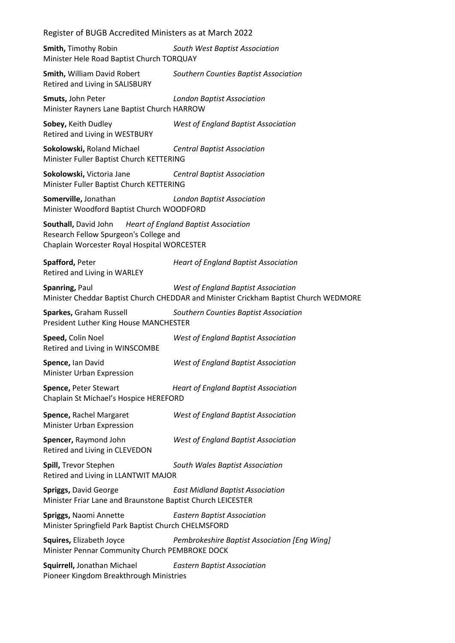| Register of BUGB Accredited Ministers as at March 2022                                                        |                                                                                                                             |
|---------------------------------------------------------------------------------------------------------------|-----------------------------------------------------------------------------------------------------------------------------|
| <b>Smith, Timothy Robin</b><br>Minister Hele Road Baptist Church TORQUAY                                      | South West Baptist Association                                                                                              |
| Smith, William David Robert<br>Retired and Living in SALISBURY                                                | Southern Counties Baptist Association                                                                                       |
| Smuts, John Peter<br>Minister Rayners Lane Baptist Church HARROW                                              | <b>London Baptist Association</b>                                                                                           |
| Sobey, Keith Dudley<br>Retired and Living in WESTBURY                                                         | <b>West of England Baptist Association</b>                                                                                  |
| Sokolowski, Roland Michael<br>Minister Fuller Baptist Church KETTERING                                        | <b>Central Baptist Association</b>                                                                                          |
| Sokolowski, Victoria Jane<br>Minister Fuller Baptist Church KETTERING                                         | <b>Central Baptist Association</b>                                                                                          |
| Somerville, Jonathan<br>Minister Woodford Baptist Church WOODFORD                                             | <b>London Baptist Association</b>                                                                                           |
| Southall, David John<br>Research Fellow Spurgeon's College and<br>Chaplain Worcester Royal Hospital WORCESTER | <b>Heart of England Baptist Association</b>                                                                                 |
| Spafford, Peter<br>Retired and Living in WARLEY                                                               | <b>Heart of England Baptist Association</b>                                                                                 |
| Spanring, Paul                                                                                                | West of England Baptist Association<br>Minister Cheddar Baptist Church CHEDDAR and Minister Crickham Baptist Church WEDMORE |
| Sparkes, Graham Russell<br>President Luther King House MANCHESTER                                             | Southern Counties Baptist Association                                                                                       |
| Speed, Colin Noel<br>Retired and Living in WINSCOMBE                                                          | <b>West of England Baptist Association</b>                                                                                  |
| Spence, Ian David<br>Minister Urban Expression                                                                | West of England Baptist Association                                                                                         |
| Spence, Peter Stewart<br>Chaplain St Michael's Hospice HEREFORD                                               | <b>Heart of England Baptist Association</b>                                                                                 |
| Spence, Rachel Margaret<br>Minister Urban Expression                                                          | <b>West of England Baptist Association</b>                                                                                  |
| Spencer, Raymond John<br>Retired and Living in CLEVEDON                                                       | <b>West of England Baptist Association</b>                                                                                  |
| Spill, Trevor Stephen<br>Retired and Living in LLANTWIT MAJOR                                                 | South Wales Baptist Association                                                                                             |
| Spriggs, David George<br>Minister Friar Lane and Braunstone Baptist Church LEICESTER                          | <b>East Midland Baptist Association</b>                                                                                     |
| Spriggs, Naomi Annette<br>Minister Springfield Park Baptist Church CHELMSFORD                                 | <b>Eastern Baptist Association</b>                                                                                          |
|                                                                                                               |                                                                                                                             |

**Squires,** Elizabeth Joyce *Pembrokeshire Baptist Association [Eng Wing]* Minister Pennar Community Church PEMBROKE DOCK

**Squirrell,** Jonathan Michael *Eastern Baptist Association* Pioneer Kingdom Breakthrough Ministries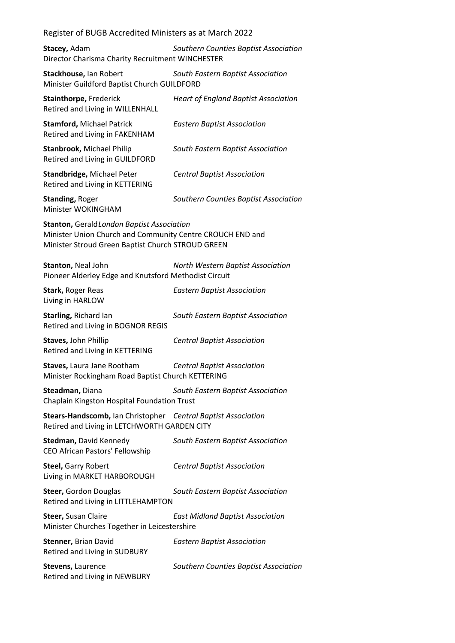**Stacey,** Adam *Southern Counties Baptist Association* Director Charisma Charity Recruitment WINCHESTER

**Stackhouse,** Ian Robert *South Eastern Baptist Association* Minister Guildford Baptist Church GUILDFORD

**Stainthorpe,** Frederick *Heart of England Baptist Association* Retired and Living in WILLENHALL **Stamford,** Michael Patrick *Eastern Baptist Association* Retired and Living in FAKENHAM **Stanbrook,** Michael Philip *South Eastern Baptist Association* Retired and Living in GUILDFORD **Standbridge,** Michael Peter *Central Baptist Association* Retired and Living in KETTERING **Standing,** Roger *Southern Counties Baptist Association* Minister WOKINGHAM **Stanton,** Gerald*London Baptist Association* Minister Union Church and Community Centre CROUCH END and Minister Stroud Green Baptist Church STROUD GREEN **Stanton,** Neal John *North Western Baptist Association* Pioneer Alderley Edge and Knutsford Methodist Circuit **Stark,** Roger Reas *Eastern Baptist Association* Living in HARLOW **Starling,** Richard Ian *South Eastern Baptist Association* Retired and Living in BOGNOR REGIS **Staves,** John Phillip *Central Baptist Association* Retired and Living in KETTERING **Staves,** Laura Jane Rootham *Central Baptist Association* Minister Rockingham Road Baptist Church KETTERING **Steadman,** Diana *South Eastern Baptist Association* Chaplain Kingston Hospital Foundation Trust **Stears-Handscomb,** Ian Christopher *Central Baptist Association* Retired and Living in LETCHWORTH GARDEN CITY **Stedman,** David Kennedy *South Eastern Baptist Association* CEO African Pastors' Fellowship **Steel,** Garry Robert *Central Baptist Association* Living in MARKET HARBOROUGH **Steer,** Gordon Douglas *South Eastern Baptist Association* Retired and Living in LITTLEHAMPTON **Steer,** Susan Claire *East Midland Baptist Association* Minister Churches Together in Leicestershire **Stenner,** Brian David *Eastern Baptist Association* Retired and Living in SUDBURY **Stevens,** Laurence *Southern Counties Baptist Association* Retired and Living in NEWBURY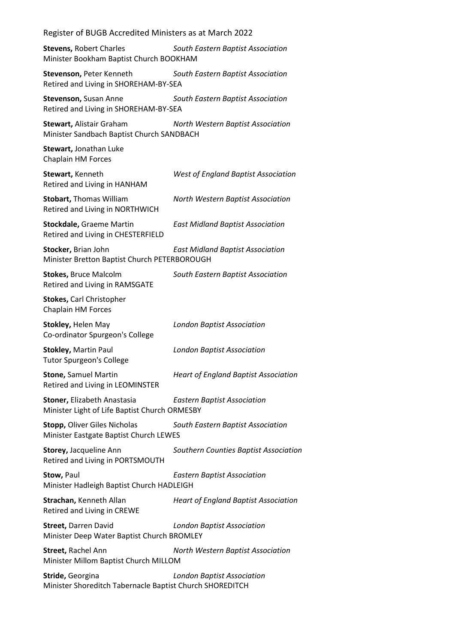| Register of BUGB Accredited Ministers as at March 2022                        |                                             |
|-------------------------------------------------------------------------------|---------------------------------------------|
| <b>Stevens, Robert Charles</b><br>Minister Bookham Baptist Church BOOKHAM     | South Eastern Baptist Association           |
| Stevenson, Peter Kenneth<br>Retired and Living in SHOREHAM-BY-SEA             | South Eastern Baptist Association           |
| Stevenson, Susan Anne<br>Retired and Living in SHOREHAM-BY-SEA                | South Eastern Baptist Association           |
| <b>Stewart, Alistair Graham</b><br>Minister Sandbach Baptist Church SANDBACH  | North Western Baptist Association           |
| Stewart, Jonathan Luke<br>Chaplain HM Forces                                  |                                             |
| Stewart, Kenneth<br>Retired and Living in HANHAM                              | <b>West of England Baptist Association</b>  |
| <b>Stobart, Thomas William</b><br>Retired and Living in NORTHWICH             | North Western Baptist Association           |
| <b>Stockdale, Graeme Martin</b><br>Retired and Living in CHESTERFIELD         | <b>East Midland Baptist Association</b>     |
| Stocker, Brian John<br>Minister Bretton Baptist Church PETERBOROUGH           | <b>East Midland Baptist Association</b>     |
| <b>Stokes, Bruce Malcolm</b><br>Retired and Living in RAMSGATE                | South Eastern Baptist Association           |
| <b>Stokes, Carl Christopher</b><br>Chaplain HM Forces                         |                                             |
| Stokley, Helen May<br>Co-ordinator Spurgeon's College                         | <b>London Baptist Association</b>           |
| <b>Stokley, Martin Paul</b><br><b>Tutor Spurgeon's College</b>                | <b>London Baptist Association</b>           |
| <b>Stone, Samuel Martin</b><br>Retired and Living in LEOMINSTER               | <b>Heart of England Baptist Association</b> |
| Stoner, Elizabeth Anastasia<br>Minister Light of Life Baptist Church ORMESBY  | <b>Eastern Baptist Association</b>          |
| <b>Stopp, Oliver Giles Nicholas</b><br>Minister Eastgate Baptist Church LEWES | South Eastern Baptist Association           |
| Storey, Jacqueline Ann<br>Retired and Living in PORTSMOUTH                    | Southern Counties Baptist Association       |
| Stow, Paul<br>Minister Hadleigh Baptist Church HADLEIGH                       | <b>Eastern Baptist Association</b>          |
| Strachan, Kenneth Allan<br>Retired and Living in CREWE                        | <b>Heart of England Baptist Association</b> |
| <b>Street, Darren David</b><br>Minister Deep Water Baptist Church BROMLEY     | <b>London Baptist Association</b>           |
| <b>Street, Rachel Ann</b><br>Minister Millom Baptist Church MILLOM            | North Western Baptist Association           |
| Stride, Georgina<br>Minister Shoreditch Tabernacle Baptist Church SHOREDITCH  | <b>London Baptist Association</b>           |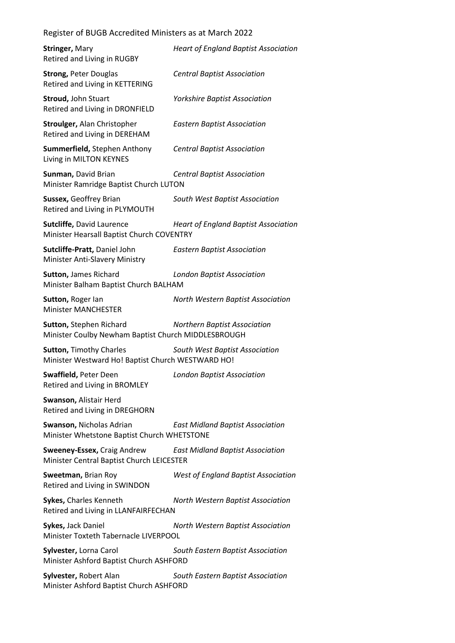| <b>Stringer, Mary</b><br>Retired and Living in RUGBY                                | <b>Heart of England Baptist Association</b> |
|-------------------------------------------------------------------------------------|---------------------------------------------|
| <b>Strong, Peter Douglas</b><br>Retired and Living in KETTERING                     | <b>Central Baptist Association</b>          |
| Stroud, John Stuart<br>Retired and Living in DRONFIELD                              | <b>Yorkshire Baptist Association</b>        |
| Stroulger, Alan Christopher<br>Retired and Living in DEREHAM                        | <b>Eastern Baptist Association</b>          |
| Summerfield, Stephen Anthony<br>Living in MILTON KEYNES                             | <b>Central Baptist Association</b>          |
| Sunman, David Brian<br>Minister Ramridge Baptist Church LUTON                       | <b>Central Baptist Association</b>          |
| Sussex, Geoffrey Brian<br>Retired and Living in PLYMOUTH                            | South West Baptist Association              |
| <b>Sutcliffe, David Laurence</b><br>Minister Hearsall Baptist Church COVENTRY       | <b>Heart of England Baptist Association</b> |
| Sutcliffe-Pratt, Daniel John<br>Minister Anti-Slavery Ministry                      | <b>Eastern Baptist Association</b>          |
| Sutton, James Richard<br>Minister Balham Baptist Church BALHAM                      | <b>London Baptist Association</b>           |
| Sutton, Roger lan<br><b>Minister MANCHESTER</b>                                     | North Western Baptist Association           |
| Sutton, Stephen Richard<br>Minister Coulby Newham Baptist Church MIDDLESBROUGH      | <b>Northern Baptist Association</b>         |
| <b>Sutton, Timothy Charles</b><br>Minister Westward Ho! Baptist Church WESTWARD HO! | South West Baptist Association              |
| Swaffield, Peter Deen<br>Retired and Living in BROMLEY                              | <b>London Baptist Association</b>           |
| Swanson, Alistair Herd<br>Retired and Living in DREGHORN                            |                                             |
| Swanson, Nicholas Adrian<br>Minister Whetstone Baptist Church WHETSTONE             | <b>East Midland Baptist Association</b>     |
| <b>Sweeney-Essex, Craig Andrew</b><br>Minister Central Baptist Church LEICESTER     | <b>East Midland Baptist Association</b>     |
| Sweetman, Brian Roy<br>Retired and Living in SWINDON                                | <b>West of England Baptist Association</b>  |
| Sykes, Charles Kenneth<br>Retired and Living in LLANFAIRFECHAN                      | North Western Baptist Association           |
| Sykes, Jack Daniel<br>Minister Toxteth Tabernacle LIVERPOOL                         | North Western Baptist Association           |
| Sylvester, Lorna Carol<br>Minister Ashford Baptist Church ASHFORD                   | South Eastern Baptist Association           |
| Sylvester, Robert Alan                                                              | South Eastern Baptist Association           |

Minister Ashford Baptist Church ASHFORD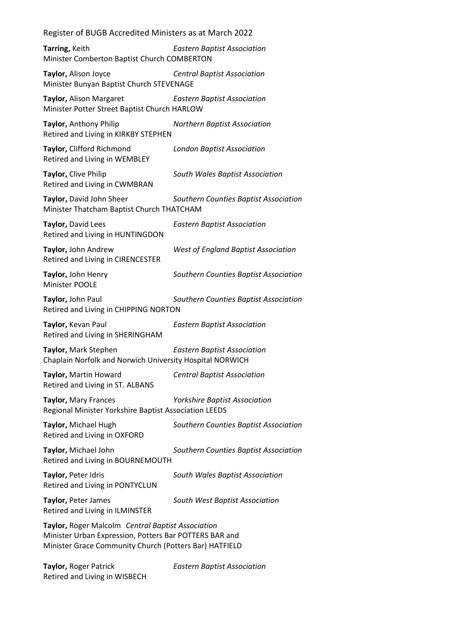**Tarring,** Keith *Eastern Baptist Association* Minister Comberton Baptist Church COMBERTON

**Taylor,** Alison Joyce *Central Baptist Association* Minister Bunyan Baptist Church STEVENAGE

**Taylor,** Alison Margaret *Eastern Baptist Association* Minister Potter Street Baptist Church HARLOW

**Taylor,** Anthony Philip *Northern Baptist Association* Retired and Living in KIRKBY STEPHEN

**Taylor,** Clifford Richmond *London Baptist Association* Retired and Living in WEMBLEY

**Taylor,** Clive Philip *South Wales Baptist Association* Retired and Living in CWMBRAN

**Taylor,** David John Sheer *Southern Counties Baptist Association* Minister Thatcham Baptist Church THATCHAM

**Taylor,** David Lees *Eastern Baptist Association* Retired and Living in HUNTINGDON

**Taylor,** John Andrew *West of England Baptist Association* Retired and Living in CIRENCESTER

**Taylor,** John Henry *Southern Counties Baptist Association* Minister POOLE

### **Taylor,** John Paul *Southern Counties Baptist Association* Retired and Living in CHIPPING NORTON

**Taylor,** Kevan Paul *Eastern Baptist Association* Retired and Living in SHERINGHAM

**Taylor,** Mark Stephen *Eastern Baptist Association* Chaplain Norfolk and Norwich University Hospital NORWICH

**Taylor,** Martin Howard *Central Baptist Association* Retired and Living in ST. ALBANS

**Taylor,** Mary Frances *Yorkshire Baptist Association* Regional Minister Yorkshire Baptist Association LEEDS

**Taylor,** Michael Hugh *Southern Counties Baptist Association* Retired and Living in OXFORD

**Taylor,** Michael John *Southern Counties Baptist Association* Retired and Living in BOURNEMOUTH

**Taylor,** Peter Idris *South Wales Baptist Association* Retired and Living in PONTYCLUN **Taylor,** Peter James *South West Baptist Association*

Retired and Living in ILMINSTER

**Taylor,** Roger Malcolm *Central Baptist Association* Minister Urban Expression, Potters Bar POTTERS BAR and Minister Grace Community Church (Potters Bar) HATFIELD

**Taylor,** Roger Patrick *Eastern Baptist Association* Retired and Living in WISBECH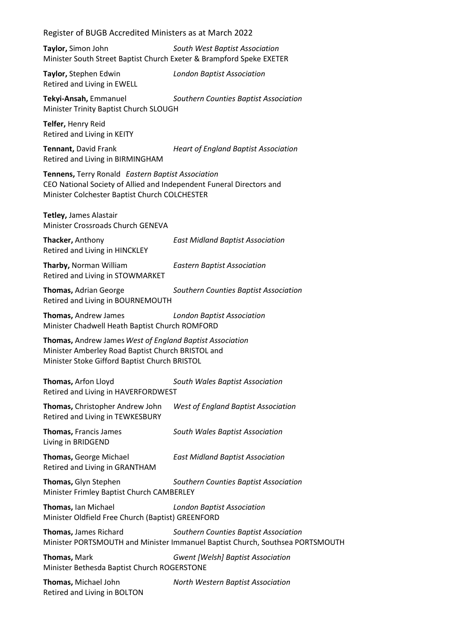| Register of BUGB Accredited Ministers as at March 2022 |  |  |  |  |  |
|--------------------------------------------------------|--|--|--|--|--|
|--------------------------------------------------------|--|--|--|--|--|

**Taylor,** Simon John *South West Baptist Association* Minister South Street Baptist Church Exeter & Brampford Speke EXETER

**Taylor,** Stephen Edwin *London Baptist Association* Retired and Living in EWELL

**Tekyi-Ansah,** Emmanuel *Southern Counties Baptist Association* Minister Trinity Baptist Church SLOUGH

**Telfer,** Henry Reid Retired and Living in KEITY

Retired and Living in BIRMINGHAM

**Tennant,** David Frank *Heart of England Baptist Association*

**Tennens,** Terry Ronald *Eastern Baptist Association* CEO National Society of Allied and Independent Funeral Directors and Minister Colchester Baptist Church COLCHESTER

**Tetley,** James Alastair Minister Crossroads Church GENEVA

**Thacker,** Anthony *East Midland Baptist Association* Retired and Living in HINCKLEY

**Tharby,** Norman William *Eastern Baptist Association* Retired and Living in STOWMARKET

**Thomas,** Adrian George *Southern Counties Baptist Association* Retired and Living in BOURNEMOUTH

**Thomas,** Andrew James *London Baptist Association* Minister Chadwell Heath Baptist Church ROMFORD

**Thomas,** Andrew James*West of England Baptist Association* Minister Amberley Road Baptist Church BRISTOL and Minister Stoke Gifford Baptist Church BRISTOL

| Thomas, Arfon Lloyd<br>Retired and Living in HAVERFORDWEST               | South Wales Baptist Association                                                                                        |
|--------------------------------------------------------------------------|------------------------------------------------------------------------------------------------------------------------|
| Thomas, Christopher Andrew John<br>Retired and Living in TEWKESBURY      | West of England Baptist Association                                                                                    |
| Thomas, Francis James<br>Living in BRIDGEND                              | South Wales Baptist Association                                                                                        |
| Thomas, George Michael<br>Retired and Living in GRANTHAM                 | <b>East Midland Baptist Association</b>                                                                                |
| Thomas, Glyn Stephen<br>Minister Frimley Baptist Church CAMBERLEY        | Southern Counties Baptist Association                                                                                  |
| Thomas, Ian Michael<br>Minister Oldfield Free Church (Baptist) GREENFORD | <b>London Baptist Association</b>                                                                                      |
| Thomas, James Richard                                                    | Southern Counties Baptist Association<br>Minister PORTSMOUTH and Minister Immanuel Baptist Church, Southsea PORTSMOUTH |
| <b>Thomas, Mark</b><br>Minister Bethesda Baptist Church ROGERSTONE       | <b>Gwent [Welsh] Baptist Association</b>                                                                               |
| Thomas, Michael John                                                     | North Western Baptist Association                                                                                      |

Retired and Living in BOLTON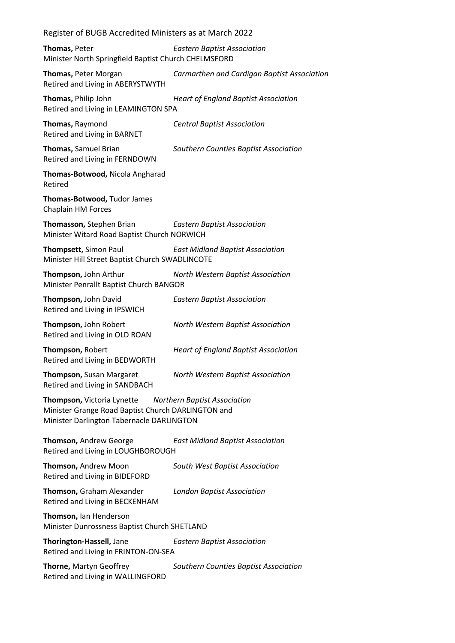| Register of BUGB Accredited Ministers as at March 2022                                                                        |                                             |  |
|-------------------------------------------------------------------------------------------------------------------------------|---------------------------------------------|--|
| Thomas, Peter<br>Minister North Springfield Baptist Church CHELMSFORD                                                         | <b>Eastern Baptist Association</b>          |  |
| Thomas, Peter Morgan<br>Retired and Living in ABERYSTWYTH                                                                     | Carmarthen and Cardigan Baptist Association |  |
| Thomas, Philip John<br>Retired and Living in LEAMINGTON SPA                                                                   | <b>Heart of England Baptist Association</b> |  |
| Thomas, Raymond<br>Retired and Living in BARNET                                                                               | <b>Central Baptist Association</b>          |  |
| Thomas, Samuel Brian<br>Retired and Living in FERNDOWN                                                                        | Southern Counties Baptist Association       |  |
| Thomas-Botwood, Nicola Angharad<br>Retired                                                                                    |                                             |  |
| Thomas-Botwood, Tudor James<br>Chaplain HM Forces                                                                             |                                             |  |
| Thomasson, Stephen Brian<br>Minister Witard Road Baptist Church NORWICH                                                       | <b>Eastern Baptist Association</b>          |  |
| Thompsett, Simon Paul<br>Minister Hill Street Baptist Church SWADLINCOTE                                                      | <b>East Midland Baptist Association</b>     |  |
| Thompson, John Arthur<br>Minister Penrallt Baptist Church BANGOR                                                              | North Western Baptist Association           |  |
| Thompson, John David<br>Retired and Living in IPSWICH                                                                         | <b>Eastern Baptist Association</b>          |  |
| Thompson, John Robert<br>Retired and Living in OLD ROAN                                                                       | North Western Baptist Association           |  |
| Thompson, Robert<br>Retired and Living in BEDWORTH                                                                            | <b>Heart of England Baptist Association</b> |  |
| Thompson, Susan Margaret<br>Retired and Living in SANDBACH                                                                    | North Western Baptist Association           |  |
| Thompson, Victoria Lynette<br>Minister Grange Road Baptist Church DARLINGTON and<br>Minister Darlington Tabernacle DARLINGTON | <b>Northern Baptist Association</b>         |  |
| Thomson, Andrew George<br>Retired and Living in LOUGHBOROUGH                                                                  | <b>East Midland Baptist Association</b>     |  |
| Thomson, Andrew Moon<br>Retired and Living in BIDEFORD                                                                        | South West Baptist Association              |  |
| Thomson, Graham Alexander<br>Retired and Living in BECKENHAM                                                                  | <b>London Baptist Association</b>           |  |
| Thomson, Ian Henderson<br>Minister Dunrossness Baptist Church SHETLAND                                                        |                                             |  |
| Thorington-Hassell, Jane<br>Retired and Living in FRINTON-ON-SEA                                                              | <b>Eastern Baptist Association</b>          |  |
| Thorne, Martyn Geoffrey<br>Retired and Living in WALLINGFORD                                                                  | Southern Counties Baptist Association       |  |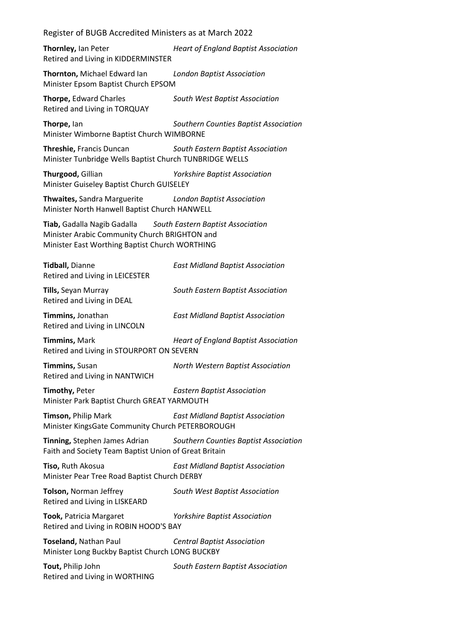**Thornley,** Ian Peter *Heart of England Baptist Association* Retired and Living in KIDDERMINSTER

**Thornton,** Michael Edward Ian *London Baptist Association* Minister Epsom Baptist Church EPSOM

**Thorpe,** Edward Charles *South West Baptist Association* Retired and Living in TORQUAY

**Thorpe,** Ian *Southern Counties Baptist Association* Minister Wimborne Baptist Church WIMBORNE

**Threshie,** Francis Duncan *South Eastern Baptist Association* Minister Tunbridge Wells Baptist Church TUNBRIDGE WELLS

**Thurgood,** Gillian *Yorkshire Baptist Association* Minister Guiseley Baptist Church GUISELEY

**Thwaites,** Sandra Marguerite *London Baptist Association* Minister North Hanwell Baptist Church HANWELL

**Tiab,** Gadalla Nagib Gadalla *South Eastern Baptist Association* Minister Arabic Community Church BRIGHTON and Minister East Worthing Baptist Church WORTHING

**Tidball,** Dianne *East Midland Baptist Association* Retired and Living in LEICESTER

**Tills,** Seyan Murray *South Eastern Baptist Association* Retired and Living in DEAL

**Timmins,** Jonathan *East Midland Baptist Association* Retired and Living in LINCOLN

**Timmins,** Mark *Heart of England Baptist Association* Retired and Living in STOURPORT ON SEVERN

**Timmins,** Susan *North Western Baptist Association* Retired and Living in NANTWICH

**Timothy,** Peter *Eastern Baptist Association* Minister Park Baptist Church GREAT YARMOUTH

**Timson,** Philip Mark *East Midland Baptist Association* Minister KingsGate Community Church PETERBOROUGH

**Tinning,** Stephen James Adrian *Southern Counties Baptist Association* Faith and Society Team Baptist Union of Great Britain

**Tiso,** Ruth Akosua *East Midland Baptist Association* Minister Pear Tree Road Baptist Church DERBY

**Tolson,** Norman Jeffrey *South West Baptist Association* Retired and Living in LISKEARD

**Took,** Patricia Margaret *Yorkshire Baptist Association* Retired and Living in ROBIN HOOD'S BAY

**Toseland,** Nathan Paul *Central Baptist Association* Minister Long Buckby Baptist Church LONG BUCKBY

**Tout,** Philip John *South Eastern Baptist Association* Retired and Living in WORTHING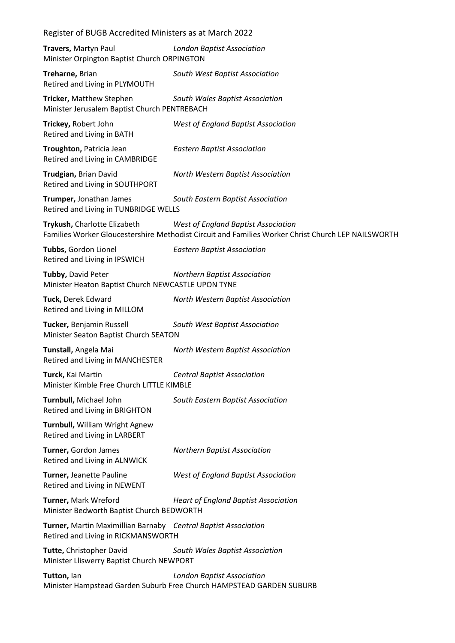| Register of BUGB Accredited Ministers as at March 2022                                                |                                                                                                                                           |  |
|-------------------------------------------------------------------------------------------------------|-------------------------------------------------------------------------------------------------------------------------------------------|--|
| Travers, Martyn Paul<br>Minister Orpington Baptist Church ORPINGTON                                   | <b>London Baptist Association</b>                                                                                                         |  |
| Treharne, Brian<br>Retired and Living in PLYMOUTH                                                     | South West Baptist Association                                                                                                            |  |
| Tricker, Matthew Stephen<br>Minister Jerusalem Baptist Church PENTREBACH                              | South Wales Baptist Association                                                                                                           |  |
| Trickey, Robert John<br>Retired and Living in BATH                                                    | West of England Baptist Association                                                                                                       |  |
| Troughton, Patricia Jean<br>Retired and Living in CAMBRIDGE                                           | <b>Eastern Baptist Association</b>                                                                                                        |  |
| Trudgian, Brian David<br>Retired and Living in SOUTHPORT                                              | North Western Baptist Association                                                                                                         |  |
| Trumper, Jonathan James<br>Retired and Living in TUNBRIDGE WELLS                                      | South Eastern Baptist Association                                                                                                         |  |
| Trykush, Charlotte Elizabeth                                                                          | West of England Baptist Association<br>Families Worker Gloucestershire Methodist Circuit and Families Worker Christ Church LEP NAILSWORTH |  |
| Tubbs, Gordon Lionel<br>Retired and Living in IPSWICH                                                 | <b>Eastern Baptist Association</b>                                                                                                        |  |
| Tubby, David Peter<br>Minister Heaton Baptist Church NEWCASTLE UPON TYNE                              | <b>Northern Baptist Association</b>                                                                                                       |  |
| Tuck, Derek Edward<br>Retired and Living in MILLOM                                                    | North Western Baptist Association                                                                                                         |  |
| Tucker, Benjamin Russell<br>Minister Seaton Baptist Church SEATON                                     | South West Baptist Association                                                                                                            |  |
| Tunstall, Angela Mai<br>Retired and Living in MANCHESTER                                              | North Western Baptist Association                                                                                                         |  |
| Turck, Kai Martin<br>Minister Kimble Free Church LITTLE KIMBLE                                        | <b>Central Baptist Association</b>                                                                                                        |  |
| Turnbull, Michael John<br>Retired and Living in BRIGHTON                                              | South Eastern Baptist Association                                                                                                         |  |
| Turnbull, William Wright Agnew<br>Retired and Living in LARBERT                                       |                                                                                                                                           |  |
| Turner, Gordon James<br>Retired and Living in ALNWICK                                                 | <b>Northern Baptist Association</b>                                                                                                       |  |
| Turner, Jeanette Pauline<br>Retired and Living in NEWENT                                              | <b>West of England Baptist Association</b>                                                                                                |  |
| Turner, Mark Wreford<br>Minister Bedworth Baptist Church BEDWORTH                                     | <b>Heart of England Baptist Association</b>                                                                                               |  |
| Turner, Martin Maximillian Barnaby Central Baptist Association<br>Retired and Living in RICKMANSWORTH |                                                                                                                                           |  |
| Tutte, Christopher David<br>Minister Lliswerry Baptist Church NEWPORT                                 | South Wales Baptist Association                                                                                                           |  |
| Tutton, lan                                                                                           | <b>London Baptist Association</b><br>Minister Hampstead Garden Suburb Free Church HAMPSTEAD GARDEN SUBURB                                 |  |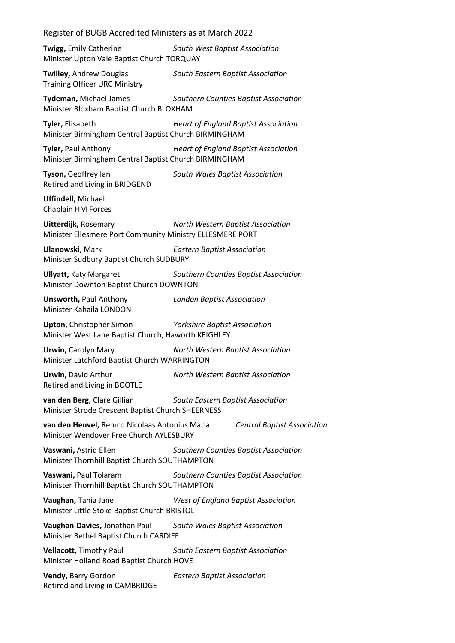**Twigg,** Emily Catherine *South West Baptist Association* Minister Upton Vale Baptist Church TORQUAY

**Twilley,** Andrew Douglas *South Eastern Baptist Association* Training Officer URC Ministry

**Tydeman,** Michael James *Southern Counties Baptist Association* Minister Bloxham Baptist Church BLOXHAM

**Tyler,** Elisabeth *Heart of England Baptist Association* Minister Birmingham Central Baptist Church BIRMINGHAM

**Tyler,** Paul Anthony *Heart of England Baptist Association* Minister Birmingham Central Baptist Church BIRMINGHAM

Retired and Living in BRIDGEND

**Tyson,** Geoffrey Ian *South Wales Baptist Association*

**Uffindell,** Michael Chaplain HM Forces

**Uitterdijk,** Rosemary *North Western Baptist Association* Minister Ellesmere Port Community Ministry ELLESMERE PORT

**Ulanowski,** Mark *Eastern Baptist Association* Minister Sudbury Baptist Church SUDBURY

**Ullyatt,** Katy Margaret *Southern Counties Baptist Association* Minister Downton Baptist Church DOWNTON

**Unsworth,** Paul Anthony *London Baptist Association* Minister Kahaila LONDON

**Upton,** Christopher Simon *Yorkshire Baptist Association*

Minister West Lane Baptist Church, Haworth KEIGHLEY

**Urwin,** Carolyn Mary *North Western Baptist Association* Minister Latchford Baptist Church WARRINGTON

**Urwin,** David Arthur *North Western Baptist Association* Retired and Living in BOOTLE

**van den Berg,** Clare Gillian *South Eastern Baptist Association* Minister Strode Crescent Baptist Church SHEERNESS

**van den Heuvel,** Remco Nicolaas Antonius Maria *Central Baptist Association* Minister Wendover Free Church AYLESBURY

**Vaswani,** Astrid Ellen *Southern Counties Baptist Association* Minister Thornhill Baptist Church SOUTHAMPTON

**Vaswani,** Paul Tolaram *Southern Counties Baptist Association* Minister Thornhill Baptist Church SOUTHAMPTON

**Vaughan,** Tania Jane *West of England Baptist Association* Minister Little Stoke Baptist Church BRISTOL

**Vaughan-Davies,** Jonathan Paul *South Wales Baptist Association* Minister Bethel Baptist Church CARDIFF

**Vellacott,** Timothy Paul *South Eastern Baptist Association* Minister Holland Road Baptist Church HOVE

**Vendy,** Barry Gordon *Eastern Baptist Association* Retired and Living in CAMBRIDGE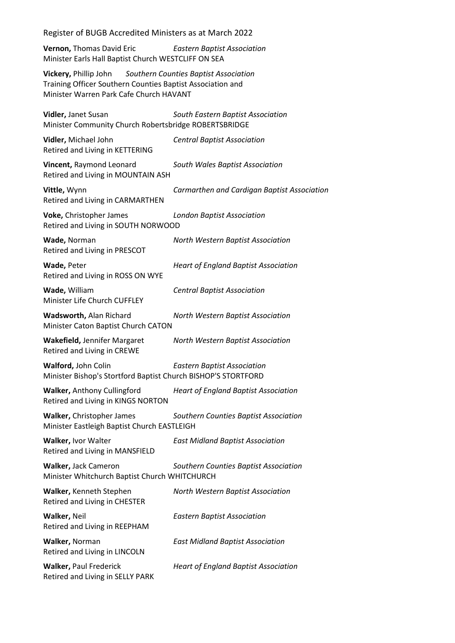**Vernon,** Thomas David Eric *Eastern Baptist Association* Minister Earls Hall Baptist Church WESTCLIFF ON SEA

**Vickery,** Phillip John *Southern Counties Baptist Association* Training Officer Southern Counties Baptist Association and Minister Warren Park Cafe Church HAVANT

**Vidler,** Janet Susan *South Eastern Baptist Association* Minister Community Church Robertsbridge ROBERTSBRIDGE

**Vidler,** Michael John *Central Baptist Association* Retired and Living in KETTERING **Vincent,** Raymond Leonard *South Wales Baptist Association*

Retired and Living in MOUNTAIN ASH

**Vittle,** Wynn *Carmarthen and Cardigan Baptist Association* Retired and Living in CARMARTHEN

**Voke,** Christopher James *London Baptist Association* Retired and Living in SOUTH NORWOOD

**Wade,** Norman *North Western Baptist Association* Retired and Living in PRESCOT

**Wade,** Peter *Heart of England Baptist Association* Retired and Living in ROSS ON WYE

**Wade,** William *Central Baptist Association* Minister Life Church CUFFLEY

**Wadsworth,** Alan Richard *North Western Baptist Association* Minister Caton Baptist Church CATON

**Wakefield,** Jennifer Margaret *North Western Baptist Association* Retired and Living in CREWE

**Walford,** John Colin *Eastern Baptist Association* Minister Bishop's Stortford Baptist Church BISHOP'S STORTFORD

**Walker,** Anthony Cullingford *Heart of England Baptist Association* Retired and Living in KINGS NORTON

**Walker,** Christopher James *Southern Counties Baptist Association* Minister Eastleigh Baptist Church EASTLEIGH

**Walker,** Ivor Walter *East Midland Baptist Association* Retired and Living in MANSFIELD

**Walker,** Jack Cameron *Southern Counties Baptist Association* Minister Whitchurch Baptist Church WHITCHURCH

**Walker,** Kenneth Stephen *North Western Baptist Association* Retired and Living in CHESTER

**Walker,** Neil *Eastern Baptist Association* Retired and Living in REEPHAM

**Walker,** Norman *East Midland Baptist Association* Retired and Living in LINCOLN

Retired and Living in SELLY PARK

**Walker,** Paul Frederick *Heart of England Baptist Association*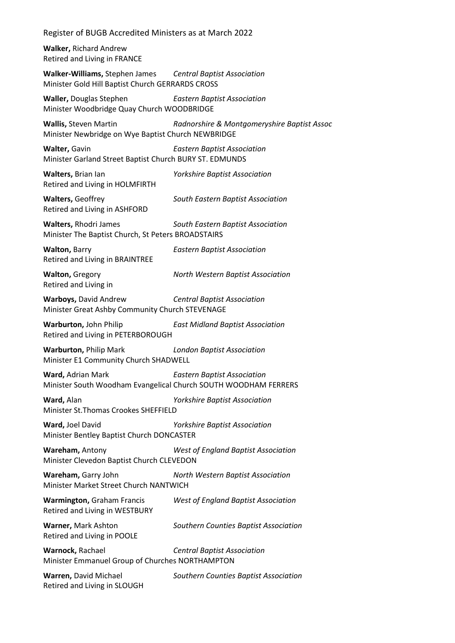**Walker,** Richard Andrew Retired and Living in FRANCE

**Walker-Williams,** Stephen James *Central Baptist Association* Minister Gold Hill Baptist Church GERRARDS CROSS

**Waller,** Douglas Stephen *Eastern Baptist Association* Minister Woodbridge Quay Church WOODBRIDGE

**Wallis,** Steven Martin *Radnorshire & Montgomeryshire Baptist Assoc* Minister Newbridge on Wye Baptist Church NEWBRIDGE

**Walter,** Gavin *Eastern Baptist Association* Minister Garland Street Baptist Church BURY ST. EDMUNDS

**Walters,** Brian Ian *Yorkshire Baptist Association* Retired and Living in HOLMFIRTH

**Walters,** Geoffrey *South Eastern Baptist Association*

Retired and Living in ASHFORD

**Walters,** Rhodri James *South Eastern Baptist Association* Minister The Baptist Church, St Peters BROADSTAIRS

**Walton,** Barry *Eastern Baptist Association* Retired and Living in BRAINTREE

**Walton,** Gregory *North Western Baptist Association* Retired and Living in

**Warboys,** David Andrew *Central Baptist Association* Minister Great Ashby Community Church STEVENAGE

**Warburton,** John Philip *East Midland Baptist Association* Retired and Living in PETERBOROUGH

**Warburton,** Philip Mark *London Baptist Association* Minister E1 Community Church SHADWELL

**Ward,** Adrian Mark *Eastern Baptist Association* Minister South Woodham Evangelical Church SOUTH WOODHAM FERRERS

**Ward,** Alan *Yorkshire Baptist Association* Minister St.Thomas Crookes SHEFFIELD

**Ward,** Joel David *Yorkshire Baptist Association* Minister Bentley Baptist Church DONCASTER

**Wareham,** Antony *West of England Baptist Association* Minister Clevedon Baptist Church CLEVEDON

**Wareham,** Garry John *North Western Baptist Association* Minister Market Street Church NANTWICH

**Warmington,** Graham Francis *West of England Baptist Association* Retired and Living in WESTBURY

**Warner,** Mark Ashton *Southern Counties Baptist Association* Retired and Living in POOLE

**Warnock,** Rachael *Central Baptist Association* Minister Emmanuel Group of Churches NORTHAMPTON

**Warren,** David Michael *Southern Counties Baptist Association* Retired and Living in SLOUGH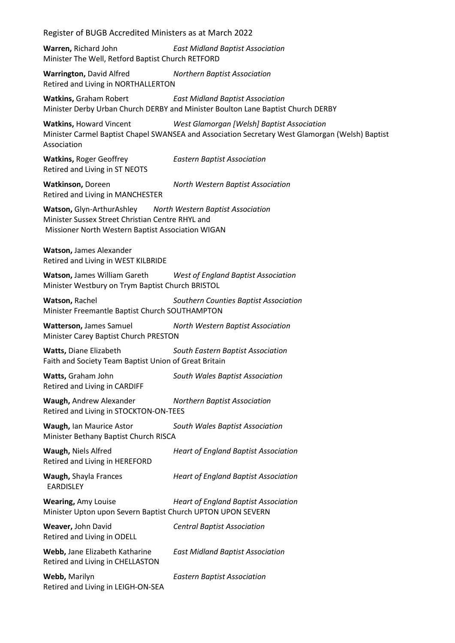**Warren,** Richard John *East Midland Baptist Association* Minister The Well, Retford Baptist Church RETFORD

**Warrington,** David Alfred *Northern Baptist Association* Retired and Living in NORTHALLERTON

**Watkins,** Graham Robert *East Midland Baptist Association* Minister Derby Urban Church DERBY and Minister Boulton Lane Baptist Church DERBY

**Watkins,** Howard Vincent *West Glamorgan [Welsh] Baptist Association* Minister Carmel Baptist Chapel SWANSEA and Association Secretary West Glamorgan (Welsh) Baptist Association

**Watkins,** Roger Geoffrey *Eastern Baptist Association* Retired and Living in ST NEOTS

**Watkinson,** Doreen *North Western Baptist Association* Retired and Living in MANCHESTER

**Watson,** Glyn-ArthurAshley *North Western Baptist Association* Minister Sussex Street Christian Centre RHYL and Missioner North Western Baptist Association WIGAN

**Watson,** James Alexander Retired and Living in WEST KILBRIDE

**Watson,** James William Gareth *West of England Baptist Association* Minister Westbury on Trym Baptist Church BRISTOL

**Watson,** Rachel *Southern Counties Baptist Association* Minister Freemantle Baptist Church SOUTHAMPTON

**Watterson,** James Samuel *North Western Baptist Association* Minister Carey Baptist Church PRESTON

**Watts,** Diane Elizabeth *South Eastern Baptist Association* Faith and Society Team Baptist Union of Great Britain

**Watts,** Graham John *South Wales Baptist Association* Retired and Living in CARDIFF

**Waugh,** Andrew Alexander *Northern Baptist Association* Retired and Living in STOCKTON-ON-TEES

**Waugh,** Ian Maurice Astor *South Wales Baptist Association* Minister Bethany Baptist Church RISCA

**Waugh,** Niels Alfred *Heart of England Baptist Association* Retired and Living in HEREFORD **Waugh,** Shayla Frances *Heart of England Baptist Association* EARDISLEY

**Wearing,** Amy Louise *Heart of England Baptist Association* Minister Upton upon Severn Baptist Church UPTON UPON SEVERN

**Weaver,** John David *Central Baptist Association* Retired and Living in ODELL

**Webb,** Jane Elizabeth Katharine *East Midland Baptist Association* Retired and Living in CHELLASTON

**Webb,** Marilyn *Eastern Baptist Association* Retired and Living in LEIGH-ON-SEA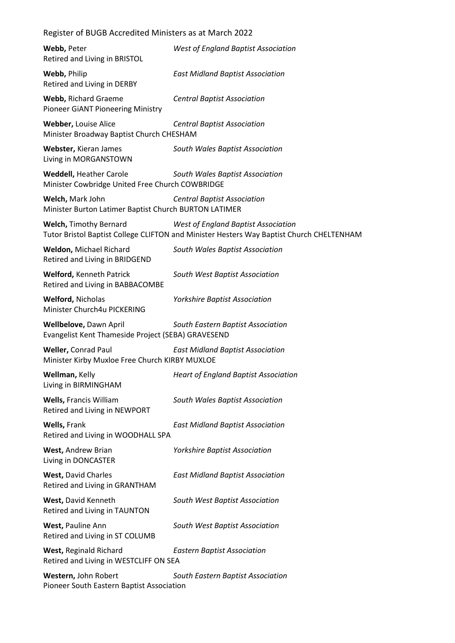| Webb, Peter<br>Retired and Living in BRISTOL                                      | <b>West of England Baptist Association</b>                                                                                      |
|-----------------------------------------------------------------------------------|---------------------------------------------------------------------------------------------------------------------------------|
| Webb, Philip<br>Retired and Living in DERBY                                       | <b>East Midland Baptist Association</b>                                                                                         |
| <b>Webb, Richard Graeme</b><br>Pioneer GIANT Pioneering Ministry                  | <b>Central Baptist Association</b>                                                                                              |
| Webber, Louise Alice<br>Minister Broadway Baptist Church CHESHAM                  | <b>Central Baptist Association</b>                                                                                              |
| Webster, Kieran James<br>Living in MORGANSTOWN                                    | South Wales Baptist Association                                                                                                 |
| <b>Weddell, Heather Carole</b><br>Minister Cowbridge United Free Church COWBRIDGE | South Wales Baptist Association                                                                                                 |
| Welch, Mark John<br>Minister Burton Latimer Baptist Church BURTON LATIMER         | <b>Central Baptist Association</b>                                                                                              |
| <b>Welch, Timothy Bernard</b>                                                     | West of England Baptist Association<br>Tutor Bristol Baptist College CLIFTON and Minister Hesters Way Baptist Church CHELTENHAM |
| Weldon, Michael Richard<br>Retired and Living in BRIDGEND                         | South Wales Baptist Association                                                                                                 |
| <b>Welford, Kenneth Patrick</b><br>Retired and Living in BABBACOMBE               | South West Baptist Association                                                                                                  |
| <b>Welford, Nicholas</b><br>Minister Church4u PICKERING                           | <b>Yorkshire Baptist Association</b>                                                                                            |
| Wellbelove, Dawn April<br>Evangelist Kent Thameside Project (SEBA) GRAVESEND      | South Eastern Baptist Association                                                                                               |
| <b>Weller, Conrad Paul</b><br>Minister Kirby Muxloe Free Church KIRBY MUXLOE      | <b>East Midland Baptist Association</b>                                                                                         |
| Wellman, Kelly<br>Living in BIRMINGHAM                                            | <b>Heart of England Baptist Association</b>                                                                                     |
| <b>Wells, Francis William</b><br>Retired and Living in NEWPORT                    | South Wales Baptist Association                                                                                                 |
| Wells, Frank<br>Retired and Living in WOODHALL SPA                                | <b>East Midland Baptist Association</b>                                                                                         |
| West, Andrew Brian<br>Living in DONCASTER                                         | <b>Yorkshire Baptist Association</b>                                                                                            |
| <b>West, David Charles</b><br>Retired and Living in GRANTHAM                      | <b>East Midland Baptist Association</b>                                                                                         |
| West, David Kenneth<br>Retired and Living in TAUNTON                              | South West Baptist Association                                                                                                  |
| West, Pauline Ann<br>Retired and Living in ST COLUMB                              | South West Baptist Association                                                                                                  |
| West, Reginald Richard<br>Retired and Living in WESTCLIFF ON SEA                  | <b>Eastern Baptist Association</b>                                                                                              |
| Western, John Robert<br>Pioneer South Eastern Baptist Association                 | South Eastern Baptist Association                                                                                               |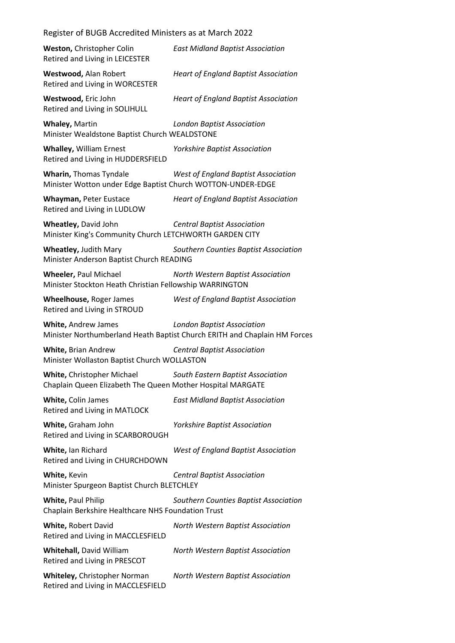| Register of BUGB Accredited Ministers as at March 2022                                       |                                                                                                                |  |
|----------------------------------------------------------------------------------------------|----------------------------------------------------------------------------------------------------------------|--|
| Weston, Christopher Colin<br>Retired and Living in LEICESTER                                 | <b>East Midland Baptist Association</b>                                                                        |  |
| Westwood, Alan Robert<br>Retired and Living in WORCESTER                                     | <b>Heart of England Baptist Association</b>                                                                    |  |
| Westwood, Eric John<br>Retired and Living in SOLIHULL                                        | <b>Heart of England Baptist Association</b>                                                                    |  |
| Whaley, Martin<br>Minister Wealdstone Baptist Church WEALDSTONE                              | <b>London Baptist Association</b>                                                                              |  |
| <b>Whalley, William Ernest</b><br>Retired and Living in HUDDERSFIELD                         | <b>Yorkshire Baptist Association</b>                                                                           |  |
| <b>Wharin, Thomas Tyndale</b><br>Minister Wotton under Edge Baptist Church WOTTON-UNDER-EDGE | West of England Baptist Association                                                                            |  |
| Whayman, Peter Eustace<br>Retired and Living in LUDLOW                                       | <b>Heart of England Baptist Association</b>                                                                    |  |
| Wheatley, David John<br>Minister King's Community Church LETCHWORTH GARDEN CITY              | <b>Central Baptist Association</b>                                                                             |  |
| <b>Wheatley, Judith Mary</b><br>Minister Anderson Baptist Church READING                     | Southern Counties Baptist Association                                                                          |  |
| Wheeler, Paul Michael<br>Minister Stockton Heath Christian Fellowship WARRINGTON             | North Western Baptist Association                                                                              |  |
| Wheelhouse, Roger James<br>Retired and Living in STROUD                                      | West of England Baptist Association                                                                            |  |
| White, Andrew James                                                                          | <b>London Baptist Association</b><br>Minister Northumberland Heath Baptist Church ERITH and Chaplain HM Forces |  |
| White, Brian Andrew<br>Minister Wollaston Baptist Church WOLLASTON                           | <b>Central Baptist Association</b>                                                                             |  |
| White, Christopher Michael<br>Chaplain Queen Elizabeth The Queen Mother Hospital MARGATE     | South Eastern Baptist Association                                                                              |  |
| White, Colin James<br>Retired and Living in MATLOCK                                          | <b>East Midland Baptist Association</b>                                                                        |  |
| White, Graham John<br>Retired and Living in SCARBOROUGH                                      | <b>Yorkshire Baptist Association</b>                                                                           |  |
| White, Ian Richard<br>Retired and Living in CHURCHDOWN                                       | West of England Baptist Association                                                                            |  |
| White, Kevin<br>Minister Spurgeon Baptist Church BLETCHLEY                                   | <b>Central Baptist Association</b>                                                                             |  |
| White, Paul Philip<br>Chaplain Berkshire Healthcare NHS Foundation Trust                     | Southern Counties Baptist Association                                                                          |  |
| White, Robert David<br>Retired and Living in MACCLESFIELD                                    | North Western Baptist Association                                                                              |  |
| <b>Whitehall, David William</b><br>Retired and Living in PRESCOT                             | North Western Baptist Association                                                                              |  |
| Whiteley, Christopher Norman<br>Retired and Living in MACCLESFIELD                           | North Western Baptist Association                                                                              |  |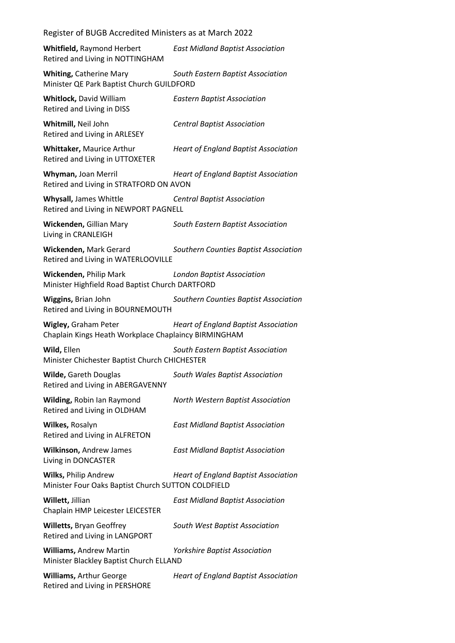| Register of BUGB Accredited Ministers as at March 2022                                                |                                             |  |
|-------------------------------------------------------------------------------------------------------|---------------------------------------------|--|
| Whitfield, Raymond Herbert<br>Retired and Living in NOTTINGHAM                                        | <b>East Midland Baptist Association</b>     |  |
| <b>Whiting, Catherine Mary</b><br>Minister QE Park Baptist Church GUILDFORD                           | South Eastern Baptist Association           |  |
| <b>Whitlock, David William</b><br>Retired and Living in DISS                                          | <b>Eastern Baptist Association</b>          |  |
| Whitmill, Neil John<br>Retired and Living in ARLESEY                                                  | <b>Central Baptist Association</b>          |  |
| Whittaker, Maurice Arthur<br>Retired and Living in UTTOXETER                                          | <b>Heart of England Baptist Association</b> |  |
| Whyman, Joan Merril<br>Retired and Living in STRATFORD ON AVON                                        | <b>Heart of England Baptist Association</b> |  |
| Whysall, James Whittle<br><b>Central Baptist Association</b><br>Retired and Living in NEWPORT PAGNELL |                                             |  |
| Wickenden, Gillian Mary<br>Living in CRANLEIGH                                                        | South Eastern Baptist Association           |  |
| Wickenden, Mark Gerard<br>Retired and Living in WATERLOOVILLE                                         | Southern Counties Baptist Association       |  |
| Wickenden, Philip Mark<br>Minister Highfield Road Baptist Church DARTFORD                             | <b>London Baptist Association</b>           |  |
| Wiggins, Brian John<br>Retired and Living in BOURNEMOUTH                                              | Southern Counties Baptist Association       |  |
| Wigley, Graham Peter<br>Chaplain Kings Heath Workplace Chaplaincy BIRMINGHAM                          | <b>Heart of England Baptist Association</b> |  |
| Wild, Ellen<br>Minister Chichester Baptist Church CHICHESTER                                          | South Eastern Baptist Association           |  |
| <b>Wilde, Gareth Douglas</b><br>Retired and Living in ABERGAVENNY                                     | South Wales Baptist Association             |  |
| Wilding, Robin Ian Raymond<br>Retired and Living in OLDHAM                                            | North Western Baptist Association           |  |
| Wilkes, Rosalyn<br>Retired and Living in ALFRETON                                                     | <b>East Midland Baptist Association</b>     |  |
| Wilkinson, Andrew James<br>Living in DONCASTER                                                        | <b>East Midland Baptist Association</b>     |  |
| <b>Wilks, Philip Andrew</b><br>Minister Four Oaks Baptist Church SUTTON COLDFIELD                     | <b>Heart of England Baptist Association</b> |  |
| Willett, Jillian<br>Chaplain HMP Leicester LEICESTER                                                  | <b>East Midland Baptist Association</b>     |  |
| <b>Willetts, Bryan Geoffrey</b><br>Retired and Living in LANGPORT                                     | South West Baptist Association              |  |
| <b>Williams, Andrew Martin</b><br>Minister Blackley Baptist Church ELLAND                             | <b>Yorkshire Baptist Association</b>        |  |
| <b>Williams, Arthur George</b><br>Retired and Living in PERSHORE                                      | <b>Heart of England Baptist Association</b> |  |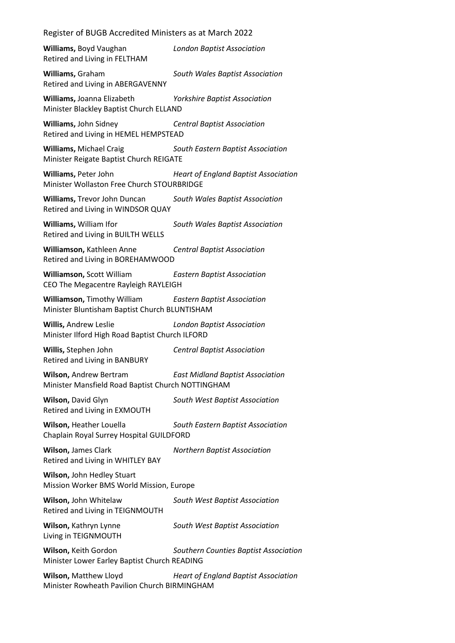## Register of BUGB Accredited Ministers as at March 2022

**Williams,** Boyd Vaughan *London Baptist Association* Retired and Living in FELTHAM

**Williams,** Graham *South Wales Baptist Association* Retired and Living in ABERGAVENNY

**Williams,** Joanna Elizabeth *Yorkshire Baptist Association* Minister Blackley Baptist Church ELLAND

**Williams,** John Sidney *Central Baptist Association* Retired and Living in HEMEL HEMPSTEAD

**Williams,** Michael Craig *South Eastern Baptist Association* Minister Reigate Baptist Church REIGATE

**Williams,** Peter John *Heart of England Baptist Association* Minister Wollaston Free Church STOURBRIDGE

**Williams,** Trevor John Duncan *South Wales Baptist Association* Retired and Living in WINDSOR QUAY

**Williams,** William Ifor *South Wales Baptist Association* Retired and Living in BUILTH WELLS

**Williamson,** Kathleen Anne *Central Baptist Association* Retired and Living in BOREHAMWOOD

**Williamson,** Scott William *Eastern Baptist Association* CEO The Megacentre Rayleigh RAYLEIGH

**Williamson,** Timothy William *Eastern Baptist Association* Minister Bluntisham Baptist Church BLUNTISHAM

**Willis,** Andrew Leslie *London Baptist Association* Minister Ilford High Road Baptist Church ILFORD

**Willis,** Stephen John *Central Baptist Association* Retired and Living in BANBURY

**Wilson,** Andrew Bertram *East Midland Baptist Association* Minister Mansfield Road Baptist Church NOTTINGHAM

**Wilson,** David Glyn *South West Baptist Association* Retired and Living in EXMOUTH

**Wilson,** Heather Louella *South Eastern Baptist Association* Chaplain Royal Surrey Hospital GUILDFORD

**Wilson,** James Clark *Northern Baptist Association* Retired and Living in WHITLEY BAY

**Wilson,** John Hedley Stuart Mission Worker BMS World Mission, Europe

**Wilson,** John Whitelaw *South West Baptist Association* Retired and Living in TEIGNMOUTH

**Wilson,** Kathryn Lynne *South West Baptist Association* Living in TEIGNMOUTH

**Wilson,** Keith Gordon *Southern Counties Baptist Association* Minister Lower Earley Baptist Church READING

**Wilson,** Matthew Lloyd *Heart of England Baptist Association* Minister Rowheath Pavilion Church BIRMINGHAM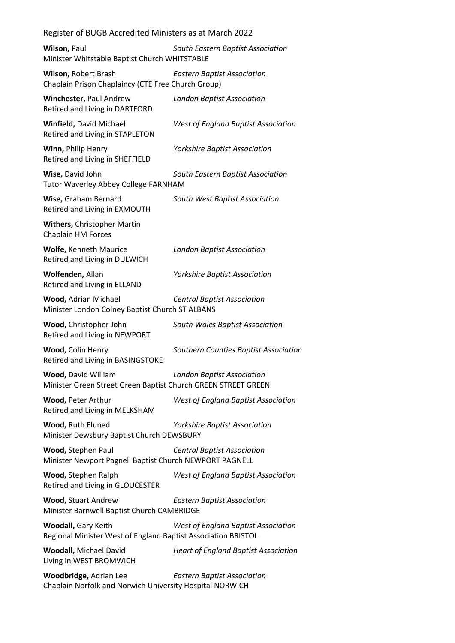## Register of BUGB Accredited Ministers as at March 2022

**Wilson,** Paul *South Eastern Baptist Association* Minister Whitstable Baptist Church WHITSTABLE

**Wilson,** Robert Brash *Eastern Baptist Association* Chaplain Prison Chaplaincy (CTE Free Church Group)

**Winchester,** Paul Andrew *London Baptist Association* Retired and Living in DARTFORD

**Winfield,** David Michael *West of England Baptist Association* Retired and Living in STAPLETON

**Winn,** Philip Henry *Yorkshire Baptist Association* Retired and Living in SHEFFIELD

**Wise,** David John *South Eastern Baptist Association* Tutor Waverley Abbey College FARNHAM

**Wise,** Graham Bernard *South West Baptist Association* Retired and Living in EXMOUTH

**Withers,** Christopher Martin Chaplain HM Forces

**Wolfe,** Kenneth Maurice *London Baptist Association* Retired and Living in DULWICH

**Wolfenden,** Allan *Yorkshire Baptist Association* Retired and Living in ELLAND

**Wood,** Adrian Michael *Central Baptist Association* Minister London Colney Baptist Church ST ALBANS

**Wood,** Christopher John *South Wales Baptist Association* Retired and Living in NEWPORT

**Wood,** Colin Henry *Southern Counties Baptist Association* Retired and Living in BASINGSTOKE

**Wood,** David William *London Baptist Association* Minister Green Street Green Baptist Church GREEN STREET GREEN

**Wood,** Peter Arthur *West of England Baptist Association* Retired and Living in MELKSHAM

**Wood,** Ruth Eluned *Yorkshire Baptist Association* Minister Dewsbury Baptist Church DEWSBURY

**Wood,** Stephen Paul *Central Baptist Association* Minister Newport Pagnell Baptist Church NEWPORT PAGNELL

**Wood,** Stephen Ralph *West of England Baptist Association* Retired and Living in GLOUCESTER

**Wood,** Stuart Andrew *Eastern Baptist Association* Minister Barnwell Baptist Church CAMBRIDGE

**Woodall,** Gary Keith *West of England Baptist Association* Regional Minister West of England Baptist Association BRISTOL

**Woodall,** Michael David *Heart of England Baptist Association* Living in WEST BROMWICH

**Woodbridge,** Adrian Lee *Eastern Baptist Association* Chaplain Norfolk and Norwich University Hospital NORWICH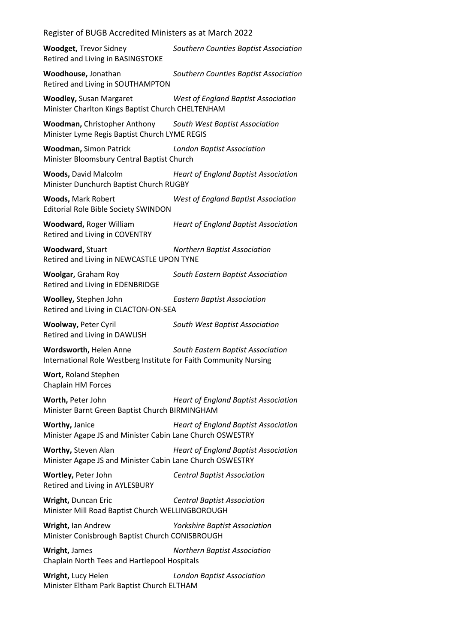Register of BUGB Accredited Ministers as at March 2022

**Woodget,** Trevor Sidney *Southern Counties Baptist Association* Retired and Living in BASINGSTOKE

**Woodhouse,** Jonathan *Southern Counties Baptist Association* Retired and Living in SOUTHAMPTON

**Woodley,** Susan Margaret *West of England Baptist Association* Minister Charlton Kings Baptist Church CHELTENHAM

**Woodman,** Christopher Anthony *South West Baptist Association* Minister Lyme Regis Baptist Church LYME REGIS

**Woodman,** Simon Patrick *London Baptist Association* Minister Bloomsbury Central Baptist Church

**Woods,** David Malcolm *Heart of England Baptist Association* Minister Dunchurch Baptist Church RUGBY

**Woods,** Mark Robert *West of England Baptist Association* Editorial Role Bible Society SWINDON

**Woodward,** Roger William *Heart of England Baptist Association* Retired and Living in COVENTRY

**Woodward,** Stuart *Northern Baptist Association* Retired and Living in NEWCASTLE UPON TYNE

Retired and Living in EDENBRIDGE

**Woolgar,** Graham Roy *South Eastern Baptist Association*

**Woolley,** Stephen John *Eastern Baptist Association* Retired and Living in CLACTON-ON-SEA

Retired and Living in DAWLISH

**Woolway,** Peter Cyril *South West Baptist Association*

**Wordsworth,** Helen Anne *South Eastern Baptist Association* International Role Westberg Institute for Faith Community Nursing

**Wort,** Roland Stephen Chaplain HM Forces

**Worth,** Peter John *Heart of England Baptist Association* Minister Barnt Green Baptist Church BIRMINGHAM

**Worthy,** Janice *Heart of England Baptist Association* Minister Agape JS and Minister Cabin Lane Church OSWESTRY

**Worthy,** Steven Alan *Heart of England Baptist Association* Minister Agape JS and Minister Cabin Lane Church OSWESTRY

**Wortley,** Peter John *Central Baptist Association* Retired and Living in AYLESBURY

**Wright,** Duncan Eric *Central Baptist Association* Minister Mill Road Baptist Church WELLINGBOROUGH

**Wright,** Ian Andrew *Yorkshire Baptist Association* Minister Conisbrough Baptist Church CONISBROUGH

**Wright,** James *Northern Baptist Association* Chaplain North Tees and Hartlepool Hospitals

**Wright,** Lucy Helen *London Baptist Association* Minister Eltham Park Baptist Church ELTHAM